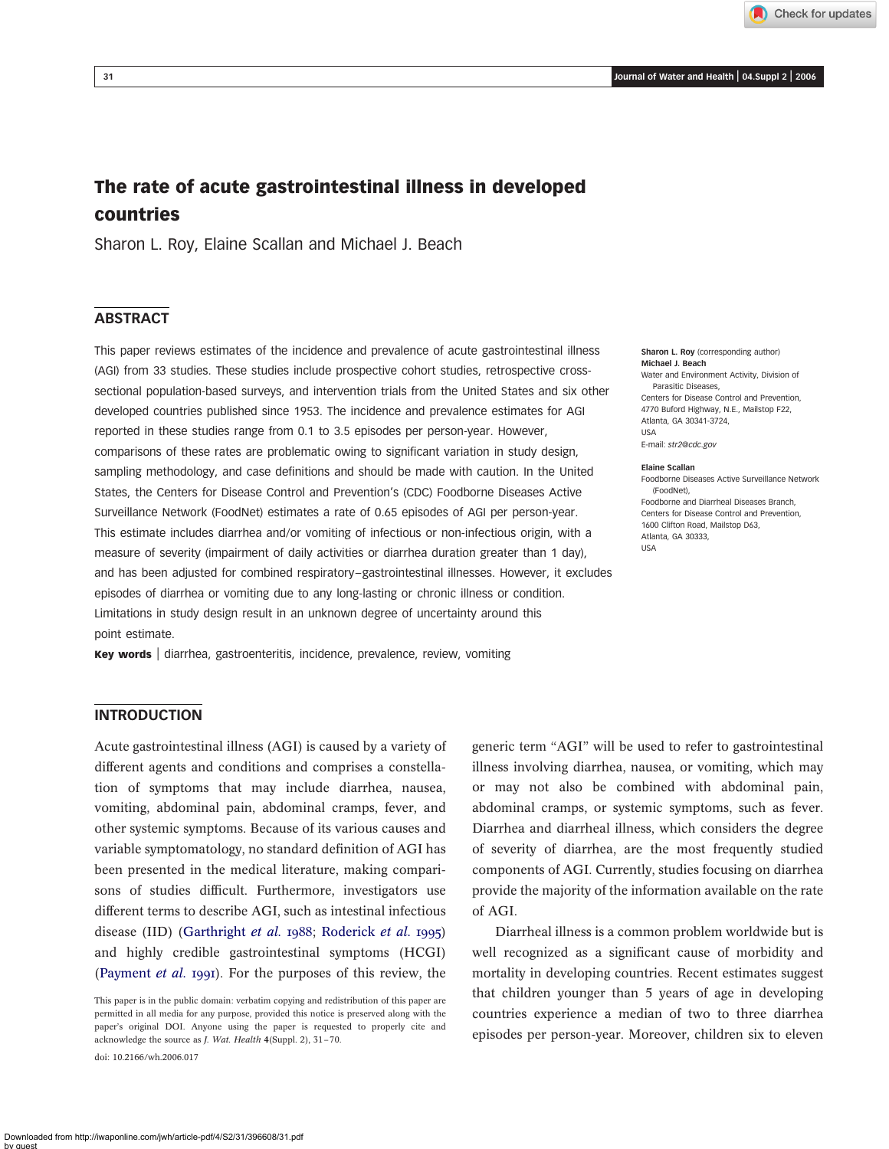Check for updates

# The rate of acute gastrointestinal illness in developed countries

Sharon L. Roy, Elaine Scallan and Michael J. Beach

## **ABSTRACT**

This paper reviews estimates of the incidence and prevalence of acute gastrointestinal illness (AGI) from 33 studies. These studies include prospective cohort studies, retrospective crosssectional population-based surveys, and intervention trials from the United States and six other developed countries published since 1953. The incidence and prevalence estimates for AGI reported in these studies range from 0.1 to 3.5 episodes per person-year. However, comparisons of these rates are problematic owing to significant variation in study design, sampling methodology, and case definitions and should be made with caution. In the United States, the Centers for Disease Control and Prevention's (CDC) Foodborne Diseases Active Surveillance Network (FoodNet) estimates a rate of 0.65 episodes of AGI per person-year. This estimate includes diarrhea and/or vomiting of infectious or non-infectious origin, with a measure of severity (impairment of daily activities or diarrhea duration greater than 1 day), and has been adjusted for combined respiratory–gastrointestinal illnesses. However, it excludes episodes of diarrhea or vomiting due to any long-lasting or chronic illness or condition. Limitations in study design result in an unknown degree of uncertainty around this point estimate.

Key words | diarrhea, gastroenteritis, incidence, prevalence, review, vomiting

#### Sharon L. Roy (corresponding author) Michael J. Beach Water and Environment Activity, Division of Parasitic Diseases, Centers for Disease Control and Prevention, 4770 Buford Highway, N.E., Mailstop F22, Atlanta, GA 30341-3724, USA E-mail: str2@cdc.gov

#### Elaine Scallan

Foodborne Diseases Active Surveillance Network (FoodNet), Foodborne and Diarrheal Diseases Branch, Centers for Disease Control and Prevention, 1600 Clifton Road, Mailstop D63, Atlanta, GA 30333, USA

### INTRODUCTION

Acute gastrointestinal illness (AGI) is caused by a variety of different agents and conditions and comprises a constellation of symptoms that may include diarrhea, nausea, vomiting, abdominal pain, abdominal cramps, fever, and other systemic symptoms. Because of its various causes and variable symptomatology, no standard definition of AGI has been presented in the medical literature, making comparisons of studies difficult. Furthermore, investigators use different terms to describe AGI, such as intestinal infectious disease (IID) ([Garthright](#page-36-0) et al. 1988; [Roderick](#page-38-0) et al. 1995) and highly credible gastrointestinal symptoms (HCGI) ([Payment](#page-37-0) et al. 1991). For the purposes of this review, the

This paper is in the public domain: verbatim copying and redistribution of this paper are permitted in all media for any purpose, provided this notice is preserved along with the paper's original DOI. Anyone using the paper is requested to properly cite and acknowledge the source as J. Wat. Health 4(Suppl. 2), 31–70.

doi: 10.2166/wh.2006.017

generic term "AGI" will be used to refer to gastrointestinal illness involving diarrhea, nausea, or vomiting, which may or may not also be combined with abdominal pain, abdominal cramps, or systemic symptoms, such as fever. Diarrhea and diarrheal illness, which considers the degree of severity of diarrhea, are the most frequently studied components of AGI. Currently, studies focusing on diarrhea provide the majority of the information available on the rate of AGI.

Diarrheal illness is a common problem worldwide but is well recognized as a significant cause of morbidity and mortality in developing countries. Recent estimates suggest that children younger than 5 years of age in developing countries experience a median of two to three diarrhea episodes per person-year. Moreover, children six to eleven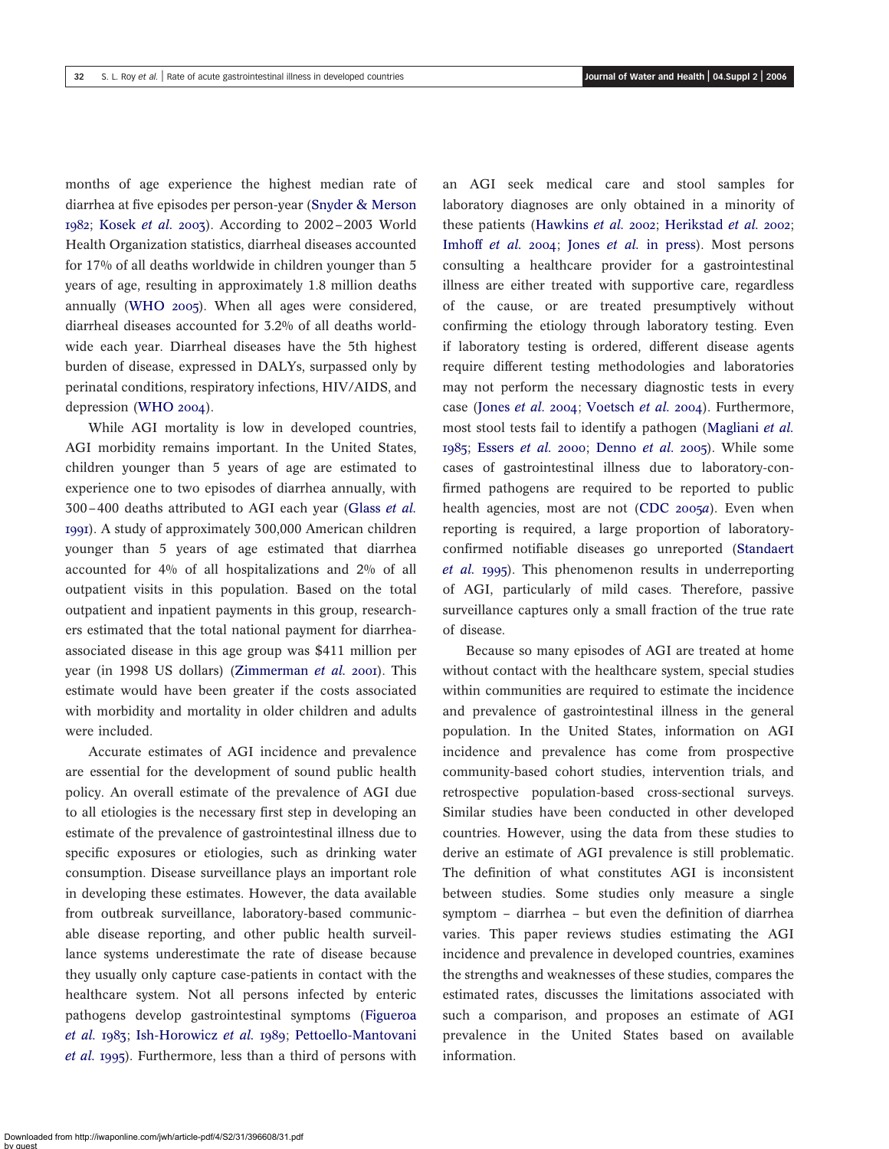months of age experience the highest median rate of diarrhea at five episodes per person-year ([Snyder & Merson](#page-38-0) [1982](#page-38-0); [Kosek](#page-37-0) et al. 2003). According to 2002–2003 World Health Organization statistics, diarrheal diseases accounted for 17% of all deaths worldwide in children younger than 5 years of age, resulting in approximately 1.8 million deaths annually ([WHO 2005](#page-38-0)). When all ages were considered, diarrheal diseases accounted for 3.2% of all deaths worldwide each year. Diarrheal diseases have the 5th highest burden of disease, expressed in DALYs, surpassed only by perinatal conditions, respiratory infections, HIV/AIDS, and depression ([WHO 2004](#page-38-0)).

While AGI mortality is low in developed countries, AGI morbidity remains important. In the United States, children younger than 5 years of age are estimated to experience one to two episodes of diarrhea annually, with 300–400 deaths attributed to AGI each year ([Glass](#page-36-0) et al. [1991](#page-36-0)). A study of approximately 300,000 American children younger than 5 years of age estimated that diarrhea accounted for 4% of all hospitalizations and 2% of all outpatient visits in this population. Based on the total outpatient and inpatient payments in this group, researchers estimated that the total national payment for diarrheaassociated disease in this age group was \$411 million per year (in 1998 US dollars) ([Zimmerman](#page-38-0) et al. 2001). This estimate would have been greater if the costs associated with morbidity and mortality in older children and adults were included.

Accurate estimates of AGI incidence and prevalence are essential for the development of sound public health policy. An overall estimate of the prevalence of AGI due to all etiologies is the necessary first step in developing an estimate of the prevalence of gastrointestinal illness due to specific exposures or etiologies, such as drinking water consumption. Disease surveillance plays an important role in developing these estimates. However, the data available from outbreak surveillance, laboratory-based communicable disease reporting, and other public health surveillance systems underestimate the rate of disease because they usually only capture case-patients in contact with the healthcare system. Not all persons infected by enteric pathogens develop gastrointestinal symptoms ([Figueroa](#page-36-0) [et al.](#page-36-0) 1983; [Ish-Horowicz](#page-37-0) et al. 1989; [Pettoello-Mantovani](#page-37-0) [et al.](#page-37-0) 1995). Furthermore, less than a third of persons with

an AGI seek medical care and stool samples for laboratory diagnoses are only obtained in a minority of these patients ([Hawkins](#page-36-0) et al. 2002; [Herikstad](#page-37-0) et al. 2002; [Imhoff](#page-37-0) et al. 2004; Jones et al. [in press](#page-37-0)). Most persons consulting a healthcare provider for a gastrointestinal illness are either treated with supportive care, regardless of the cause, or are treated presumptively without confirming the etiology through laboratory testing. Even if laboratory testing is ordered, different disease agents require different testing methodologies and laboratories may not perform the necessary diagnostic tests in every case ([Jones](#page-37-0) et al. 2004; [Voetsch](#page-38-0) et al. 2004). Furthermore, most stool tests fail to identify a pathogen ([Magliani](#page-37-0) et al. [1985](#page-37-0); [Essers](#page-36-0) et al. 2000; [Denno](#page-35-0) et al. 2005). While some cases of gastrointestinal illness due to laboratory-confirmed pathogens are required to be reported to public health agencies, most are not ([CDC 2005](#page-35-0)a). Even when reporting is required, a large proportion of laboratoryconfirmed notifiable diseases go unreported ([Standaert](#page-38-0) [et al.](#page-38-0) 1995). This phenomenon results in underreporting of AGI, particularly of mild cases. Therefore, passive surveillance captures only a small fraction of the true rate of disease.

Because so many episodes of AGI are treated at home without contact with the healthcare system, special studies within communities are required to estimate the incidence and prevalence of gastrointestinal illness in the general population. In the United States, information on AGI incidence and prevalence has come from prospective community-based cohort studies, intervention trials, and retrospective population-based cross-sectional surveys. Similar studies have been conducted in other developed countries. However, using the data from these studies to derive an estimate of AGI prevalence is still problematic. The definition of what constitutes AGI is inconsistent between studies. Some studies only measure a single symptom – diarrhea – but even the definition of diarrhea varies. This paper reviews studies estimating the AGI incidence and prevalence in developed countries, examines the strengths and weaknesses of these studies, compares the estimated rates, discusses the limitations associated with such a comparison, and proposes an estimate of AGI prevalence in the United States based on available information.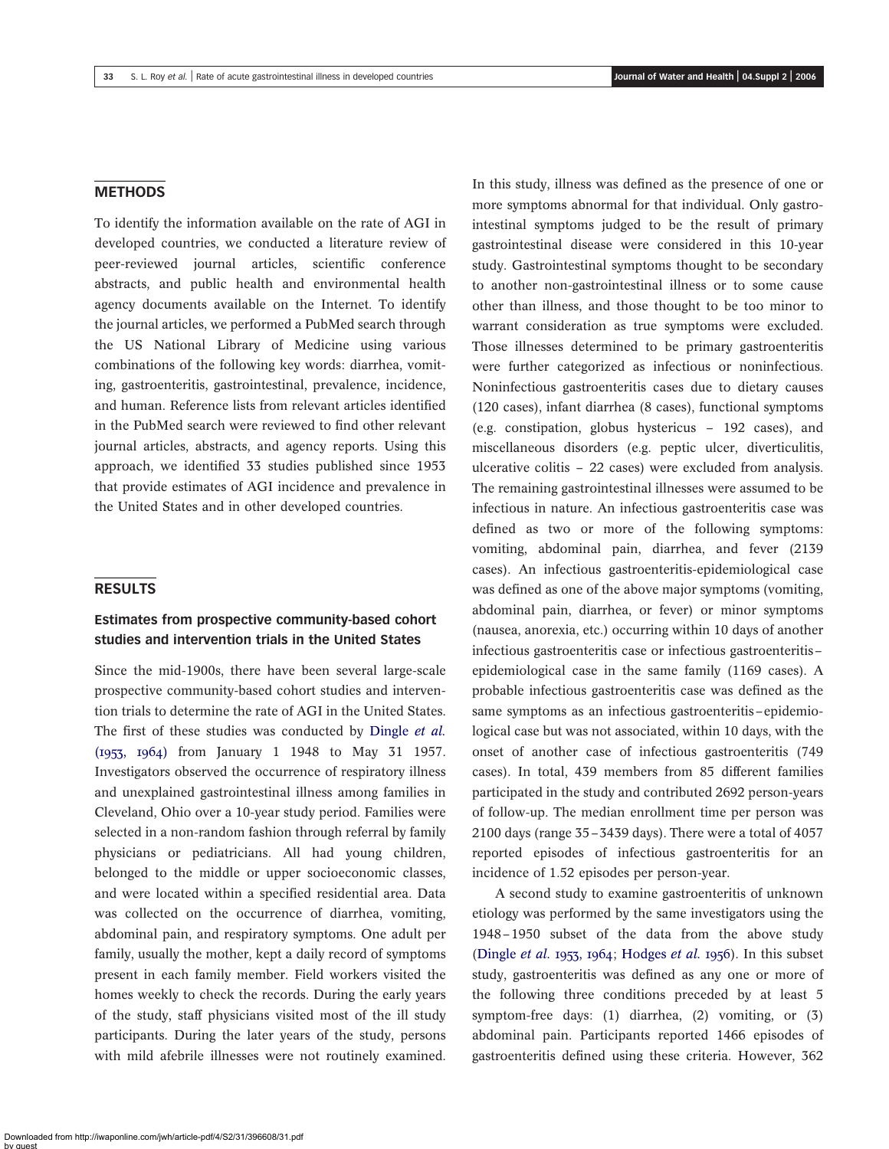## **METHODS**

To identify the information available on the rate of AGI in developed countries, we conducted a literature review of peer-reviewed journal articles, scientific conference abstracts, and public health and environmental health agency documents available on the Internet. To identify the journal articles, we performed a PubMed search through the US National Library of Medicine using various combinations of the following key words: diarrhea, vomiting, gastroenteritis, gastrointestinal, prevalence, incidence, and human. Reference lists from relevant articles identified in the PubMed search were reviewed to find other relevant journal articles, abstracts, and agency reports. Using this approach, we identified 33 studies published since 1953 that provide estimates of AGI incidence and prevalence in the United States and in other developed countries.

## RESULTS

## Estimates from prospective community-based cohort studies and intervention trials in the United States

Since the mid-1900s, there have been several large-scale prospective community-based cohort studies and intervention trials to determine the rate of AGI in the United States. The first of these studies was conducted by [Dingle](#page-36-0) et al. [\(1953, 1964\)](#page-36-0) from January 1 1948 to May 31 1957. Investigators observed the occurrence of respiratory illness and unexplained gastrointestinal illness among families in Cleveland, Ohio over a 10-year study period. Families were selected in a non-random fashion through referral by family physicians or pediatricians. All had young children, belonged to the middle or upper socioeconomic classes, and were located within a specified residential area. Data was collected on the occurrence of diarrhea, vomiting, abdominal pain, and respiratory symptoms. One adult per family, usually the mother, kept a daily record of symptoms present in each family member. Field workers visited the homes weekly to check the records. During the early years of the study, staff physicians visited most of the ill study participants. During the later years of the study, persons with mild afebrile illnesses were not routinely examined.

In this study, illness was defined as the presence of one or more symptoms abnormal for that individual. Only gastrointestinal symptoms judged to be the result of primary gastrointestinal disease were considered in this 10-year study. Gastrointestinal symptoms thought to be secondary to another non-gastrointestinal illness or to some cause other than illness, and those thought to be too minor to warrant consideration as true symptoms were excluded. Those illnesses determined to be primary gastroenteritis were further categorized as infectious or noninfectious. Noninfectious gastroenteritis cases due to dietary causes (120 cases), infant diarrhea (8 cases), functional symptoms (e.g. constipation, globus hystericus – 192 cases), and miscellaneous disorders (e.g. peptic ulcer, diverticulitis, ulcerative colitis – 22 cases) were excluded from analysis. The remaining gastrointestinal illnesses were assumed to be infectious in nature. An infectious gastroenteritis case was defined as two or more of the following symptoms: vomiting, abdominal pain, diarrhea, and fever (2139 cases). An infectious gastroenteritis-epidemiological case was defined as one of the above major symptoms (vomiting, abdominal pain, diarrhea, or fever) or minor symptoms (nausea, anorexia, etc.) occurring within 10 days of another infectious gastroenteritis case or infectious gastroenteritis– epidemiological case in the same family (1169 cases). A probable infectious gastroenteritis case was defined as the same symptoms as an infectious gastroenteritis–epidemiological case but was not associated, within 10 days, with the onset of another case of infectious gastroenteritis (749 cases). In total, 439 members from 85 different families participated in the study and contributed 2692 person-years of follow-up. The median enrollment time per person was 2100 days (range 35–3439 days). There were a total of 4057 reported episodes of infectious gastroenteritis for an incidence of 1.52 episodes per person-year.

A second study to examine gastroenteritis of unknown etiology was performed by the same investigators using the 1948–1950 subset of the data from the above study (Dingle et al. [1953, 1964](#page-36-0); [Hodges](#page-37-0) et al. 1956). In this subset study, gastroenteritis was defined as any one or more of the following three conditions preceded by at least 5 symptom-free days: (1) diarrhea, (2) vomiting, or (3) abdominal pain. Participants reported 1466 episodes of gastroenteritis defined using these criteria. However, 362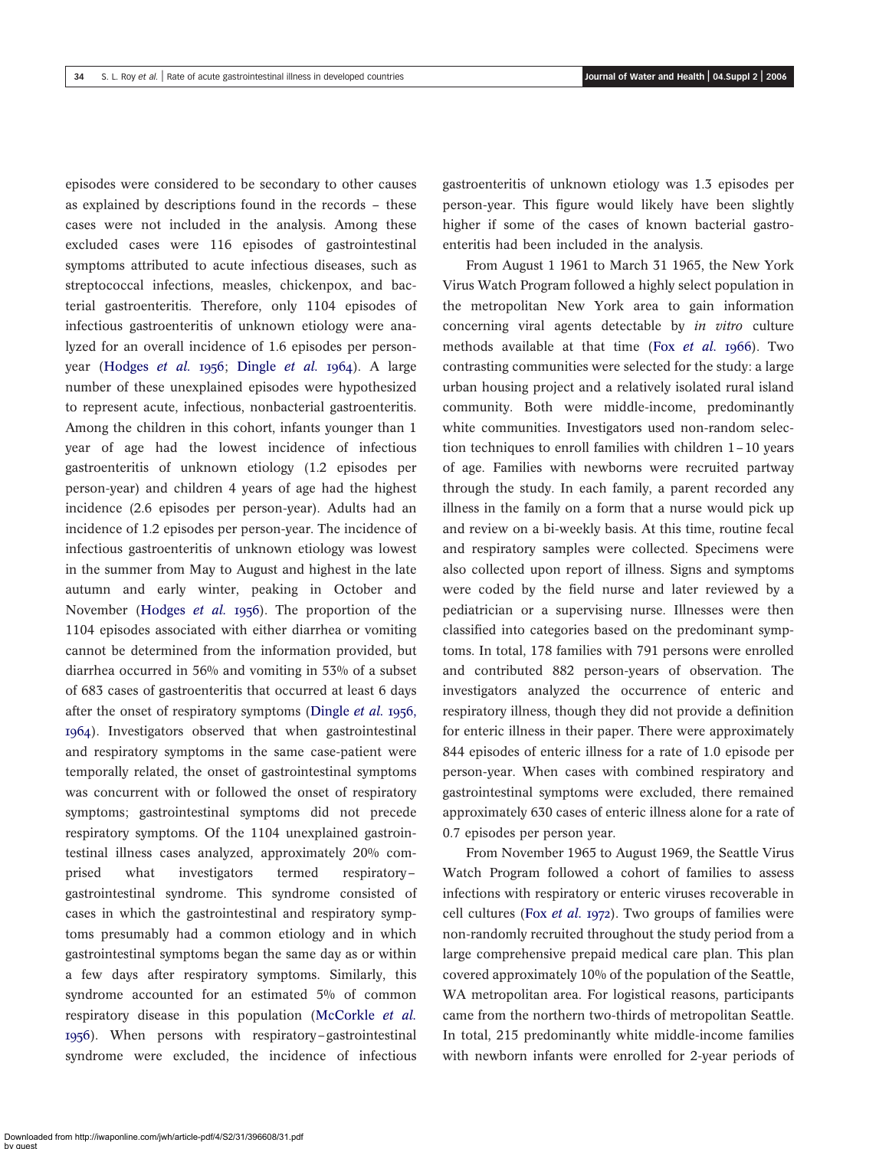episodes were considered to be secondary to other causes as explained by descriptions found in the records – these cases were not included in the analysis. Among these excluded cases were 116 episodes of gastrointestinal symptoms attributed to acute infectious diseases, such as streptococcal infections, measles, chickenpox, and bacterial gastroenteritis. Therefore, only 1104 episodes of infectious gastroenteritis of unknown etiology were analyzed for an overall incidence of 1.6 episodes per person-year ([Hodges](#page-37-0) et al. 1956; [Dingle](#page-36-0) et al. 1964). A large number of these unexplained episodes were hypothesized to represent acute, infectious, nonbacterial gastroenteritis. Among the children in this cohort, infants younger than 1 year of age had the lowest incidence of infectious gastroenteritis of unknown etiology (1.2 episodes per person-year) and children 4 years of age had the highest incidence (2.6 episodes per person-year). Adults had an incidence of 1.2 episodes per person-year. The incidence of infectious gastroenteritis of unknown etiology was lowest in the summer from May to August and highest in the late autumn and early winter, peaking in October and November ([Hodges](#page-37-0) et al. 1956). The proportion of the 1104 episodes associated with either diarrhea or vomiting cannot be determined from the information provided, but diarrhea occurred in 56% and vomiting in 53% of a subset of 683 cases of gastroenteritis that occurred at least 6 days after the onset of respiratory symptoms ([Dingle](#page-36-0) et al. 1956, [1964](#page-36-0)). Investigators observed that when gastrointestinal and respiratory symptoms in the same case-patient were temporally related, the onset of gastrointestinal symptoms was concurrent with or followed the onset of respiratory symptoms; gastrointestinal symptoms did not precede respiratory symptoms. Of the 1104 unexplained gastrointestinal illness cases analyzed, approximately 20% comprised what investigators termed respiratory– gastrointestinal syndrome. This syndrome consisted of cases in which the gastrointestinal and respiratory symptoms presumably had a common etiology and in which gastrointestinal symptoms began the same day as or within a few days after respiratory symptoms. Similarly, this syndrome accounted for an estimated 5% of common respiratory disease in this population ([McCorkle](#page-37-0) et al. [1956](#page-37-0)). When persons with respiratory–gastrointestinal syndrome were excluded, the incidence of infectious gastroenteritis of unknown etiology was 1.3 episodes per person-year. This figure would likely have been slightly higher if some of the cases of known bacterial gastroenteritis had been included in the analysis.

From August 1 1961 to March 31 1965, the New York Virus Watch Program followed a highly select population in the metropolitan New York area to gain information concerning viral agents detectable by in vitro culture methods available at that time (Fox [et al.](#page-36-0) 1966). Two contrasting communities were selected for the study: a large urban housing project and a relatively isolated rural island community. Both were middle-income, predominantly white communities. Investigators used non-random selection techniques to enroll families with children 1–10 years of age. Families with newborns were recruited partway through the study. In each family, a parent recorded any illness in the family on a form that a nurse would pick up and review on a bi-weekly basis. At this time, routine fecal and respiratory samples were collected. Specimens were also collected upon report of illness. Signs and symptoms were coded by the field nurse and later reviewed by a pediatrician or a supervising nurse. Illnesses were then classified into categories based on the predominant symptoms. In total, 178 families with 791 persons were enrolled and contributed 882 person-years of observation. The investigators analyzed the occurrence of enteric and respiratory illness, though they did not provide a definition for enteric illness in their paper. There were approximately 844 episodes of enteric illness for a rate of 1.0 episode per person-year. When cases with combined respiratory and gastrointestinal symptoms were excluded, there remained approximately 630 cases of enteric illness alone for a rate of 0.7 episodes per person year.

From November 1965 to August 1969, the Seattle Virus Watch Program followed a cohort of families to assess infections with respiratory or enteric viruses recoverable in cell cultures (Fox [et al.](#page-36-0) 1972). Two groups of families were non-randomly recruited throughout the study period from a large comprehensive prepaid medical care plan. This plan covered approximately 10% of the population of the Seattle, WA metropolitan area. For logistical reasons, participants came from the northern two-thirds of metropolitan Seattle. In total, 215 predominantly white middle-income families with newborn infants were enrolled for 2-year periods of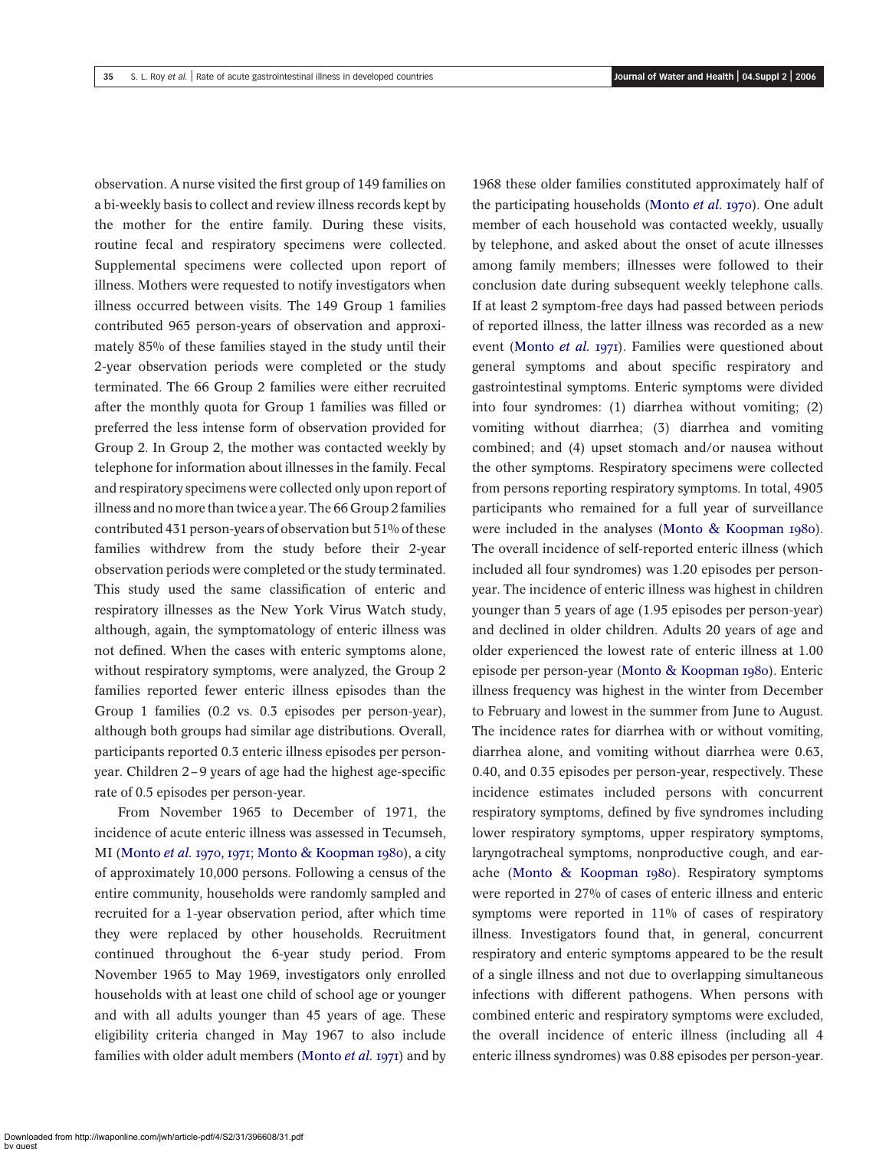observation. A nurse visited the first group of 149 families on a bi-weekly basis to collect and review illness records kept by the mother for the entire family. During these visits, routine fecal and respiratory specimens were collected. Supplemental specimens were collected upon report of illness. Mothers were requested to notify investigators when illness occurred between visits. The 149 Group 1 families contributed 965 person-years of observation and approximately 85% of these families stayed in the study until their 2-year observation periods were completed or the study terminated. The 66 Group 2 families were either recruited after the monthly quota for Group 1 families was filled or preferred the less intense form of observation provided for Group 2. In Group 2, the mother was contacted weekly by telephone for information about illnesses in the family. Fecal and respiratory specimens were collected only upon report of illness and no more than twice a year. The 66 Group 2 families contributed 431 person-years of observation but 51% of these families withdrew from the study before their 2-year observation periods were completed or the study terminated. This study used the same classification of enteric and respiratory illnesses as the New York Virus Watch study, although, again, the symptomatology of enteric illness was not defined. When the cases with enteric symptoms alone, without respiratory symptoms, were analyzed, the Group 2 families reported fewer enteric illness episodes than the Group 1 families (0.2 vs. 0.3 episodes per person-year), although both groups had similar age distributions. Overall, participants reported 0.3 enteric illness episodes per personyear. Children 2–9 years of age had the highest age-specific rate of 0.5 episodes per person-year.

From November 1965 to December of 1971, the incidence of acute enteric illness was assessed in Tecumseh, MI (Monto et al. [1970, 1971](#page-37-0); [Monto & Koopman 1980](#page-37-0)), a city of approximately 10,000 persons. Following a census of the entire community, households were randomly sampled and recruited for a 1-year observation period, after which time they were replaced by other households. Recruitment continued throughout the 6-year study period. From November 1965 to May 1969, investigators only enrolled households with at least one child of school age or younger and with all adults younger than 45 years of age. These eligibility criteria changed in May 1967 to also include families with older adult members ([Monto](#page-37-0) *et al.* 1971) and by 1968 these older families constituted approximately half of the participating households ([Monto](#page-37-0) et al. 1970). One adult member of each household was contacted weekly, usually by telephone, and asked about the onset of acute illnesses among family members; illnesses were followed to their conclusion date during subsequent weekly telephone calls. If at least 2 symptom-free days had passed between periods of reported illness, the latter illness was recorded as a new event ([Monto](#page-37-0) et al. 1971). Families were questioned about general symptoms and about specific respiratory and gastrointestinal symptoms. Enteric symptoms were divided into four syndromes: (1) diarrhea without vomiting; (2) vomiting without diarrhea; (3) diarrhea and vomiting combined; and (4) upset stomach and/or nausea without the other symptoms. Respiratory specimens were collected from persons reporting respiratory symptoms. In total, 4905 participants who remained for a full year of surveillance were included in the analyses ([Monto & Koopman 1980](#page-37-0)). The overall incidence of self-reported enteric illness (which included all four syndromes) was 1.20 episodes per personyear. The incidence of enteric illness was highest in children younger than 5 years of age (1.95 episodes per person-year) and declined in older children. Adults 20 years of age and older experienced the lowest rate of enteric illness at 1.00 episode per person-year ([Monto & Koopman 1980](#page-37-0)). Enteric illness frequency was highest in the winter from December to February and lowest in the summer from June to August. The incidence rates for diarrhea with or without vomiting, diarrhea alone, and vomiting without diarrhea were 0.63, 0.40, and 0.35 episodes per person-year, respectively. These incidence estimates included persons with concurrent respiratory symptoms, defined by five syndromes including lower respiratory symptoms, upper respiratory symptoms, laryngotracheal symptoms, nonproductive cough, and earache ([Monto & Koopman 1980](#page-37-0)). Respiratory symptoms were reported in 27% of cases of enteric illness and enteric symptoms were reported in 11% of cases of respiratory illness. Investigators found that, in general, concurrent respiratory and enteric symptoms appeared to be the result of a single illness and not due to overlapping simultaneous infections with different pathogens. When persons with combined enteric and respiratory symptoms were excluded, the overall incidence of enteric illness (including all 4 enteric illness syndromes) was 0.88 episodes per person-year.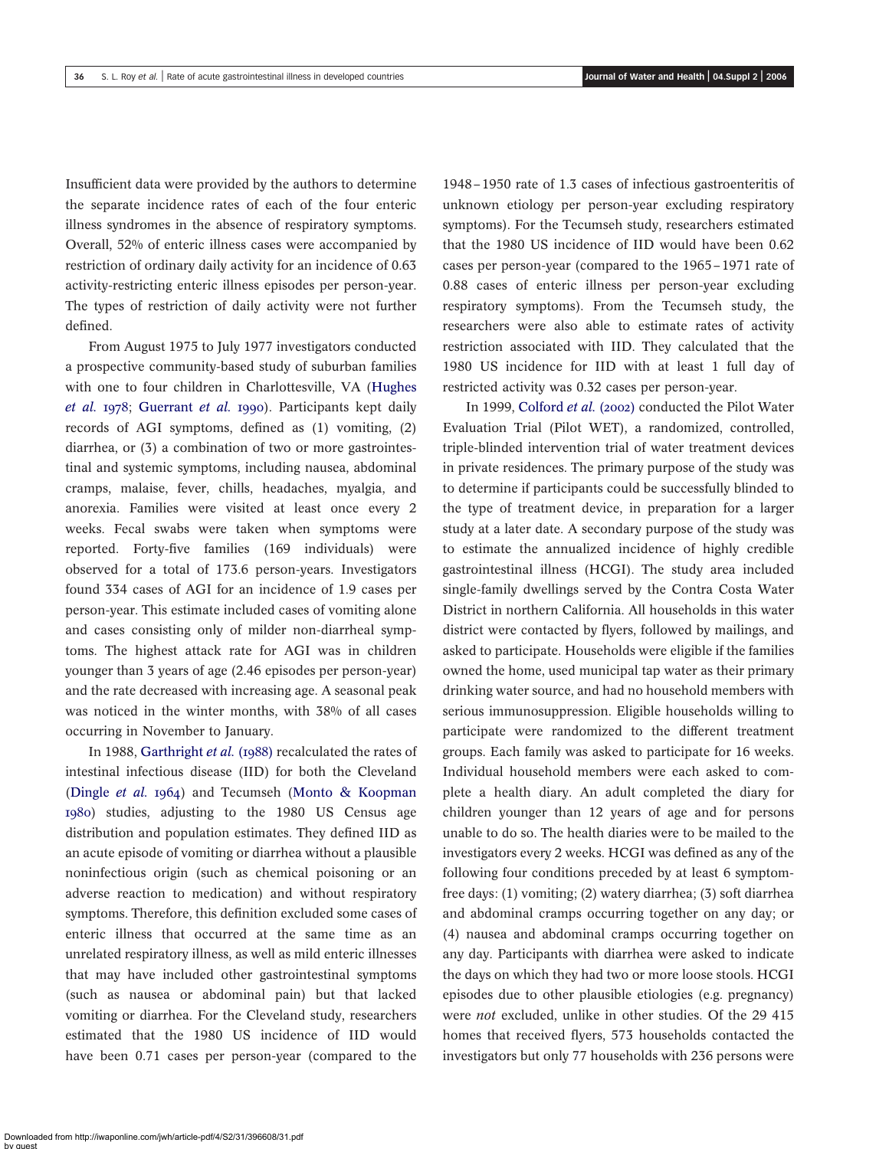Insufficient data were provided by the authors to determine the separate incidence rates of each of the four enteric illness syndromes in the absence of respiratory symptoms. Overall, 52% of enteric illness cases were accompanied by restriction of ordinary daily activity for an incidence of 0.63 activity-restricting enteric illness episodes per person-year. The types of restriction of daily activity were not further defined.

From August 1975 to July 1977 investigators conducted a prospective community-based study of suburban families with one to four children in Charlottesville, VA ([Hughes](#page-37-0) [et al.](#page-37-0) 1978; [Guerrant](#page-36-0) et al. 1990). Participants kept daily records of AGI symptoms, defined as (1) vomiting, (2) diarrhea, or (3) a combination of two or more gastrointestinal and systemic symptoms, including nausea, abdominal cramps, malaise, fever, chills, headaches, myalgia, and anorexia. Families were visited at least once every 2 weeks. Fecal swabs were taken when symptoms were reported. Forty-five families (169 individuals) were observed for a total of 173.6 person-years. Investigators found 334 cases of AGI for an incidence of 1.9 cases per person-year. This estimate included cases of vomiting alone and cases consisting only of milder non-diarrheal symptoms. The highest attack rate for AGI was in children younger than 3 years of age (2.46 episodes per person-year) and the rate decreased with increasing age. A seasonal peak was noticed in the winter months, with 38% of all cases occurring in November to January.

In 1988, [Garthright](#page-36-0) et al. (1988) recalculated the rates of intestinal infectious disease (IID) for both the Cleveland ([Dingle](#page-36-0) et al. 1964) and Tecumseh ([Monto & Koopman](#page-37-0) [1980](#page-37-0)) studies, adjusting to the 1980 US Census age distribution and population estimates. They defined IID as an acute episode of vomiting or diarrhea without a plausible noninfectious origin (such as chemical poisoning or an adverse reaction to medication) and without respiratory symptoms. Therefore, this definition excluded some cases of enteric illness that occurred at the same time as an unrelated respiratory illness, as well as mild enteric illnesses that may have included other gastrointestinal symptoms (such as nausea or abdominal pain) but that lacked vomiting or diarrhea. For the Cleveland study, researchers estimated that the 1980 US incidence of IID would have been 0.71 cases per person-year (compared to the

1948–1950 rate of 1.3 cases of infectious gastroenteritis of unknown etiology per person-year excluding respiratory symptoms). For the Tecumseh study, researchers estimated that the 1980 US incidence of IID would have been 0.62 cases per person-year (compared to the 1965–1971 rate of 0.88 cases of enteric illness per person-year excluding respiratory symptoms). From the Tecumseh study, the researchers were also able to estimate rates of activity restriction associated with IID. They calculated that the 1980 US incidence for IID with at least 1 full day of restricted activity was 0.32 cases per person-year.

In 1999, [Colford](#page-35-0) et al. (2002) conducted the Pilot Water Evaluation Trial (Pilot WET), a randomized, controlled, triple-blinded intervention trial of water treatment devices in private residences. The primary purpose of the study was to determine if participants could be successfully blinded to the type of treatment device, in preparation for a larger study at a later date. A secondary purpose of the study was to estimate the annualized incidence of highly credible gastrointestinal illness (HCGI). The study area included single-family dwellings served by the Contra Costa Water District in northern California. All households in this water district were contacted by flyers, followed by mailings, and asked to participate. Households were eligible if the families owned the home, used municipal tap water as their primary drinking water source, and had no household members with serious immunosuppression. Eligible households willing to participate were randomized to the different treatment groups. Each family was asked to participate for 16 weeks. Individual household members were each asked to complete a health diary. An adult completed the diary for children younger than 12 years of age and for persons unable to do so. The health diaries were to be mailed to the investigators every 2 weeks. HCGI was defined as any of the following four conditions preceded by at least 6 symptomfree days: (1) vomiting; (2) watery diarrhea; (3) soft diarrhea and abdominal cramps occurring together on any day; or (4) nausea and abdominal cramps occurring together on any day. Participants with diarrhea were asked to indicate the days on which they had two or more loose stools. HCGI episodes due to other plausible etiologies (e.g. pregnancy) were not excluded, unlike in other studies. Of the 29 415 homes that received flyers, 573 households contacted the investigators but only 77 households with 236 persons were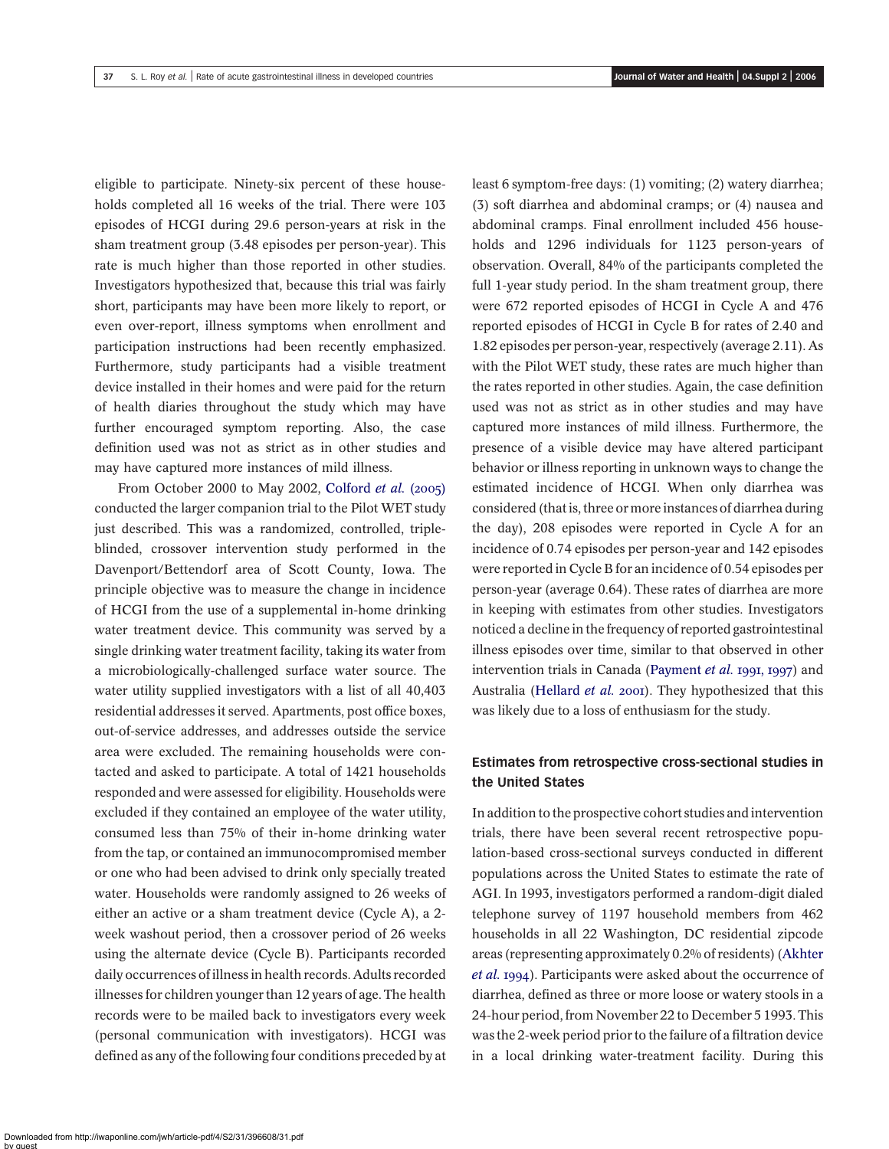eligible to participate. Ninety-six percent of these households completed all 16 weeks of the trial. There were 103 episodes of HCGI during 29.6 person-years at risk in the sham treatment group (3.48 episodes per person-year). This rate is much higher than those reported in other studies. Investigators hypothesized that, because this trial was fairly short, participants may have been more likely to report, or even over-report, illness symptoms when enrollment and participation instructions had been recently emphasized. Furthermore, study participants had a visible treatment device installed in their homes and were paid for the return of health diaries throughout the study which may have further encouraged symptom reporting. Also, the case definition used was not as strict as in other studies and may have captured more instances of mild illness.

From October 2000 to May 2002, [Colford](#page-35-0) et al. (2005) conducted the larger companion trial to the Pilot WET study just described. This was a randomized, controlled, tripleblinded, crossover intervention study performed in the Davenport/Bettendorf area of Scott County, Iowa. The principle objective was to measure the change in incidence of HCGI from the use of a supplemental in-home drinking water treatment device. This community was served by a single drinking water treatment facility, taking its water from a microbiologically-challenged surface water source. The water utility supplied investigators with a list of all 40,403 residential addresses it served. Apartments, post office boxes, out-of-service addresses, and addresses outside the service area were excluded. The remaining households were contacted and asked to participate. A total of 1421 households responded and were assessed for eligibility. Households were excluded if they contained an employee of the water utility, consumed less than 75% of their in-home drinking water from the tap, or contained an immunocompromised member or one who had been advised to drink only specially treated water. Households were randomly assigned to 26 weeks of either an active or a sham treatment device (Cycle A), a 2 week washout period, then a crossover period of 26 weeks using the alternate device (Cycle B). Participants recorded daily occurrences of illness in health records. Adults recorded illnesses for children younger than 12 years of age. The health records were to be mailed back to investigators every week (personal communication with investigators). HCGI was defined as any of the following four conditions preceded by at least 6 symptom-free days: (1) vomiting; (2) watery diarrhea; (3) soft diarrhea and abdominal cramps; or (4) nausea and abdominal cramps. Final enrollment included 456 households and 1296 individuals for 1123 person-years of observation. Overall, 84% of the participants completed the full 1-year study period. In the sham treatment group, there were 672 reported episodes of HCGI in Cycle A and 476 reported episodes of HCGI in Cycle B for rates of 2.40 and 1.82 episodes per person-year, respectively (average 2.11). As with the Pilot WET study, these rates are much higher than the rates reported in other studies. Again, the case definition used was not as strict as in other studies and may have captured more instances of mild illness. Furthermore, the presence of a visible device may have altered participant behavior or illness reporting in unknown ways to change the estimated incidence of HCGI. When only diarrhea was considered (that is, three or more instances of diarrhea during the day), 208 episodes were reported in Cycle A for an incidence of 0.74 episodes per person-year and 142 episodes were reported in Cycle B for an incidence of 0.54 episodes per person-year (average 0.64). These rates of diarrhea are more in keeping with estimates from other studies. Investigators noticed a decline in the frequency of reported gastrointestinal illness episodes over time, similar to that observed in other intervention trials in Canada (Payment et al. [1991, 1997](#page-37-0)) and Australia ([Hellard](#page-37-0) et al. 2001). They hypothesized that this was likely due to a loss of enthusiasm for the study.

## Estimates from retrospective cross-sectional studies in the United States

In addition to the prospective cohort studies and intervention trials, there have been several recent retrospective population-based cross-sectional surveys conducted in different populations across the United States to estimate the rate of AGI. In 1993, investigators performed a random-digit dialed telephone survey of 1197 household members from 462 households in all 22 Washington, DC residential zipcode areas (representing approximately 0.2% of residents) ([Akhter](#page-35-0) [et al.](#page-35-0) 1994). Participants were asked about the occurrence of diarrhea, defined as three or more loose or watery stools in a 24-hour period, from November 22 to December 5 1993. This was the 2-week period prior to the failure of a filtration device in a local drinking water-treatment facility. During this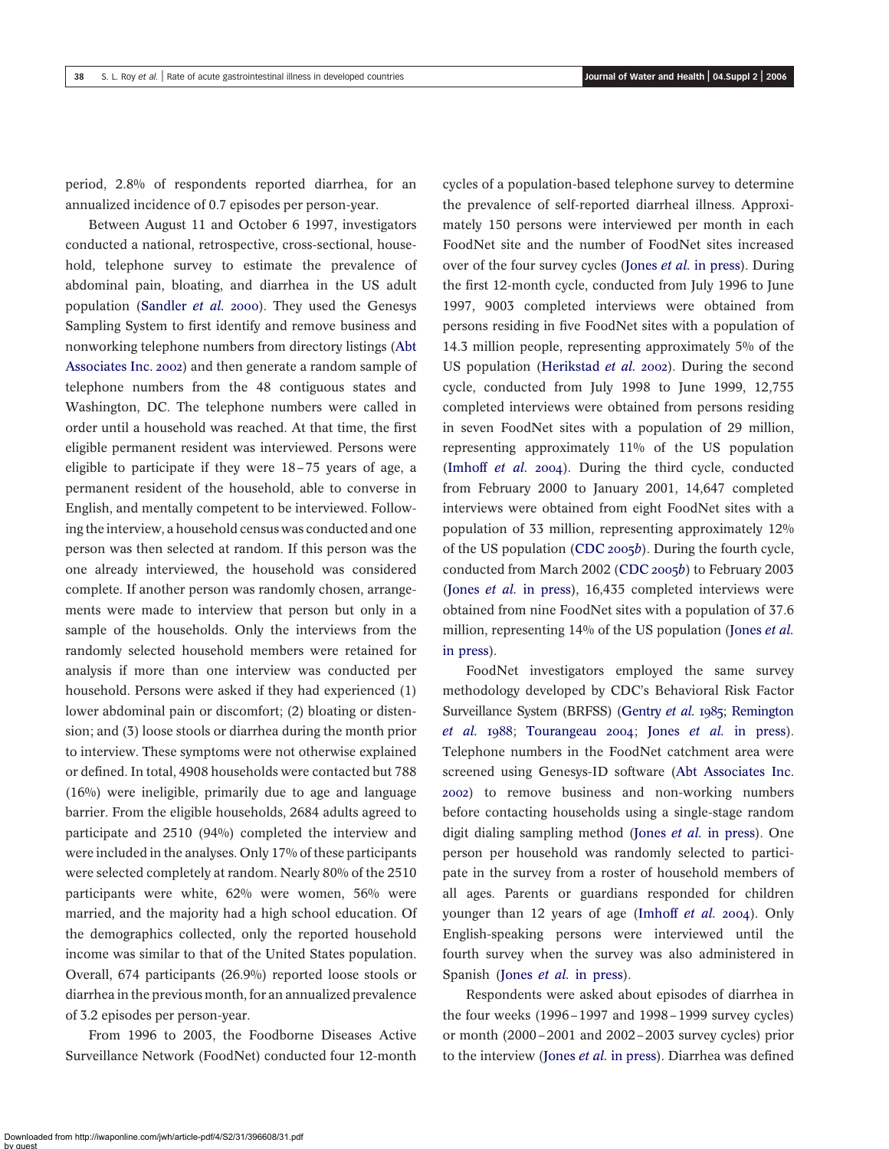period, 2.8% of respondents reported diarrhea, for an annualized incidence of 0.7 episodes per person-year.

Between August 11 and October 6 1997, investigators conducted a national, retrospective, cross-sectional, household, telephone survey to estimate the prevalence of abdominal pain, bloating, and diarrhea in the US adult population ([Sandler](#page-38-0) et al. 2000). They used the Genesys Sampling System to first identify and remove business and nonworking telephone numbers from directory listings ([Abt](#page-35-0) [Associates Inc. 2002](#page-35-0)) and then generate a random sample of telephone numbers from the 48 contiguous states and Washington, DC. The telephone numbers were called in order until a household was reached. At that time, the first eligible permanent resident was interviewed. Persons were eligible to participate if they were 18–75 years of age, a permanent resident of the household, able to converse in English, and mentally competent to be interviewed. Following the interview, a household census was conducted and one person was then selected at random. If this person was the one already interviewed, the household was considered complete. If another person was randomly chosen, arrangements were made to interview that person but only in a sample of the households. Only the interviews from the randomly selected household members were retained for analysis if more than one interview was conducted per household. Persons were asked if they had experienced (1) lower abdominal pain or discomfort; (2) bloating or distension; and (3) loose stools or diarrhea during the month prior to interview. These symptoms were not otherwise explained or defined. In total, 4908 households were contacted but 788 (16%) were ineligible, primarily due to age and language barrier. From the eligible households, 2684 adults agreed to participate and 2510 (94%) completed the interview and were included in the analyses. Only 17% of these participants were selected completely at random. Nearly 80% of the 2510 participants were white, 62% were women, 56% were married, and the majority had a high school education. Of the demographics collected, only the reported household income was similar to that of the United States population. Overall, 674 participants (26.9%) reported loose stools or diarrhea in the previous month, for an annualized prevalence of 3.2 episodes per person-year.

From 1996 to 2003, the Foodborne Diseases Active Surveillance Network (FoodNet) conducted four 12-month

cycles of a population-based telephone survey to determine the prevalence of self-reported diarrheal illness. Approximately 150 persons were interviewed per month in each FoodNet site and the number of FoodNet sites increased over of the four survey cycles (Jones et al. [in press](#page-37-0)). During the first 12-month cycle, conducted from July 1996 to June 1997, 9003 completed interviews were obtained from persons residing in five FoodNet sites with a population of 14.3 million people, representing approximately 5% of the US population ([Herikstad](#page-37-0) et al. 2002). During the second cycle, conducted from July 1998 to June 1999, 12,755 completed interviews were obtained from persons residing in seven FoodNet sites with a population of 29 million, representing approximately 11% of the US population ([Imhoff](#page-37-0) et al. 2004). During the third cycle, conducted from February 2000 to January 2001, 14,647 completed interviews were obtained from eight FoodNet sites with a population of 33 million, representing approximately 12% of the US population ([CDC 2005](#page-35-0)b). During the fourth cycle, conducted from March 2002 ([CDC 2005](#page-35-0)b) to February 2003 (Jones et al. [in press](#page-37-0)), 16,435 completed interviews were obtained from nine FoodNet sites with a population of 37.6 million, representing 14% of the US population ([Jones](#page-37-0) et al. [in press](#page-37-0)).

FoodNet investigators employed the same survey methodology developed by CDC's Behavioral Risk Factor Surveillance System (BRFSS) ([Gentry](#page-36-0) et al. 1985; [Remington](#page-38-0) [et al.](#page-38-0) 1988; [Tourangeau 2004](#page-38-0); Jones et al. [in press](#page-37-0)). Telephone numbers in the FoodNet catchment area were screened using Genesys-ID software ([Abt Associates Inc.](#page-35-0) [2002](#page-35-0)) to remove business and non-working numbers before contacting households using a single-stage random digit dialing sampling method (Jones *et al.* [in press](#page-37-0)). One person per household was randomly selected to participate in the survey from a roster of household members of all ages. Parents or guardians responded for children younger than 12 years of age ([Imhoff](#page-37-0) et al. 2004). Only English-speaking persons were interviewed until the fourth survey when the survey was also administered in Spanish (Jones et al. [in press](#page-37-0)).

Respondents were asked about episodes of diarrhea in the four weeks (1996–1997 and 1998–1999 survey cycles) or month (2000–2001 and 2002–2003 survey cycles) prior to the interview (Jones et al. [in press](#page-37-0)). Diarrhea was defined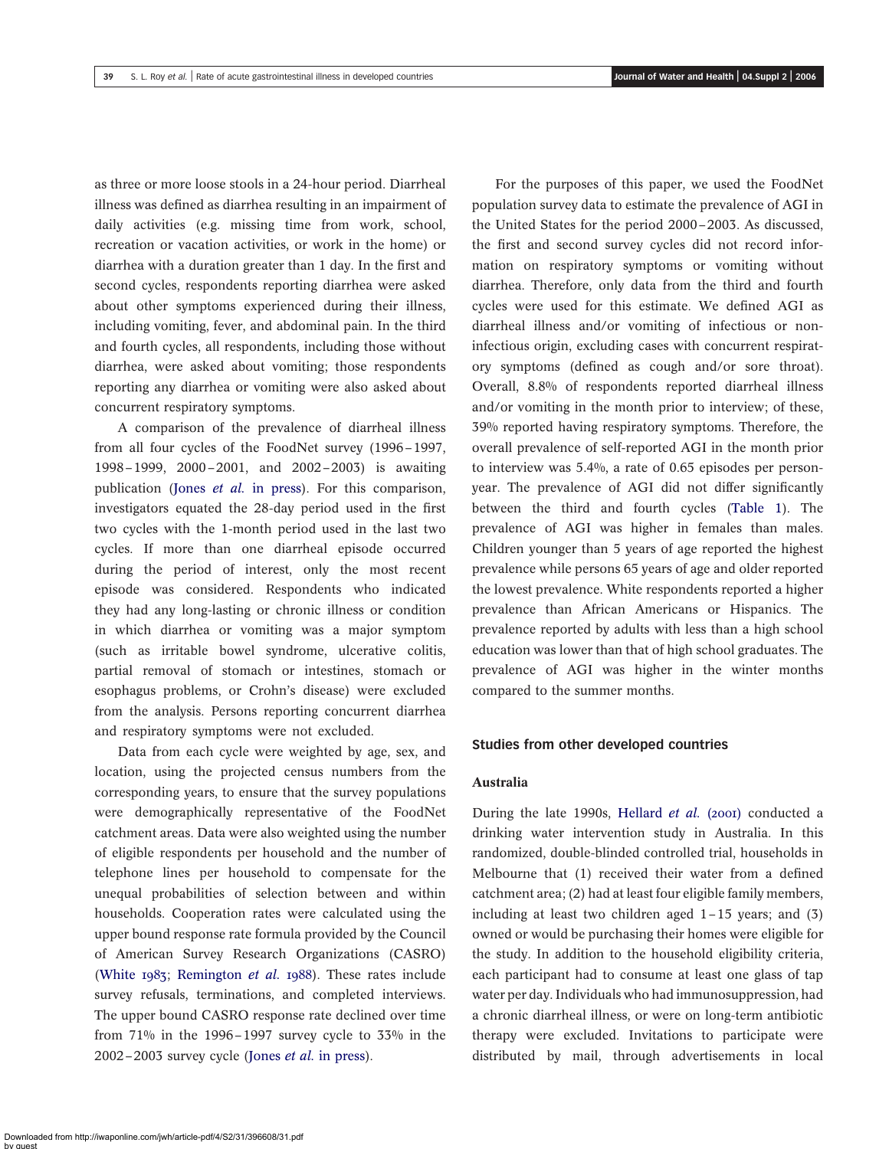as three or more loose stools in a 24-hour period. Diarrheal illness was defined as diarrhea resulting in an impairment of daily activities (e.g. missing time from work, school, recreation or vacation activities, or work in the home) or diarrhea with a duration greater than 1 day. In the first and second cycles, respondents reporting diarrhea were asked about other symptoms experienced during their illness, including vomiting, fever, and abdominal pain. In the third and fourth cycles, all respondents, including those without diarrhea, were asked about vomiting; those respondents reporting any diarrhea or vomiting were also asked about concurrent respiratory symptoms.

A comparison of the prevalence of diarrheal illness from all four cycles of the FoodNet survey (1996–1997, 1998–1999, 2000–2001, and 2002–2003) is awaiting publication (Jones et al. [in press](#page-37-0)). For this comparison, investigators equated the 28-day period used in the first two cycles with the 1-month period used in the last two cycles. If more than one diarrheal episode occurred during the period of interest, only the most recent episode was considered. Respondents who indicated they had any long-lasting or chronic illness or condition in which diarrhea or vomiting was a major symptom (such as irritable bowel syndrome, ulcerative colitis, partial removal of stomach or intestines, stomach or esophagus problems, or Crohn's disease) were excluded from the analysis. Persons reporting concurrent diarrhea and respiratory symptoms were not excluded.

Data from each cycle were weighted by age, sex, and location, using the projected census numbers from the corresponding years, to ensure that the survey populations were demographically representative of the FoodNet catchment areas. Data were also weighted using the number of eligible respondents per household and the number of telephone lines per household to compensate for the unequal probabilities of selection between and within households. Cooperation rates were calculated using the upper bound response rate formula provided by the Council of American Survey Research Organizations (CASRO) ([White 1983](#page-38-0); [Remington](#page-38-0) et al. 1988). These rates include survey refusals, terminations, and completed interviews. The upper bound CASRO response rate declined over time from 71% in the 1996–1997 survey cycle to 33% in the 2002–2003 survey cycle (Jones et al. [in press](#page-37-0)).

For the purposes of this paper, we used the FoodNet population survey data to estimate the prevalence of AGI in the United States for the period 2000–2003. As discussed, the first and second survey cycles did not record information on respiratory symptoms or vomiting without diarrhea. Therefore, only data from the third and fourth cycles were used for this estimate. We defined AGI as diarrheal illness and/or vomiting of infectious or noninfectious origin, excluding cases with concurrent respiratory symptoms (defined as cough and/or sore throat). Overall, 8.8% of respondents reported diarrheal illness and/or vomiting in the month prior to interview; of these, 39% reported having respiratory symptoms. Therefore, the overall prevalence of self-reported AGI in the month prior to interview was 5.4%, a rate of 0.65 episodes per personyear. The prevalence of AGI did not differ significantly between the third and fourth cycles [\(Table 1\)](#page-9-0). The prevalence of AGI was higher in females than males. Children younger than 5 years of age reported the highest prevalence while persons 65 years of age and older reported the lowest prevalence. White respondents reported a higher prevalence than African Americans or Hispanics. The prevalence reported by adults with less than a high school education was lower than that of high school graduates. The prevalence of AGI was higher in the winter months compared to the summer months.

### Studies from other developed countries

### Australia

During the late 1990s, [Hellard](#page-37-0) et al. (2001) conducted a drinking water intervention study in Australia. In this randomized, double-blinded controlled trial, households in Melbourne that (1) received their water from a defined catchment area; (2) had at least four eligible family members, including at least two children aged  $1-15$  years; and  $(3)$ owned or would be purchasing their homes were eligible for the study. In addition to the household eligibility criteria, each participant had to consume at least one glass of tap water per day. Individuals who had immunosuppression, had a chronic diarrheal illness, or were on long-term antibiotic therapy were excluded. Invitations to participate were distributed by mail, through advertisements in local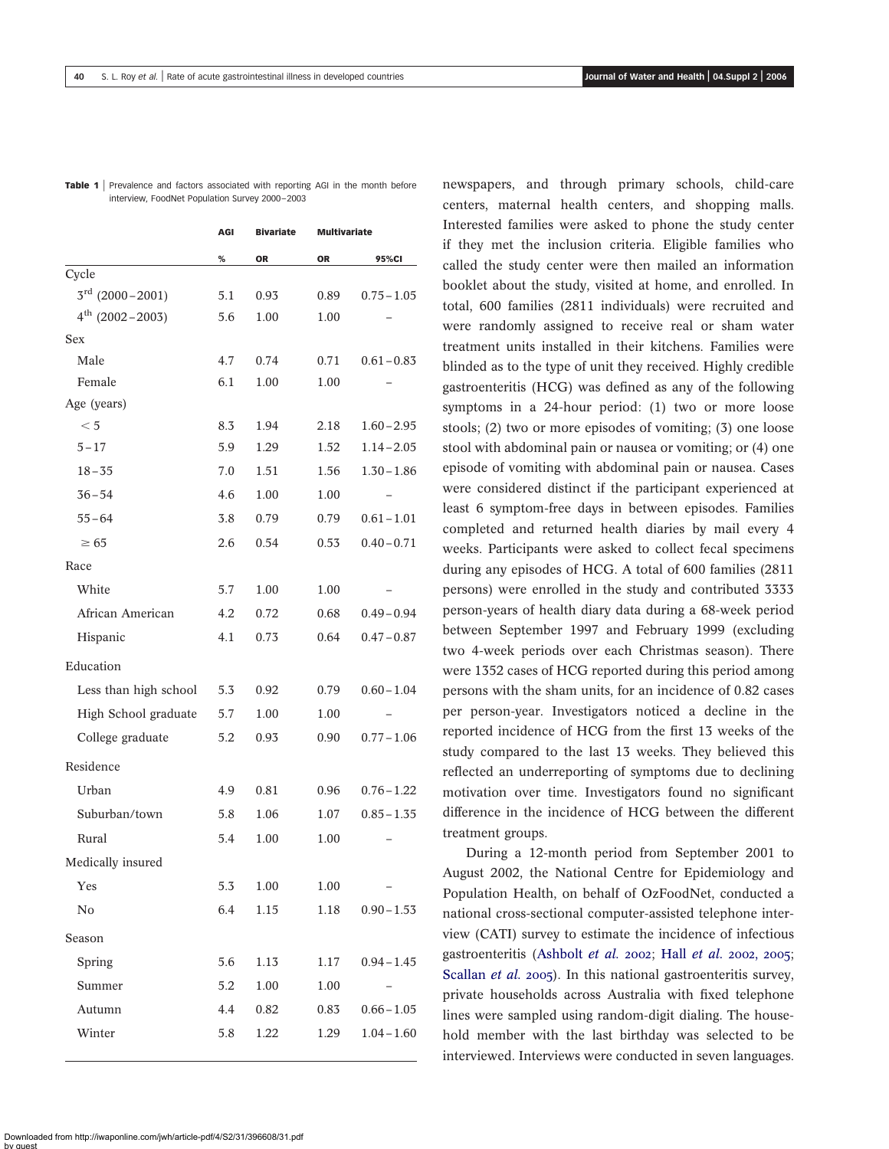|                               | AGI     | <b>Bivariate</b> | <b>Multivariate</b> |               |
|-------------------------------|---------|------------------|---------------------|---------------|
|                               | $\%$    | OR               | OR                  | 95%CI         |
| Cycle                         |         |                  |                     |               |
| $3^{\text{rd}}$ (2000 - 2001) | 5.1     | 0.93             | 0.89                | $0.75 - 1.05$ |
| $4^{th}$ (2002 – 2003)        | 5.6     | 1.00             | 1.00                |               |
| Sex                           |         |                  |                     |               |
| Male                          | 4.7     | 0.74             | 0.71                | $0.61 - 0.83$ |
| Female                        | 6.1     | 1.00             | 1.00                |               |
| Age (years)                   |         |                  |                     |               |
| < 5                           | 8.3     | 1.94             | 2.18                | $1.60 - 2.95$ |
| $5 - 17$                      | 5.9     | 1.29             | 1.52                | $1.14 - 2.05$ |
| $18 - 35$                     | 7.0     | 1.51             | 1.56                | $1.30 - 1.86$ |
| $36 - 54$                     | 4.6     | 1.00             | 1.00                |               |
| $55 - 64$                     | 3.8     | 0.79             | 0.79                | $0.61 - 1.01$ |
| $\geq 65$                     | 2.6     | 0.54             | 0.53                | $0.40 - 0.71$ |
| Race                          |         |                  |                     |               |
| White                         | 5.7     | 1.00             | 1.00                |               |
| African American              | 4.2     | 0.72             | 0.68                | $0.49 - 0.94$ |
| Hispanic                      | 4.1     | 0.73             | 0.64                | $0.47 - 0.87$ |
| Education                     |         |                  |                     |               |
| Less than high school         | 5.3     | 0.92             | 0.79                | $0.60 - 1.04$ |
| High School graduate          | 5.7     | 1.00             | 1.00                |               |
| College graduate              | 5.2     | 0.93             | 0.90                | $0.77 - 1.06$ |
| Residence                     |         |                  |                     |               |
| Urban                         | 4.9     | 0.81             | 0.96                | $0.76 - 1.22$ |
| Suburban/town                 | 5.8     | 1.06             | 1.07                | $0.85 - 1.35$ |
| Rural                         | 5.4     | 1.00             | 1.00                |               |
| Medically insured             |         |                  |                     |               |
| Yes                           | $5.3\,$ | 1.00             | 1.00                |               |
| No                            | 6.4     | 1.15             | 1.18                | $0.90 - 1.53$ |
| Season                        |         |                  |                     |               |
| Spring                        | 5.6     | 1.13             | 1.17                | $0.94 - 1.45$ |
| Summer                        | 5.2     | 1.00             | 1.00                |               |
| Autumn                        | 4.4     | 0.82             | 0.83                | $0.66 - 1.05$ |
| Winter                        | 5.8     | 1.22             | 1.29                | $1.04 - 1.60$ |

<span id="page-9-0"></span>**Table 1** | Prevalence and factors associated with reporting AGI in the month before interview, FoodNet Population Survey 2000–2003

newspapers, and through primary schools, child-care centers, maternal health centers, and shopping malls. Interested families were asked to phone the study center if they met the inclusion criteria. Eligible families who called the study center were then mailed an information booklet about the study, visited at home, and enrolled. In total, 600 families (2811 individuals) were recruited and were randomly assigned to receive real or sham water treatment units installed in their kitchens. Families were blinded as to the type of unit they received. Highly credible gastroenteritis (HCG) was defined as any of the following symptoms in a 24-hour period: (1) two or more loose stools; (2) two or more episodes of vomiting; (3) one loose stool with abdominal pain or nausea or vomiting; or (4) one episode of vomiting with abdominal pain or nausea. Cases were considered distinct if the participant experienced at least 6 symptom-free days in between episodes. Families completed and returned health diaries by mail every 4 weeks. Participants were asked to collect fecal specimens during any episodes of HCG. A total of 600 families (2811 persons) were enrolled in the study and contributed 3333 person-years of health diary data during a 68-week period between September 1997 and February 1999 (excluding two 4-week periods over each Christmas season). There were 1352 cases of HCG reported during this period among persons with the sham units, for an incidence of 0.82 cases per person-year. Investigators noticed a decline in the reported incidence of HCG from the first 13 weeks of the study compared to the last 13 weeks. They believed this reflected an underreporting of symptoms due to declining motivation over time. Investigators found no significant difference in the incidence of HCG between the different treatment groups.

During a 12-month period from September 2001 to August 2002, the National Centre for Epidemiology and Population Health, on behalf of OzFoodNet, conducted a national cross-sectional computer-assisted telephone interview (CATI) survey to estimate the incidence of infectious gastroenteritis ([Ashbolt](#page-35-0) et al. 2002; Hall et al. [2002, 2005](#page-36-0); [Scallan](#page-38-0) et al. 2005). In this national gastroenteritis survey, private households across Australia with fixed telephone lines were sampled using random-digit dialing. The household member with the last birthday was selected to be interviewed. Interviews were conducted in seven languages.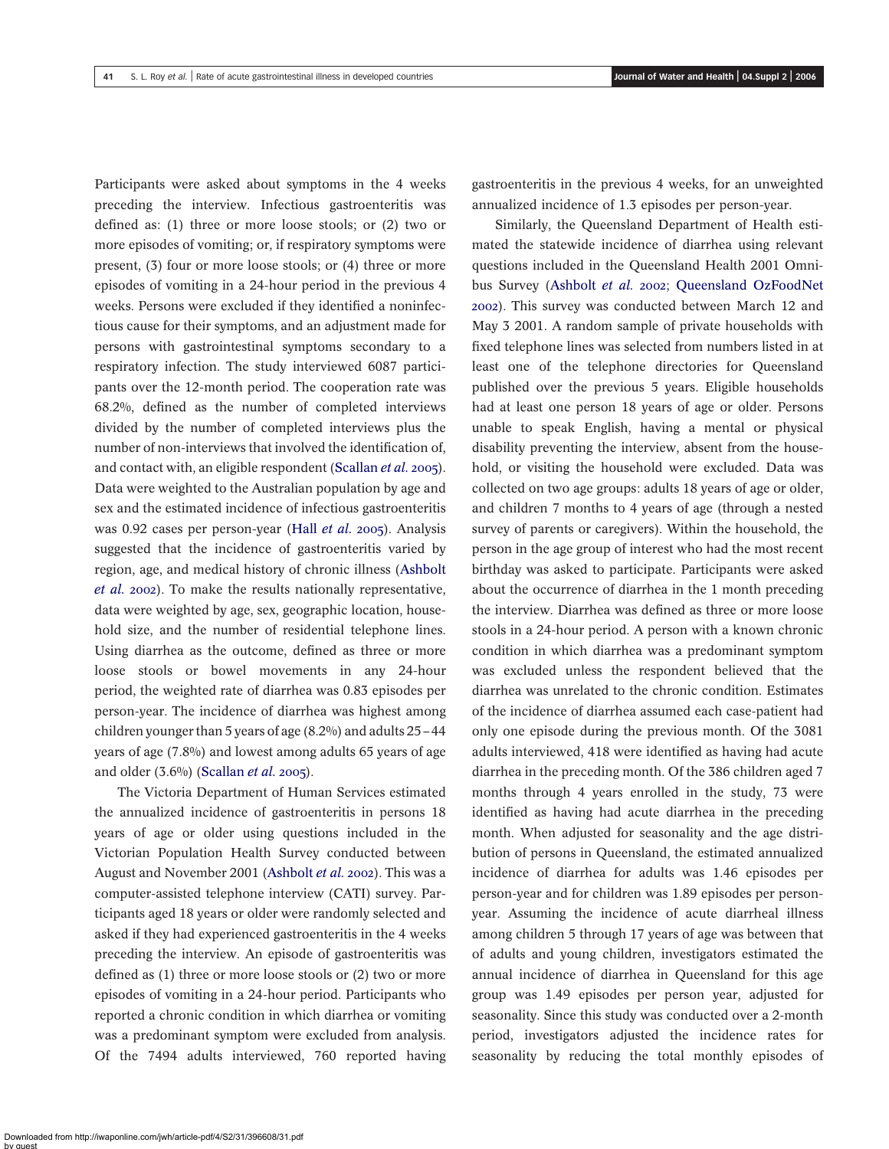Participants were asked about symptoms in the 4 weeks preceding the interview. Infectious gastroenteritis was defined as: (1) three or more loose stools; or (2) two or more episodes of vomiting; or, if respiratory symptoms were present, (3) four or more loose stools; or (4) three or more episodes of vomiting in a 24-hour period in the previous 4 weeks. Persons were excluded if they identified a noninfectious cause for their symptoms, and an adjustment made for persons with gastrointestinal symptoms secondary to a respiratory infection. The study interviewed 6087 participants over the 12-month period. The cooperation rate was 68.2%, defined as the number of completed interviews divided by the number of completed interviews plus the number of non-interviews that involved the identification of, and contact with, an eligible respondent ([Scallan](#page-38-0) et al. 2005). Data were weighted to the Australian population by age and sex and the estimated incidence of infectious gastroenteritis was 0.92 cases per person-year (Hall [et al.](#page-36-0) 2005). Analysis suggested that the incidence of gastroenteritis varied by region, age, and medical history of chronic illness ([Ashbolt](#page-35-0) [et al.](#page-35-0) 2002). To make the results nationally representative, data were weighted by age, sex, geographic location, household size, and the number of residential telephone lines. Using diarrhea as the outcome, defined as three or more loose stools or bowel movements in any 24-hour period, the weighted rate of diarrhea was 0.83 episodes per person-year. The incidence of diarrhea was highest among children younger than 5 years of age (8.2%) and adults 25–44 years of age (7.8%) and lowest among adults 65 years of age and older (3.6%) ([Scallan](#page-38-0) *et al.* 2005).

The Victoria Department of Human Services estimated the annualized incidence of gastroenteritis in persons 18 years of age or older using questions included in the Victorian Population Health Survey conducted between August and November 2001 ([Ashbolt](#page-35-0) et al. 2002). This was a computer-assisted telephone interview (CATI) survey. Participants aged 18 years or older were randomly selected and asked if they had experienced gastroenteritis in the 4 weeks preceding the interview. An episode of gastroenteritis was defined as (1) three or more loose stools or (2) two or more episodes of vomiting in a 24-hour period. Participants who reported a chronic condition in which diarrhea or vomiting was a predominant symptom were excluded from analysis. Of the 7494 adults interviewed, 760 reported having gastroenteritis in the previous 4 weeks, for an unweighted annualized incidence of 1.3 episodes per person-year.

Similarly, the Queensland Department of Health estimated the statewide incidence of diarrhea using relevant questions included in the Queensland Health 2001 Omnibus Survey ([Ashbolt](#page-35-0) et al. 2002; [Queensland OzFoodNet](#page-38-0) [2002](#page-38-0)). This survey was conducted between March 12 and May 3 2001. A random sample of private households with fixed telephone lines was selected from numbers listed in at least one of the telephone directories for Queensland published over the previous 5 years. Eligible households had at least one person 18 years of age or older. Persons unable to speak English, having a mental or physical disability preventing the interview, absent from the household, or visiting the household were excluded. Data was collected on two age groups: adults 18 years of age or older, and children 7 months to 4 years of age (through a nested survey of parents or caregivers). Within the household, the person in the age group of interest who had the most recent birthday was asked to participate. Participants were asked about the occurrence of diarrhea in the 1 month preceding the interview. Diarrhea was defined as three or more loose stools in a 24-hour period. A person with a known chronic condition in which diarrhea was a predominant symptom was excluded unless the respondent believed that the diarrhea was unrelated to the chronic condition. Estimates of the incidence of diarrhea assumed each case-patient had only one episode during the previous month. Of the 3081 adults interviewed, 418 were identified as having had acute diarrhea in the preceding month. Of the 386 children aged 7 months through 4 years enrolled in the study, 73 were identified as having had acute diarrhea in the preceding month. When adjusted for seasonality and the age distribution of persons in Queensland, the estimated annualized incidence of diarrhea for adults was 1.46 episodes per person-year and for children was 1.89 episodes per personyear. Assuming the incidence of acute diarrheal illness among children 5 through 17 years of age was between that of adults and young children, investigators estimated the annual incidence of diarrhea in Queensland for this age group was 1.49 episodes per person year, adjusted for seasonality. Since this study was conducted over a 2-month period, investigators adjusted the incidence rates for seasonality by reducing the total monthly episodes of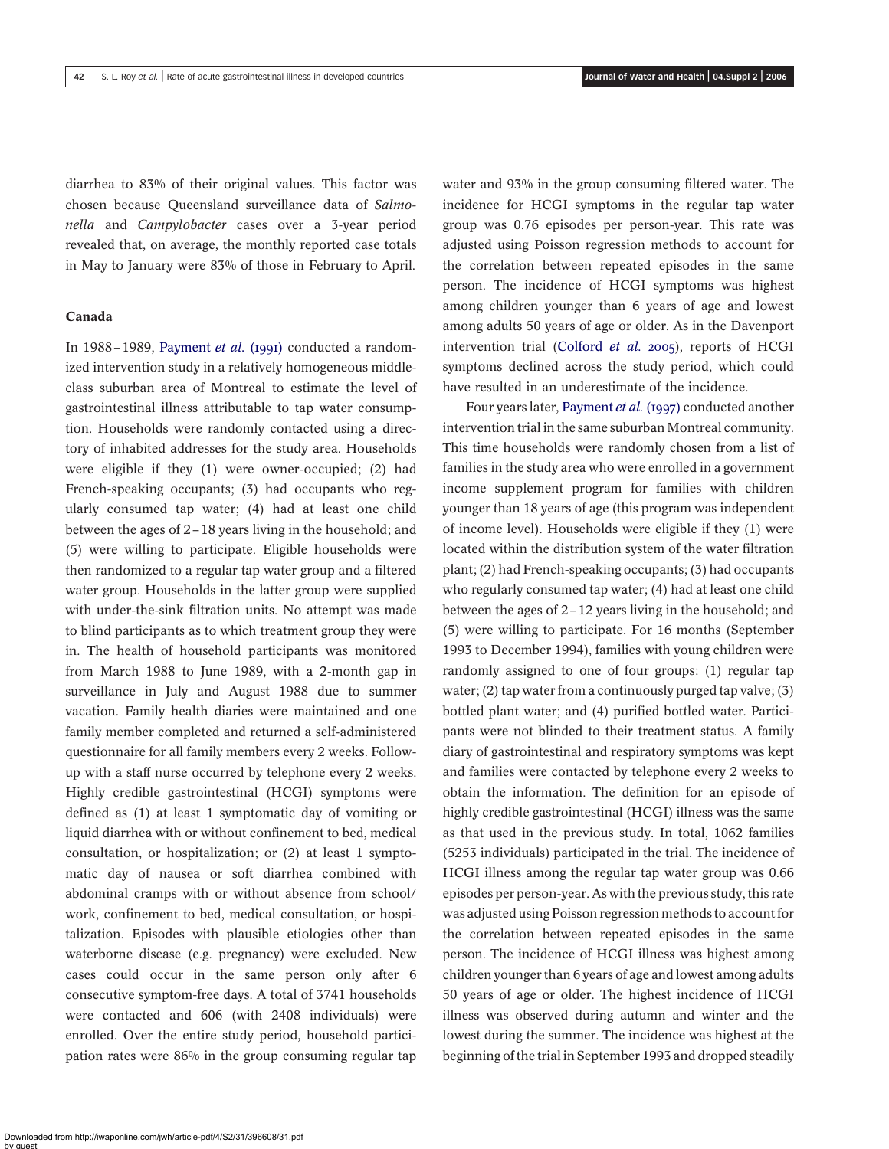diarrhea to 83% of their original values. This factor was chosen because Queensland surveillance data of Salmonella and Campylobacter cases over a 3-year period revealed that, on average, the monthly reported case totals in May to January were 83% of those in February to April.

### Canada

In 1988–1989, [Payment](#page-37-0) et al. (1991) conducted a randomized intervention study in a relatively homogeneous middleclass suburban area of Montreal to estimate the level of gastrointestinal illness attributable to tap water consumption. Households were randomly contacted using a directory of inhabited addresses for the study area. Households were eligible if they (1) were owner-occupied; (2) had French-speaking occupants; (3) had occupants who regularly consumed tap water; (4) had at least one child between the ages of 2–18 years living in the household; and (5) were willing to participate. Eligible households were then randomized to a regular tap water group and a filtered water group. Households in the latter group were supplied with under-the-sink filtration units. No attempt was made to blind participants as to which treatment group they were in. The health of household participants was monitored from March 1988 to June 1989, with a 2-month gap in surveillance in July and August 1988 due to summer vacation. Family health diaries were maintained and one family member completed and returned a self-administered questionnaire for all family members every 2 weeks. Followup with a staff nurse occurred by telephone every 2 weeks. Highly credible gastrointestinal (HCGI) symptoms were defined as (1) at least 1 symptomatic day of vomiting or liquid diarrhea with or without confinement to bed, medical consultation, or hospitalization; or (2) at least 1 symptomatic day of nausea or soft diarrhea combined with abdominal cramps with or without absence from school/ work, confinement to bed, medical consultation, or hospitalization. Episodes with plausible etiologies other than waterborne disease (e.g. pregnancy) were excluded. New cases could occur in the same person only after 6 consecutive symptom-free days. A total of 3741 households were contacted and 606 (with 2408 individuals) were enrolled. Over the entire study period, household participation rates were 86% in the group consuming regular tap water and 93% in the group consuming filtered water. The incidence for HCGI symptoms in the regular tap water group was 0.76 episodes per person-year. This rate was adjusted using Poisson regression methods to account for the correlation between repeated episodes in the same person. The incidence of HCGI symptoms was highest among children younger than 6 years of age and lowest among adults 50 years of age or older. As in the Davenport intervention trial ([Colford](#page-35-0) et al. 2005), reports of HCGI symptoms declined across the study period, which could have resulted in an underestimate of the incidence.

Four years later, [Payment](#page-37-0) et al. (1997) conducted another intervention trial in the same suburban Montreal community. This time households were randomly chosen from a list of families in the study area who were enrolled in a government income supplement program for families with children younger than 18 years of age (this program was independent of income level). Households were eligible if they (1) were located within the distribution system of the water filtration plant; (2) had French-speaking occupants; (3) had occupants who regularly consumed tap water; (4) had at least one child between the ages of 2–12 years living in the household; and (5) were willing to participate. For 16 months (September 1993 to December 1994), families with young children were randomly assigned to one of four groups: (1) regular tap water; (2) tap water from a continuously purged tap valve; (3) bottled plant water; and (4) purified bottled water. Participants were not blinded to their treatment status. A family diary of gastrointestinal and respiratory symptoms was kept and families were contacted by telephone every 2 weeks to obtain the information. The definition for an episode of highly credible gastrointestinal (HCGI) illness was the same as that used in the previous study. In total, 1062 families (5253 individuals) participated in the trial. The incidence of HCGI illness among the regular tap water group was 0.66 episodes per person-year. As with the previous study, this rate was adjusted using Poisson regression methods to account for the correlation between repeated episodes in the same person. The incidence of HCGI illness was highest among children younger than 6 years of age and lowest among adults 50 years of age or older. The highest incidence of HCGI illness was observed during autumn and winter and the lowest during the summer. The incidence was highest at the beginning of the trial in September 1993 and dropped steadily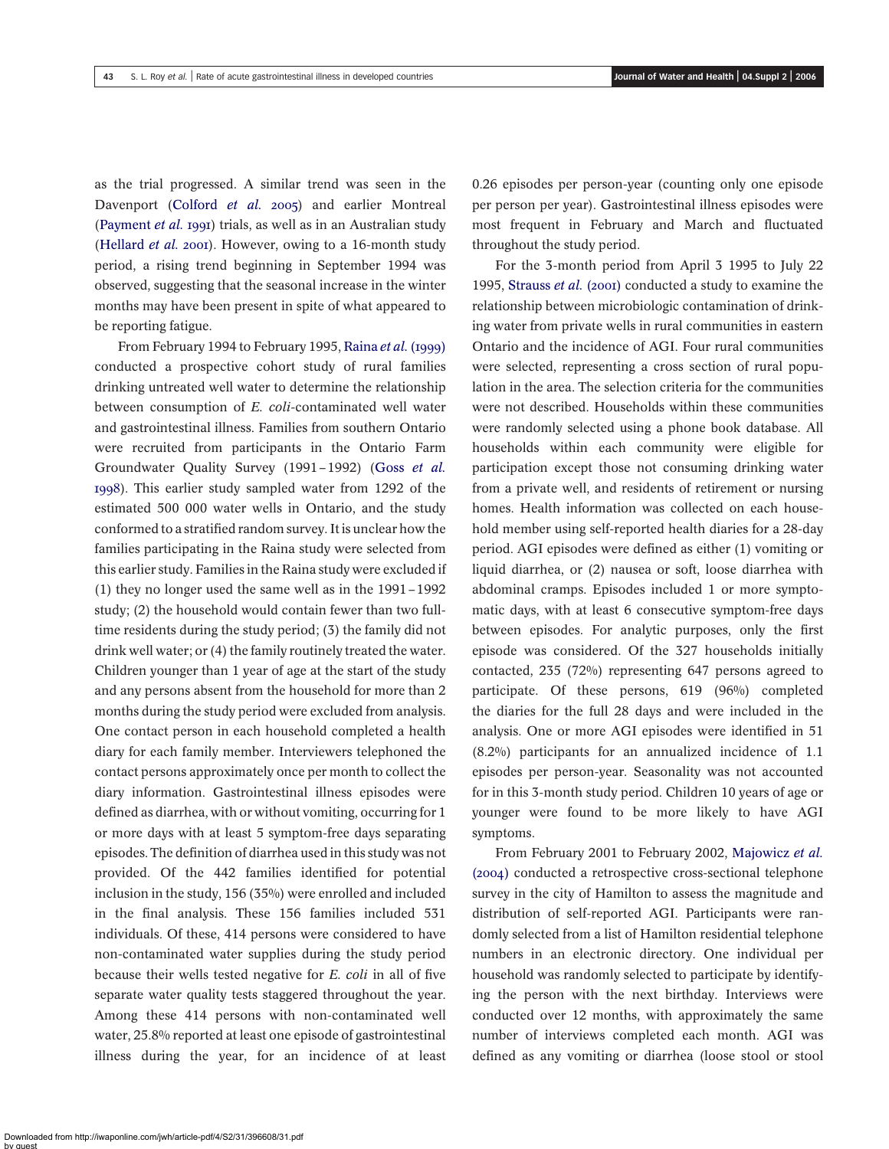as the trial progressed. A similar trend was seen in the Davenport ([Colford](#page-35-0) et al. 2005) and earlier Montreal ([Payment](#page-37-0) et al. 1991) trials, as well as in an Australian study ([Hellard](#page-37-0) et al. 2001). However, owing to a 16-month study period, a rising trend beginning in September 1994 was observed, suggesting that the seasonal increase in the winter months may have been present in spite of what appeared to be reporting fatigue.

From February 1994 to February 1995, Raina et al. [\(1999\)](#page-38-0) conducted a prospective cohort study of rural families drinking untreated well water to determine the relationship between consumption of E. coli-contaminated well water and gastrointestinal illness. Families from southern Ontario were recruited from participants in the Ontario Farm Groundwater Quality Survey (1991–1992) (Goss [et al.](#page-36-0) [1998](#page-36-0)). This earlier study sampled water from 1292 of the estimated 500 000 water wells in Ontario, and the study conformed to a stratified random survey. It is unclear how the families participating in the Raina study were selected from this earlier study. Families in the Raina study were excluded if (1) they no longer used the same well as in the 1991–1992 study; (2) the household would contain fewer than two fulltime residents during the study period; (3) the family did not drink well water; or (4) the family routinely treated the water. Children younger than 1 year of age at the start of the study and any persons absent from the household for more than 2 months during the study period were excluded from analysis. One contact person in each household completed a health diary for each family member. Interviewers telephoned the contact persons approximately once per month to collect the diary information. Gastrointestinal illness episodes were defined as diarrhea, with or without vomiting, occurring for 1 or more days with at least 5 symptom-free days separating episodes. The definition of diarrhea used in this study was not provided. Of the 442 families identified for potential inclusion in the study, 156 (35%) were enrolled and included in the final analysis. These 156 families included 531 individuals. Of these, 414 persons were considered to have non-contaminated water supplies during the study period because their wells tested negative for E. coli in all of five separate water quality tests staggered throughout the year. Among these 414 persons with non-contaminated well water, 25.8% reported at least one episode of gastrointestinal illness during the year, for an incidence of at least 0.26 episodes per person-year (counting only one episode per person per year). Gastrointestinal illness episodes were most frequent in February and March and fluctuated throughout the study period.

For the 3-month period from April 3 1995 to July 22 1995, [Strauss](#page-38-0) et al. (2001) conducted a study to examine the relationship between microbiologic contamination of drinking water from private wells in rural communities in eastern Ontario and the incidence of AGI. Four rural communities were selected, representing a cross section of rural population in the area. The selection criteria for the communities were not described. Households within these communities were randomly selected using a phone book database. All households within each community were eligible for participation except those not consuming drinking water from a private well, and residents of retirement or nursing homes. Health information was collected on each household member using self-reported health diaries for a 28-day period. AGI episodes were defined as either (1) vomiting or liquid diarrhea, or (2) nausea or soft, loose diarrhea with abdominal cramps. Episodes included 1 or more symptomatic days, with at least 6 consecutive symptom-free days between episodes. For analytic purposes, only the first episode was considered. Of the 327 households initially contacted, 235 (72%) representing 647 persons agreed to participate. Of these persons, 619 (96%) completed the diaries for the full 28 days and were included in the analysis. One or more AGI episodes were identified in 51 (8.2%) participants for an annualized incidence of 1.1 episodes per person-year. Seasonality was not accounted for in this 3-month study period. Children 10 years of age or younger were found to be more likely to have AGI symptoms.

From February 2001 to February 2002, [Majowicz](#page-37-0) et al. [\(2004\)](#page-37-0) conducted a retrospective cross-sectional telephone survey in the city of Hamilton to assess the magnitude and distribution of self-reported AGI. Participants were randomly selected from a list of Hamilton residential telephone numbers in an electronic directory. One individual per household was randomly selected to participate by identifying the person with the next birthday. Interviews were conducted over 12 months, with approximately the same number of interviews completed each month. AGI was defined as any vomiting or diarrhea (loose stool or stool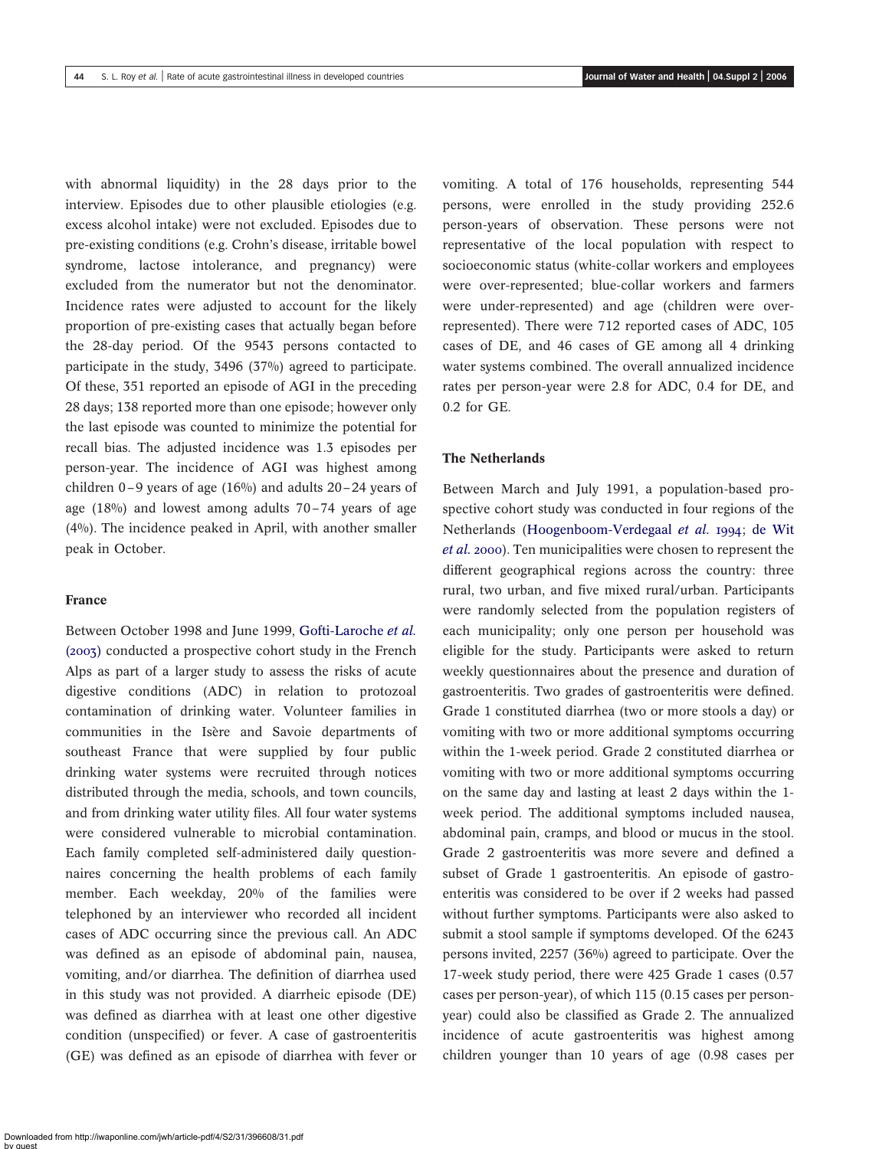with abnormal liquidity) in the 28 days prior to the interview. Episodes due to other plausible etiologies (e.g. excess alcohol intake) were not excluded. Episodes due to pre-existing conditions (e.g. Crohn's disease, irritable bowel syndrome, lactose intolerance, and pregnancy) were excluded from the numerator but not the denominator. Incidence rates were adjusted to account for the likely proportion of pre-existing cases that actually began before the 28-day period. Of the 9543 persons contacted to participate in the study, 3496 (37%) agreed to participate. Of these, 351 reported an episode of AGI in the preceding 28 days; 138 reported more than one episode; however only the last episode was counted to minimize the potential for recall bias. The adjusted incidence was 1.3 episodes per person-year. The incidence of AGI was highest among children 0–9 years of age  $(16%)$  and adults 20–24 years of age (18%) and lowest among adults 70–74 years of age (4%). The incidence peaked in April, with another smaller peak in October.

### France

Between October 1998 and June 1999, [Gofti-Laroche](#page-36-0) et al. [\(2003\)](#page-36-0) conducted a prospective cohort study in the French Alps as part of a larger study to assess the risks of acute digestive conditions (ADC) in relation to protozoal contamination of drinking water. Volunteer families in communities in the Isère and Savoie departments of southeast France that were supplied by four public drinking water systems were recruited through notices distributed through the media, schools, and town councils, and from drinking water utility files. All four water systems were considered vulnerable to microbial contamination. Each family completed self-administered daily questionnaires concerning the health problems of each family member. Each weekday, 20% of the families were telephoned by an interviewer who recorded all incident cases of ADC occurring since the previous call. An ADC was defined as an episode of abdominal pain, nausea, vomiting, and/or diarrhea. The definition of diarrhea used in this study was not provided. A diarrheic episode (DE) was defined as diarrhea with at least one other digestive condition (unspecified) or fever. A case of gastroenteritis (GE) was defined as an episode of diarrhea with fever or vomiting. A total of 176 households, representing 544 persons, were enrolled in the study providing 252.6 person-years of observation. These persons were not representative of the local population with respect to socioeconomic status (white-collar workers and employees were over-represented; blue-collar workers and farmers were under-represented) and age (children were overrepresented). There were 712 reported cases of ADC, 105 cases of DE, and 46 cases of GE among all 4 drinking water systems combined. The overall annualized incidence rates per person-year were 2.8 for ADC, 0.4 for DE, and 0.2 for GE.

#### The Netherlands

Between March and July 1991, a population-based prospective cohort study was conducted in four regions of the Netherlands ([Hoogenboom-Verdegaal](#page-37-0) et al. 1994; [de Wit](#page-36-0) [et al.](#page-36-0) 2000). Ten municipalities were chosen to represent the different geographical regions across the country: three rural, two urban, and five mixed rural/urban. Participants were randomly selected from the population registers of each municipality; only one person per household was eligible for the study. Participants were asked to return weekly questionnaires about the presence and duration of gastroenteritis. Two grades of gastroenteritis were defined. Grade 1 constituted diarrhea (two or more stools a day) or vomiting with two or more additional symptoms occurring within the 1-week period. Grade 2 constituted diarrhea or vomiting with two or more additional symptoms occurring on the same day and lasting at least 2 days within the 1 week period. The additional symptoms included nausea, abdominal pain, cramps, and blood or mucus in the stool. Grade 2 gastroenteritis was more severe and defined a subset of Grade 1 gastroenteritis. An episode of gastroenteritis was considered to be over if 2 weeks had passed without further symptoms. Participants were also asked to submit a stool sample if symptoms developed. Of the 6243 persons invited, 2257 (36%) agreed to participate. Over the 17-week study period, there were 425 Grade 1 cases (0.57 cases per person-year), of which 115 (0.15 cases per personyear) could also be classified as Grade 2. The annualized incidence of acute gastroenteritis was highest among children younger than 10 years of age (0.98 cases per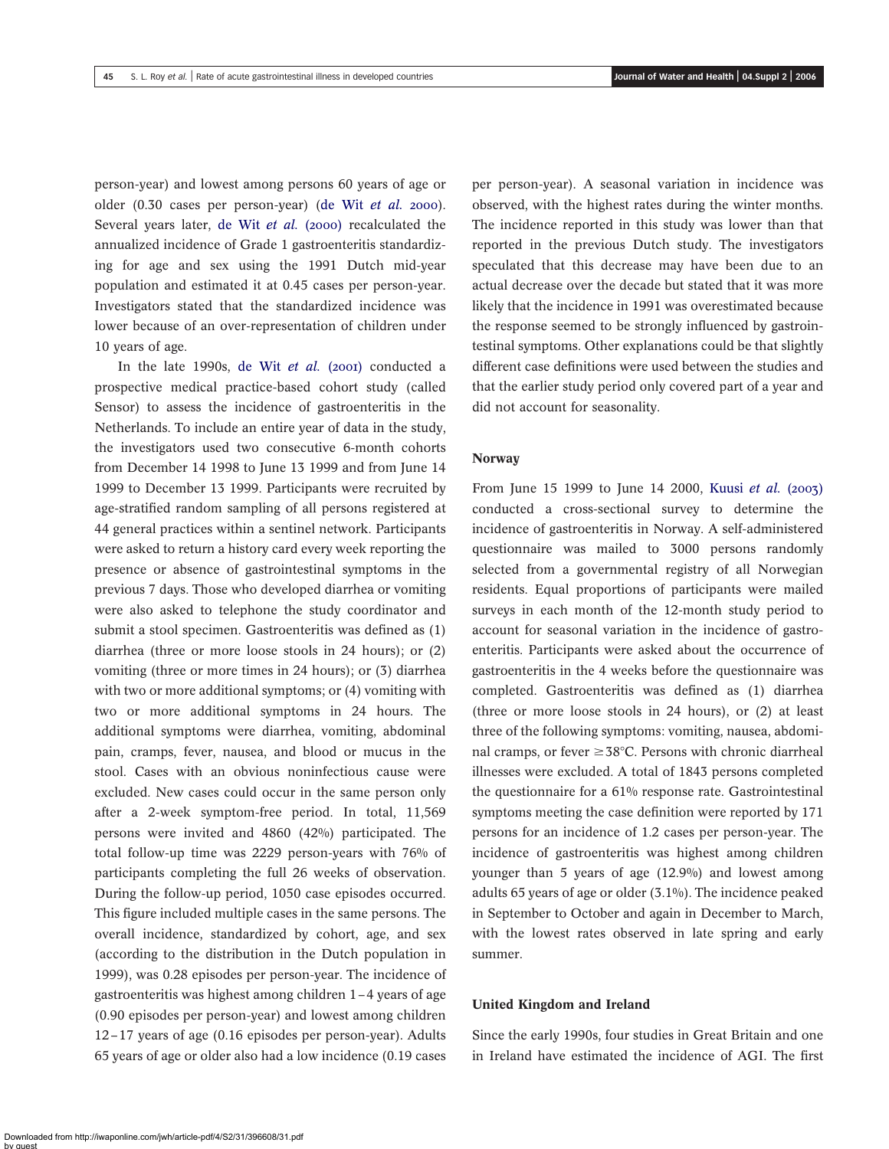person-year) and lowest among persons 60 years of age or older (0.30 cases per person-year) ([de Wit](#page-36-0) et al. 2000). Several years later, [de Wit](#page-36-0) et al. (2000) recalculated the annualized incidence of Grade 1 gastroenteritis standardizing for age and sex using the 1991 Dutch mid-year population and estimated it at 0.45 cases per person-year. Investigators stated that the standardized incidence was lower because of an over-representation of children under 10 years of age.

In the late 1990s, [de Wit](#page-36-0) et al. (2001) conducted a prospective medical practice-based cohort study (called Sensor) to assess the incidence of gastroenteritis in the Netherlands. To include an entire year of data in the study, the investigators used two consecutive 6-month cohorts from December 14 1998 to June 13 1999 and from June 14 1999 to December 13 1999. Participants were recruited by age-stratified random sampling of all persons registered at 44 general practices within a sentinel network. Participants were asked to return a history card every week reporting the presence or absence of gastrointestinal symptoms in the previous 7 days. Those who developed diarrhea or vomiting were also asked to telephone the study coordinator and submit a stool specimen. Gastroenteritis was defined as (1) diarrhea (three or more loose stools in 24 hours); or (2) vomiting (three or more times in 24 hours); or (3) diarrhea with two or more additional symptoms; or (4) vomiting with two or more additional symptoms in 24 hours. The additional symptoms were diarrhea, vomiting, abdominal pain, cramps, fever, nausea, and blood or mucus in the stool. Cases with an obvious noninfectious cause were excluded. New cases could occur in the same person only after a 2-week symptom-free period. In total, 11,569 persons were invited and 4860 (42%) participated. The total follow-up time was 2229 person-years with 76% of participants completing the full 26 weeks of observation. During the follow-up period, 1050 case episodes occurred. This figure included multiple cases in the same persons. The overall incidence, standardized by cohort, age, and sex (according to the distribution in the Dutch population in 1999), was 0.28 episodes per person-year. The incidence of gastroenteritis was highest among children 1–4 years of age (0.90 episodes per person-year) and lowest among children 12–17 years of age (0.16 episodes per person-year). Adults 65 years of age or older also had a low incidence (0.19 cases per person-year). A seasonal variation in incidence was observed, with the highest rates during the winter months. The incidence reported in this study was lower than that reported in the previous Dutch study. The investigators speculated that this decrease may have been due to an actual decrease over the decade but stated that it was more likely that the incidence in 1991 was overestimated because the response seemed to be strongly influenced by gastrointestinal symptoms. Other explanations could be that slightly different case definitions were used between the studies and that the earlier study period only covered part of a year and did not account for seasonality.

#### Norway

From June 15 1999 to June 14 2000, Kuusi et al. [\(2003\)](#page-37-0) conducted a cross-sectional survey to determine the incidence of gastroenteritis in Norway. A self-administered questionnaire was mailed to 3000 persons randomly selected from a governmental registry of all Norwegian residents. Equal proportions of participants were mailed surveys in each month of the 12-month study period to account for seasonal variation in the incidence of gastroenteritis. Participants were asked about the occurrence of gastroenteritis in the 4 weeks before the questionnaire was completed. Gastroenteritis was defined as (1) diarrhea (three or more loose stools in 24 hours), or (2) at least three of the following symptoms: vomiting, nausea, abdominal cramps, or fever  $\geq 38^{\circ}$ C. Persons with chronic diarrheal illnesses were excluded. A total of 1843 persons completed the questionnaire for a 61% response rate. Gastrointestinal symptoms meeting the case definition were reported by 171 persons for an incidence of 1.2 cases per person-year. The incidence of gastroenteritis was highest among children younger than 5 years of age (12.9%) and lowest among adults 65 years of age or older (3.1%). The incidence peaked in September to October and again in December to March, with the lowest rates observed in late spring and early summer.

### United Kingdom and Ireland

Since the early 1990s, four studies in Great Britain and one in Ireland have estimated the incidence of AGI. The first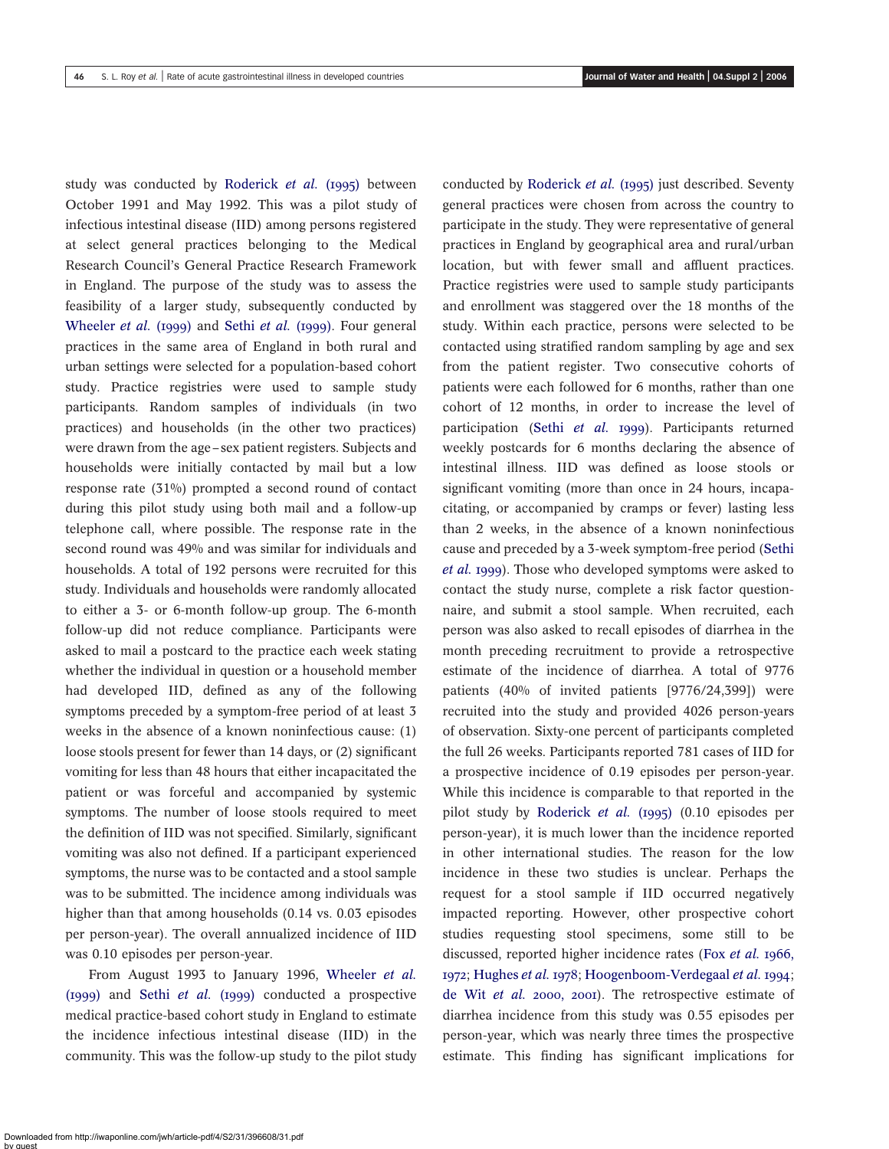study was conducted by [Roderick](#page-38-0) et al. (1995) between October 1991 and May 1992. This was a pilot study of infectious intestinal disease (IID) among persons registered at select general practices belonging to the Medical Research Council's General Practice Research Framework in England. The purpose of the study was to assess the feasibility of a larger study, subsequently conducted by [Wheeler](#page-38-0) et al. [\(1999\)](#page-38-0) and Sethi et al. (1999). Four general practices in the same area of England in both rural and urban settings were selected for a population-based cohort study. Practice registries were used to sample study participants. Random samples of individuals (in two practices) and households (in the other two practices) were drawn from the age–sex patient registers. Subjects and households were initially contacted by mail but a low response rate (31%) prompted a second round of contact during this pilot study using both mail and a follow-up telephone call, where possible. The response rate in the second round was 49% and was similar for individuals and households. A total of 192 persons were recruited for this study. Individuals and households were randomly allocated to either a 3- or 6-month follow-up group. The 6-month follow-up did not reduce compliance. Participants were asked to mail a postcard to the practice each week stating whether the individual in question or a household member had developed IID, defined as any of the following symptoms preceded by a symptom-free period of at least 3 weeks in the absence of a known noninfectious cause: (1) loose stools present for fewer than 14 days, or (2) significant vomiting for less than 48 hours that either incapacitated the patient or was forceful and accompanied by systemic symptoms. The number of loose stools required to meet the definition of IID was not specified. Similarly, significant vomiting was also not defined. If a participant experienced symptoms, the nurse was to be contacted and a stool sample was to be submitted. The incidence among individuals was higher than that among households (0.14 vs. 0.03 episodes per person-year). The overall annualized incidence of IID was 0.10 episodes per person-year.

From August 1993 to January 1996, [Wheeler](#page-38-0) et al. [\(1999\)](#page-38-0) and Sethi et al. [\(1999\)](#page-38-0) conducted a prospective medical practice-based cohort study in England to estimate the incidence infectious intestinal disease (IID) in the community. This was the follow-up study to the pilot study conducted by [Roderick](#page-38-0) et al. (1995) just described. Seventy general practices were chosen from across the country to participate in the study. They were representative of general practices in England by geographical area and rural/urban location, but with fewer small and affluent practices. Practice registries were used to sample study participants and enrollment was staggered over the 18 months of the study. Within each practice, persons were selected to be contacted using stratified random sampling by age and sex from the patient register. Two consecutive cohorts of patients were each followed for 6 months, rather than one cohort of 12 months, in order to increase the level of participation (Sethi [et al.](#page-38-0) 1999). Participants returned weekly postcards for 6 months declaring the absence of intestinal illness. IID was defined as loose stools or significant vomiting (more than once in 24 hours, incapacitating, or accompanied by cramps or fever) lasting less than 2 weeks, in the absence of a known noninfectious cause and preceded by a 3-week symptom-free period ([Sethi](#page-38-0) [et al.](#page-38-0) 1999). Those who developed symptoms were asked to contact the study nurse, complete a risk factor questionnaire, and submit a stool sample. When recruited, each person was also asked to recall episodes of diarrhea in the month preceding recruitment to provide a retrospective estimate of the incidence of diarrhea. A total of 9776 patients (40% of invited patients [9776/24,399]) were recruited into the study and provided 4026 person-years of observation. Sixty-one percent of participants completed the full 26 weeks. Participants reported 781 cases of IID for a prospective incidence of 0.19 episodes per person-year. While this incidence is comparable to that reported in the pilot study by [Roderick](#page-38-0) et al. (1995) (0.10 episodes per person-year), it is much lower than the incidence reported in other international studies. The reason for the low incidence in these two studies is unclear. Perhaps the request for a stool sample if IID occurred negatively impacted reporting. However, other prospective cohort studies requesting stool specimens, some still to be discussed, reported higher incidence rates (Fox [et al.](#page-36-0) 1966, [1972](#page-36-0); [Hughes](#page-37-0) et al. 1978; [Hoogenboom-Verdegaal](#page-37-0) et al. 1994; de Wit et al. [2000, 2001](#page-36-0)). The retrospective estimate of diarrhea incidence from this study was 0.55 episodes per person-year, which was nearly three times the prospective estimate. This finding has significant implications for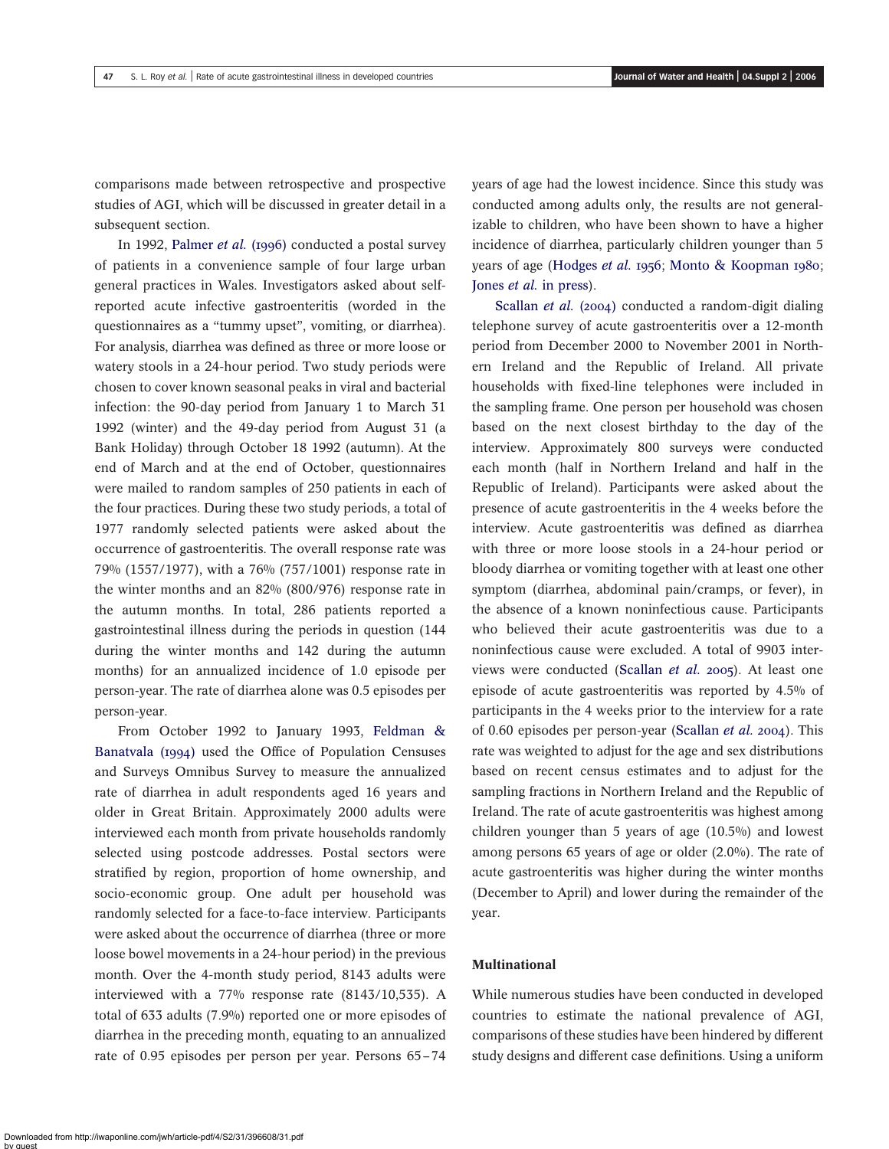comparisons made between retrospective and prospective studies of AGI, which will be discussed in greater detail in a subsequent section.

In 1992, [Palmer](#page-37-0) et al. (1996) conducted a postal survey of patients in a convenience sample of four large urban general practices in Wales. Investigators asked about selfreported acute infective gastroenteritis (worded in the questionnaires as a "tummy upset", vomiting, or diarrhea). For analysis, diarrhea was defined as three or more loose or watery stools in a 24-hour period. Two study periods were chosen to cover known seasonal peaks in viral and bacterial infection: the 90-day period from January 1 to March 31 1992 (winter) and the 49-day period from August 31 (a Bank Holiday) through October 18 1992 (autumn). At the end of March and at the end of October, questionnaires were mailed to random samples of 250 patients in each of the four practices. During these two study periods, a total of 1977 randomly selected patients were asked about the occurrence of gastroenteritis. The overall response rate was 79% (1557/1977), with a 76% (757/1001) response rate in the winter months and an 82% (800/976) response rate in the autumn months. In total, 286 patients reported a gastrointestinal illness during the periods in question (144 during the winter months and 142 during the autumn months) for an annualized incidence of 1.0 episode per person-year. The rate of diarrhea alone was 0.5 episodes per person-year.

From October 1992 to January 1993, [Feldman &](#page-36-0) [Banatvala \(1994\)](#page-36-0) used the Office of Population Censuses and Surveys Omnibus Survey to measure the annualized rate of diarrhea in adult respondents aged 16 years and older in Great Britain. Approximately 2000 adults were interviewed each month from private households randomly selected using postcode addresses. Postal sectors were stratified by region, proportion of home ownership, and socio-economic group. One adult per household was randomly selected for a face-to-face interview. Participants were asked about the occurrence of diarrhea (three or more loose bowel movements in a 24-hour period) in the previous month. Over the 4-month study period, 8143 adults were interviewed with a 77% response rate (8143/10,535). A total of 633 adults (7.9%) reported one or more episodes of diarrhea in the preceding month, equating to an annualized rate of 0.95 episodes per person per year. Persons 65–74

years of age had the lowest incidence. Since this study was conducted among adults only, the results are not generalizable to children, who have been shown to have a higher incidence of diarrhea, particularly children younger than 5 years of age ([Hodges](#page-37-0) et al. 1956; [Monto & Koopman 1980](#page-37-0); Jones et al. [in press](#page-37-0)).

[Scallan](#page-38-0) *et al.* (2004) conducted a random-digit dialing telephone survey of acute gastroenteritis over a 12-month period from December 2000 to November 2001 in Northern Ireland and the Republic of Ireland. All private households with fixed-line telephones were included in the sampling frame. One person per household was chosen based on the next closest birthday to the day of the interview. Approximately 800 surveys were conducted each month (half in Northern Ireland and half in the Republic of Ireland). Participants were asked about the presence of acute gastroenteritis in the 4 weeks before the interview. Acute gastroenteritis was defined as diarrhea with three or more loose stools in a 24-hour period or bloody diarrhea or vomiting together with at least one other symptom (diarrhea, abdominal pain/cramps, or fever), in the absence of a known noninfectious cause. Participants who believed their acute gastroenteritis was due to a noninfectious cause were excluded. A total of 9903 interviews were conducted ([Scallan](#page-38-0) et al. 2005). At least one episode of acute gastroenteritis was reported by 4.5% of participants in the 4 weeks prior to the interview for a rate of 0.60 episodes per person-year ([Scallan](#page-38-0) et al. 2004). This rate was weighted to adjust for the age and sex distributions based on recent census estimates and to adjust for the sampling fractions in Northern Ireland and the Republic of Ireland. The rate of acute gastroenteritis was highest among children younger than 5 years of age (10.5%) and lowest among persons 65 years of age or older (2.0%). The rate of acute gastroenteritis was higher during the winter months (December to April) and lower during the remainder of the year.

### Multinational

While numerous studies have been conducted in developed countries to estimate the national prevalence of AGI, comparisons of these studies have been hindered by different study designs and different case definitions. Using a uniform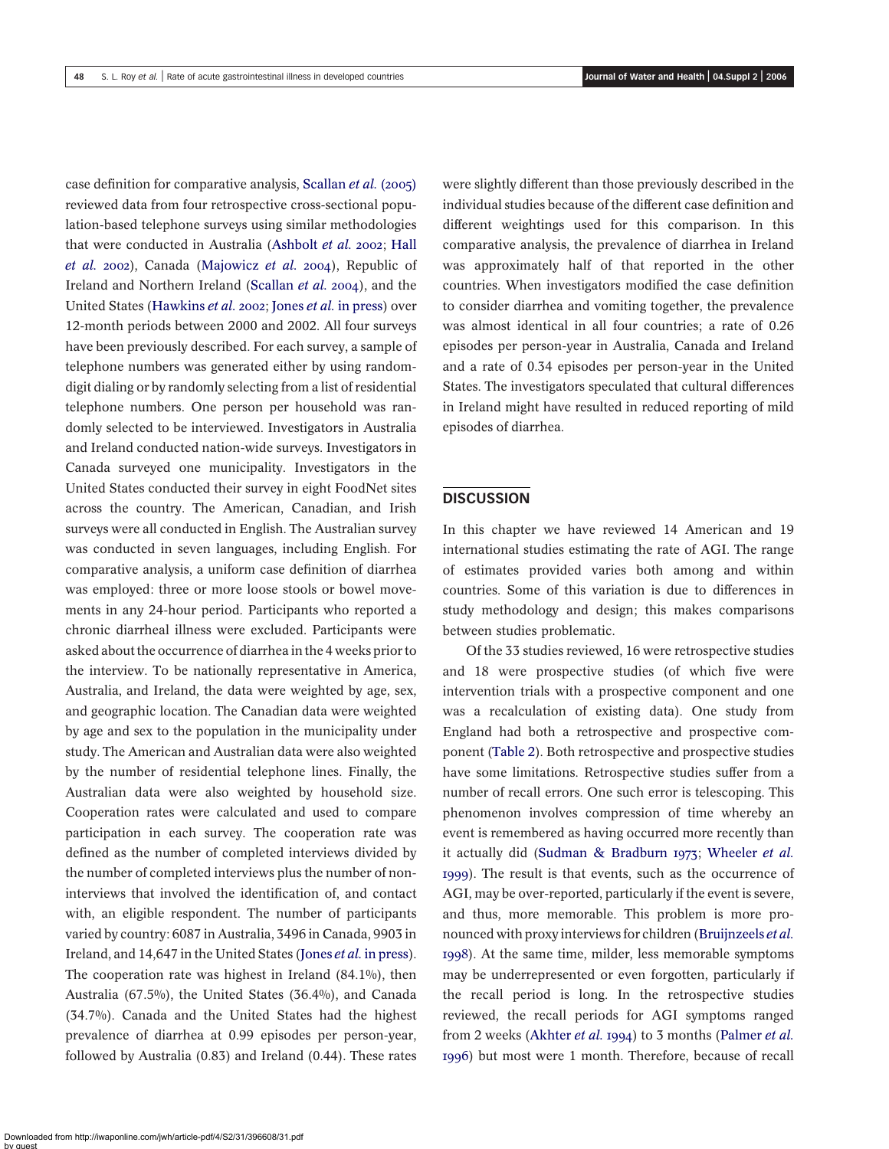case definition for comparative analysis, [Scallan](#page-38-0) et al. (2005) reviewed data from four retrospective cross-sectional population-based telephone surveys using similar methodologies that were conducted in Australia ([Ashbolt](#page-35-0) et al. 2002; [Hall](#page-36-0) [et al.](#page-36-0) 2002), Canada ([Majowicz](#page-37-0) et al. 2004), Republic of Ireland and Northern Ireland ([Scallan](#page-38-0) et al. 2004), and the United States ([Hawkins](#page-36-0) et al. 2002; Jones et al. [in press](#page-37-0)) over 12-month periods between 2000 and 2002. All four surveys have been previously described. For each survey, a sample of telephone numbers was generated either by using randomdigit dialing or by randomly selecting from a list of residential telephone numbers. One person per household was randomly selected to be interviewed. Investigators in Australia and Ireland conducted nation-wide surveys. Investigators in Canada surveyed one municipality. Investigators in the United States conducted their survey in eight FoodNet sites across the country. The American, Canadian, and Irish surveys were all conducted in English. The Australian survey was conducted in seven languages, including English. For comparative analysis, a uniform case definition of diarrhea was employed: three or more loose stools or bowel movements in any 24-hour period. Participants who reported a chronic diarrheal illness were excluded. Participants were asked about the occurrence of diarrhea in the 4 weeks prior to the interview. To be nationally representative in America, Australia, and Ireland, the data were weighted by age, sex, and geographic location. The Canadian data were weighted by age and sex to the population in the municipality under study. The American and Australian data were also weighted by the number of residential telephone lines. Finally, the Australian data were also weighted by household size. Cooperation rates were calculated and used to compare participation in each survey. The cooperation rate was defined as the number of completed interviews divided by the number of completed interviews plus the number of noninterviews that involved the identification of, and contact with, an eligible respondent. The number of participants varied by country: 6087 in Australia, 3496 in Canada, 9903 in Ireland, and 14,647 in the United States (Jones et al. [in press](#page-37-0)). The cooperation rate was highest in Ireland (84.1%), then Australia (67.5%), the United States (36.4%), and Canada (34.7%). Canada and the United States had the highest prevalence of diarrhea at 0.99 episodes per person-year, followed by Australia (0.83) and Ireland (0.44). These rates were slightly different than those previously described in the individual studies because of the different case definition and different weightings used for this comparison. In this comparative analysis, the prevalence of diarrhea in Ireland was approximately half of that reported in the other countries. When investigators modified the case definition to consider diarrhea and vomiting together, the prevalence was almost identical in all four countries; a rate of 0.26 episodes per person-year in Australia, Canada and Ireland and a rate of 0.34 episodes per person-year in the United States. The investigators speculated that cultural differences in Ireland might have resulted in reduced reporting of mild episodes of diarrhea.

### **DISCUSSION**

In this chapter we have reviewed 14 American and 19 international studies estimating the rate of AGI. The range of estimates provided varies both among and within countries. Some of this variation is due to differences in study methodology and design; this makes comparisons between studies problematic.

Of the 33 studies reviewed, 16 were retrospective studies and 18 were prospective studies (of which five were intervention trials with a prospective component and one was a recalculation of existing data). One study from England had both a retrospective and prospective component [\(Table 2\)](#page-19-0). Both retrospective and prospective studies have some limitations. Retrospective studies suffer from a number of recall errors. One such error is telescoping. This phenomenon involves compression of time whereby an event is remembered as having occurred more recently than it actually did ([Sudman & Bradburn 1973](#page-38-0); [Wheeler](#page-38-0) et al. [1999](#page-38-0)). The result is that events, such as the occurrence of AGI, may be over-reported, particularly if the event is severe, and thus, more memorable. This problem is more pronounced with proxy interviews for children ([Bruijnzeels](#page-35-0) et al. [1998](#page-35-0)). At the same time, milder, less memorable symptoms may be underrepresented or even forgotten, particularly if the recall period is long. In the retrospective studies reviewed, the recall periods for AGI symptoms ranged from 2 weeks ([Akhter](#page-35-0) et al. 1994) to 3 months ([Palmer](#page-37-0) et al. [1996](#page-37-0)) but most were 1 month. Therefore, because of recall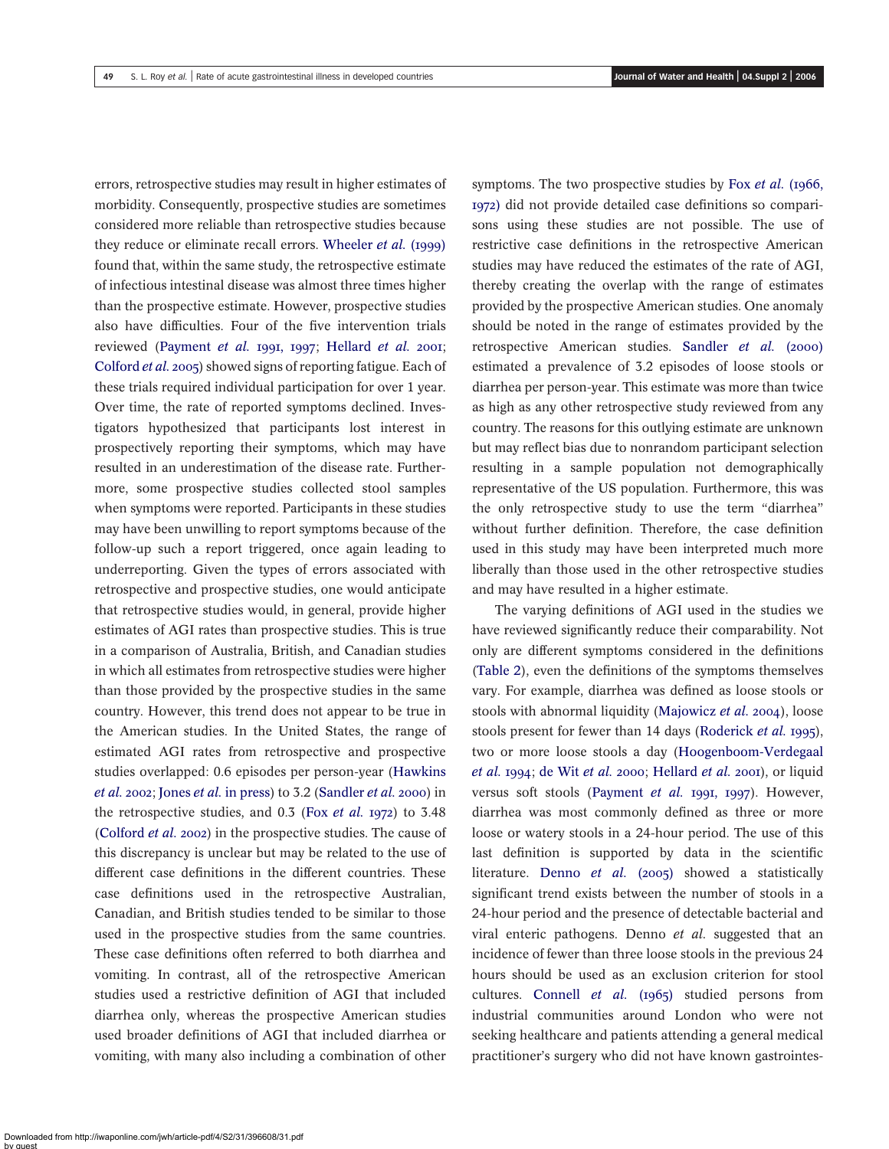errors, retrospective studies may result in higher estimates of morbidity. Consequently, prospective studies are sometimes considered more reliable than retrospective studies because they reduce or eliminate recall errors. [Wheeler](#page-38-0) *et al.* (1999) found that, within the same study, the retrospective estimate of infectious intestinal disease was almost three times higher than the prospective estimate. However, prospective studies also have difficulties. Four of the five intervention trials reviewed (Payment et al. [1991, 1997](#page-37-0); [Hellard](#page-37-0) et al. 2001; [Colford](#page-35-0) et al. 2005) showed signs of reporting fatigue. Each of these trials required individual participation for over 1 year. Over time, the rate of reported symptoms declined. Investigators hypothesized that participants lost interest in prospectively reporting their symptoms, which may have resulted in an underestimation of the disease rate. Furthermore, some prospective studies collected stool samples when symptoms were reported. Participants in these studies may have been unwilling to report symptoms because of the follow-up such a report triggered, once again leading to underreporting. Given the types of errors associated with retrospective and prospective studies, one would anticipate that retrospective studies would, in general, provide higher estimates of AGI rates than prospective studies. This is true in a comparison of Australia, British, and Canadian studies in which all estimates from retrospective studies were higher than those provided by the prospective studies in the same country. However, this trend does not appear to be true in the American studies. In the United States, the range of estimated AGI rates from retrospective and prospective studies overlapped: 0.6 episodes per person-year ([Hawkins](#page-36-0) [et al.](#page-36-0) 2002; Jones et al. [in press](#page-37-0)) to 3.2 ([Sandler](#page-38-0) et al. 2000) in the retrospective studies, and 0.3 (Fox [et al.](#page-36-0) 1972) to 3.48 ([Colford](#page-35-0) et al. 2002) in the prospective studies. The cause of this discrepancy is unclear but may be related to the use of different case definitions in the different countries. These case definitions used in the retrospective Australian, Canadian, and British studies tended to be similar to those used in the prospective studies from the same countries. These case definitions often referred to both diarrhea and vomiting. In contrast, all of the retrospective American studies used a restrictive definition of AGI that included diarrhea only, whereas the prospective American studies used broader definitions of AGI that included diarrhea or vomiting, with many also including a combination of other

symptoms. The two prospective studies by Fox et al. [\(1966,](#page-36-0) [1972\)](#page-36-0) did not provide detailed case definitions so comparisons using these studies are not possible. The use of restrictive case definitions in the retrospective American studies may have reduced the estimates of the rate of AGI, thereby creating the overlap with the range of estimates provided by the prospective American studies. One anomaly should be noted in the range of estimates provided by the retrospective American studies. [Sandler](#page-38-0) et al. (2000) estimated a prevalence of 3.2 episodes of loose stools or diarrhea per person-year. This estimate was more than twice as high as any other retrospective study reviewed from any country. The reasons for this outlying estimate are unknown but may reflect bias due to nonrandom participant selection resulting in a sample population not demographically representative of the US population. Furthermore, this was the only retrospective study to use the term "diarrhea" without further definition. Therefore, the case definition used in this study may have been interpreted much more liberally than those used in the other retrospective studies and may have resulted in a higher estimate. The varying definitions of AGI used in the studies we

have reviewed significantly reduce their comparability. Not only are different symptoms considered in the definitions ([Table 2](#page-19-0)), even the definitions of the symptoms themselves vary. For example, diarrhea was defined as loose stools or stools with abnormal liquidity ([Majowicz](#page-37-0) et al. 2004), loose stools present for fewer than 14 days ([Roderick](#page-38-0) et al. 1995), two or more loose stools a day ([Hoogenboom-Verdegaal](#page-37-0) [et al.](#page-37-0) 1994; [de Wit](#page-36-0) et al. 2000; [Hellard](#page-37-0) et al. 2001), or liquid versus soft stools (Payment et al. [1991, 1997](#page-37-0)). However, diarrhea was most commonly defined as three or more loose or watery stools in a 24-hour period. The use of this last definition is supported by data in the scientific literature. [Denno](#page-35-0) et al. (2005) showed a statistically significant trend exists between the number of stools in a 24-hour period and the presence of detectable bacterial and viral enteric pathogens. Denno et al. suggested that an incidence of fewer than three loose stools in the previous 24 hours should be used as an exclusion criterion for stool cultures. [Connell](#page-35-0) et al. (1965) studied persons from industrial communities around London who were not seeking healthcare and patients attending a general medical practitioner's surgery who did not have known gastrointes-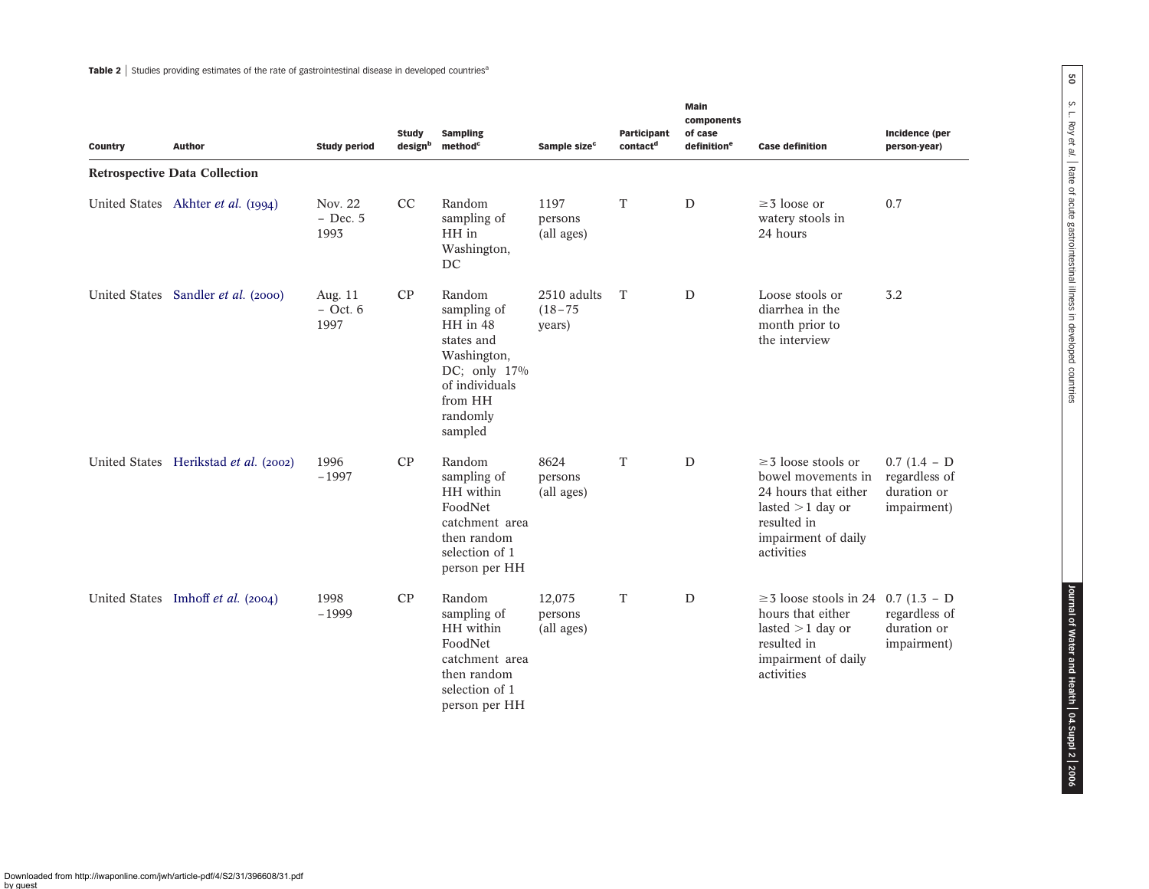<span id="page-19-0"></span>

| <b>Country</b> | <b>Author</b>                         | <b>Study period</b>             | <b>Study</b><br>designb | <b>Sampling</b><br>method <sup>c</sup>                                                                                             | Sample size <sup>c</sup>             | <b>Participant</b><br>contact <sup>d</sup> | <b>Main</b><br>components<br>of case<br>definition <sup>e</sup> | <b>Case definition</b>                                                                                                                           | Incidence (per<br>person-year)                                |
|----------------|---------------------------------------|---------------------------------|-------------------------|------------------------------------------------------------------------------------------------------------------------------------|--------------------------------------|--------------------------------------------|-----------------------------------------------------------------|--------------------------------------------------------------------------------------------------------------------------------------------------|---------------------------------------------------------------|
|                | <b>Retrospective Data Collection</b>  |                                 |                         |                                                                                                                                    |                                      |                                            |                                                                 |                                                                                                                                                  |                                                               |
|                | United States Akhter et al. (1994)    | Nov. 22<br>$-$ Dec. 5<br>1993   | CC                      | Random<br>sampling of<br>HH in<br>Washington,<br>DC                                                                                | 1197<br>persons<br>(all ages)        | $\mathbf T$                                | D                                                               | $\geq$ 5 loose or<br>watery stools in<br>24 hours                                                                                                | 0.7                                                           |
|                | United States Sandler et al. (2000)   | Aug. 11<br>$-$ Oct. $6$<br>1997 | CP                      | Random<br>sampling of<br>HH in 48<br>states and<br>Washington,<br>DC; only 17%<br>of individuals<br>from HH<br>randomly<br>sampled | 2510 adults<br>$(18 - 75)$<br>years) | T                                          | D                                                               | Loose stools or<br>diarrhea in the<br>month prior to<br>the interview                                                                            | 3.2                                                           |
|                | United States Herikstad et al. (2002) | 1996<br>$-1997$                 | CP                      | Random<br>sampling of<br>HH within<br>FoodNet<br>catchment area<br>then random<br>selection of 1<br>person per HH                  | 8624<br>persons<br>(all ages)        | $\mathbf T$                                | D                                                               | $\geq$ 5 loose stools or<br>bowel movements in<br>24 hours that either<br>lasted $>1$ day or<br>resulted in<br>impairment of daily<br>activities | $0.7(1.4 - D)$<br>regardless of<br>duration or<br>impairment) |
|                | United States Imhoff et al. (2004)    | 1998<br>$-1999$                 | CP                      | Random<br>sampling of<br>HH within<br>FoodNet<br>catchment area<br>then random<br>selection of 1<br>person per HH                  | 12,075<br>persons<br>(all ages)      | $\mathbf T$                                | ${\rm D}$                                                       | $\geq$ 3 loose stools in 24 0.7 (1.3 – D<br>hours that either<br>lasted $>1$ day or<br>resulted in<br>impairment of daily<br>activities          | regardless of<br>duration or<br>impairment)                   |

50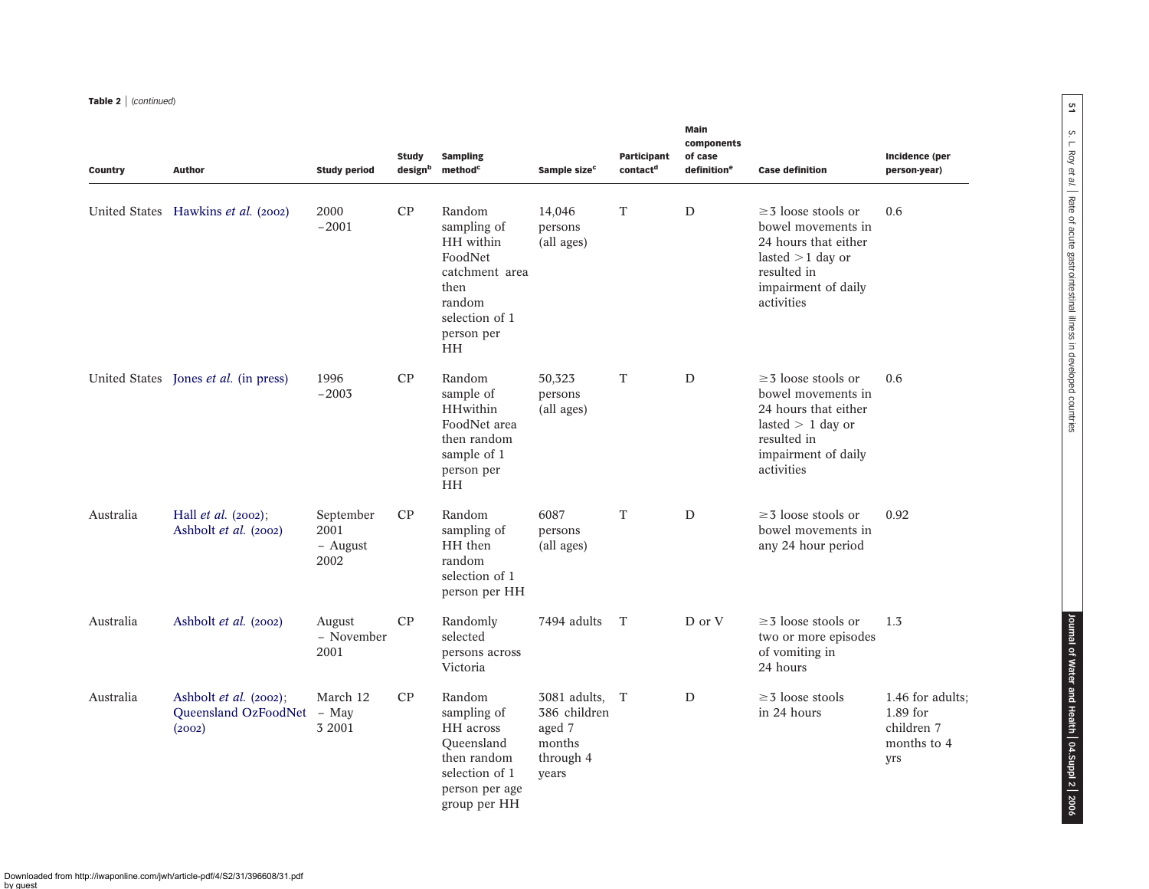| <b>Country</b> | <b>Author</b>                                               | <b>Study period</b>                   | <b>Study</b><br>design <sup>b</sup> | <b>Sampling</b><br>method <sup>c</sup>                                                                                  | Sample size <sup>c</sup>                                               | <b>Participant</b><br>contact <sup>d</sup> | Main<br>components<br>of case<br>definition <sup>e</sup> | <b>Case definition</b>                                                                                                                            | Incidence (per<br>person-year)                                   |
|----------------|-------------------------------------------------------------|---------------------------------------|-------------------------------------|-------------------------------------------------------------------------------------------------------------------------|------------------------------------------------------------------------|--------------------------------------------|----------------------------------------------------------|---------------------------------------------------------------------------------------------------------------------------------------------------|------------------------------------------------------------------|
|                | United States Hawkins et al. (2002)                         | 2000<br>$-2001$                       | CP                                  | Random<br>sampling of<br>HH within<br>FoodNet<br>catchment area<br>then<br>random<br>selection of 1<br>person per<br>HH | 14,046<br>persons<br>(all ages)                                        | T                                          | D                                                        | $\geq$ 5 loose stools or<br>bowel movements in<br>24 hours that either<br>lasted $>1$ day or<br>resulted in<br>impairment of daily<br>activities  | 0.6                                                              |
|                | United States Jones et al. (in press)                       | 1996<br>$-2003$                       | CP                                  | Random<br>sample of<br>HHwithin<br>FoodNet area<br>then random<br>sample of 1<br>person per<br><b>HH</b>                | 50,323<br>persons<br>(all ages)                                        | T                                          | D                                                        | $\geq$ 3 loose stools or<br>bowel movements in<br>24 hours that either<br>lasted $> 1$ day or<br>resulted in<br>impairment of daily<br>activities | 0.6                                                              |
| Australia      | Hall et al. (2002);<br>Ashbolt et al. (2002)                | September<br>2001<br>- August<br>2002 | CP                                  | Random<br>sampling of<br>HH then<br>random<br>selection of 1<br>person per HH                                           | 6087<br>persons<br>(all ages)                                          | T                                          | $\mathbf D$                                              | $\geq$ 5 loose stools or<br>bowel movements in<br>any 24 hour period                                                                              | 0.92                                                             |
| Australia      | Ashbolt et al. (2002)                                       | August<br>- November<br>2001          | CP                                  | Randomly<br>selected<br>persons across<br>Victoria                                                                      | 7494 adults                                                            | T                                          | D or V                                                   | $\geq$ 5 loose stools or<br>two or more episodes<br>of vomiting in<br>24 hours                                                                    | 1.3                                                              |
| Australia      | Ashbolt et al. $(2002)$ ;<br>Queensland OzFoodNet<br>(2002) | March 12<br>- May<br>3 2001           | CP                                  | Random<br>sampling of<br>HH across<br>Oueensland<br>then random<br>selection of 1<br>person per age<br>group per HH     | 3081 adults,<br>386 children<br>aged 7<br>months<br>through 4<br>years | Т                                          | D                                                        | $\geq$ 5 loose stools<br>in 24 hours                                                                                                              | 1.46 for adults:<br>1.89 for<br>children 7<br>months to 4<br>yrs |

51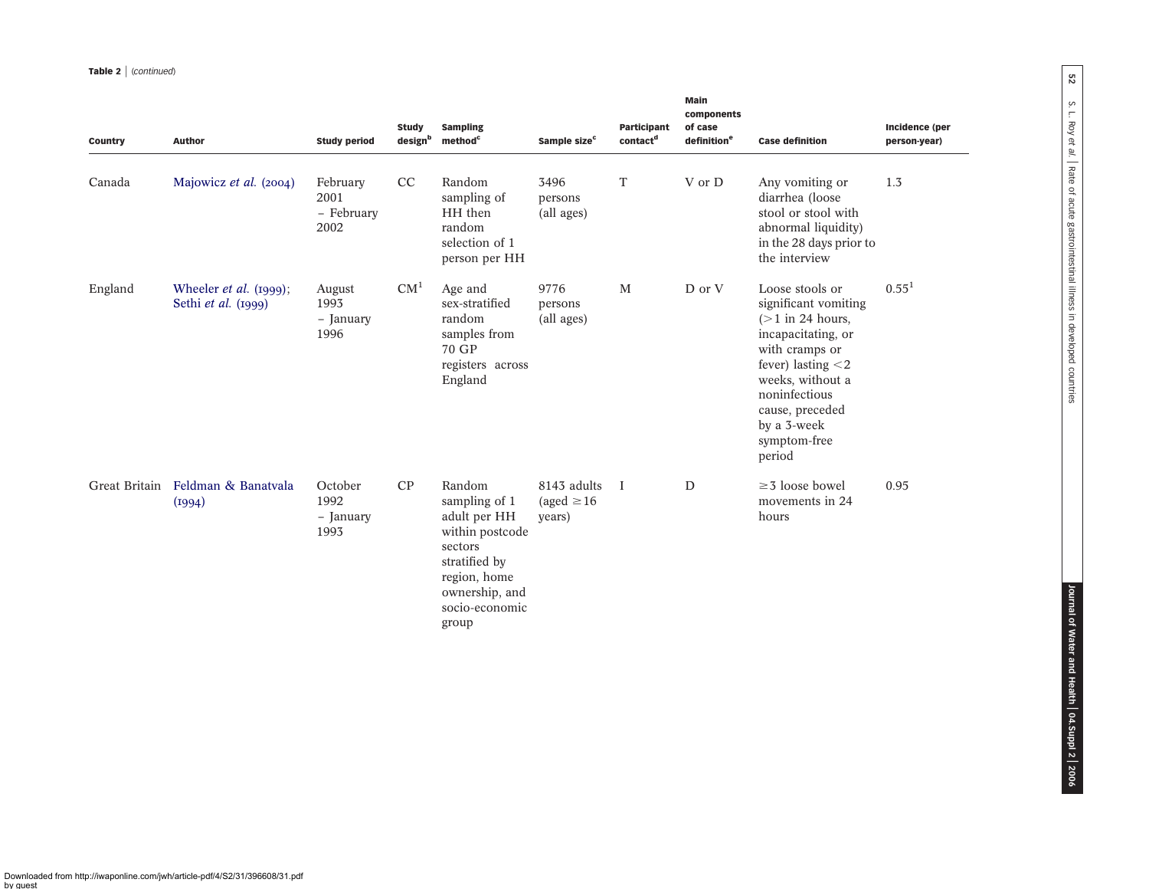| <b>Country</b> | <b>Author</b>                                        | <b>Study period</b>                    | <b>Study</b><br>designb | <b>Sampling</b><br>method <sup>c</sup>                                                                                                              | Sample size <sup>c</sup>                 | Participant<br>contact <sup>d</sup> | <b>Main</b><br>components<br>of case<br>definition <sup>e</sup> | <b>Case definition</b>                                                                                                                                                                                                         | Incidence (per<br>person-year) |
|----------------|------------------------------------------------------|----------------------------------------|-------------------------|-----------------------------------------------------------------------------------------------------------------------------------------------------|------------------------------------------|-------------------------------------|-----------------------------------------------------------------|--------------------------------------------------------------------------------------------------------------------------------------------------------------------------------------------------------------------------------|--------------------------------|
| Canada         | Majowicz et al. (2004)                               | February<br>2001<br>- February<br>2002 | CC                      | Random<br>sampling of<br>HH then<br>random<br>selection of 1<br>person per HH                                                                       | 3496<br>persons<br>(all ages)            | T                                   | V or D                                                          | Any vomiting or<br>diarrhea (loose<br>stool or stool with<br>abnormal liquidity)<br>in the 28 days prior to<br>the interview                                                                                                   | 1.3                            |
| England        | Wheeler <i>et al.</i> (1999);<br>Sethi et al. (1999) | August<br>1993<br>- January<br>1996    | CM <sup>1</sup>         | Age and<br>sex-stratified<br>random<br>samples from<br>70 GP<br>registers across<br>England                                                         | 9776<br>persons<br>(all ages)            | M                                   | D or V                                                          | Loose stools or<br>significant vomiting<br>$(>1$ in 24 hours,<br>incapacitating, or<br>with cramps or<br>fever) lasting $<$ 2<br>weeks, without a<br>noninfectious<br>cause, preceded<br>by a 3-week<br>symptom-free<br>period | $0.55^{1}$                     |
| Great Britain  | Feldman & Banatvala<br>(1994)                        | October<br>1992<br>- January<br>1993   | CP                      | Random<br>sampling of 1<br>adult per HH<br>within postcode<br>sectors<br>stratified by<br>region, home<br>ownership, and<br>socio-economic<br>group | 8143 adults<br>(aged $\geq 16$<br>years) | $\mathbf I$                         | D                                                               | $\geq$ 5 loose bowel<br>movements in 24<br>hours                                                                                                                                                                               | 0.95                           |

 $\mathbb{Z}^2$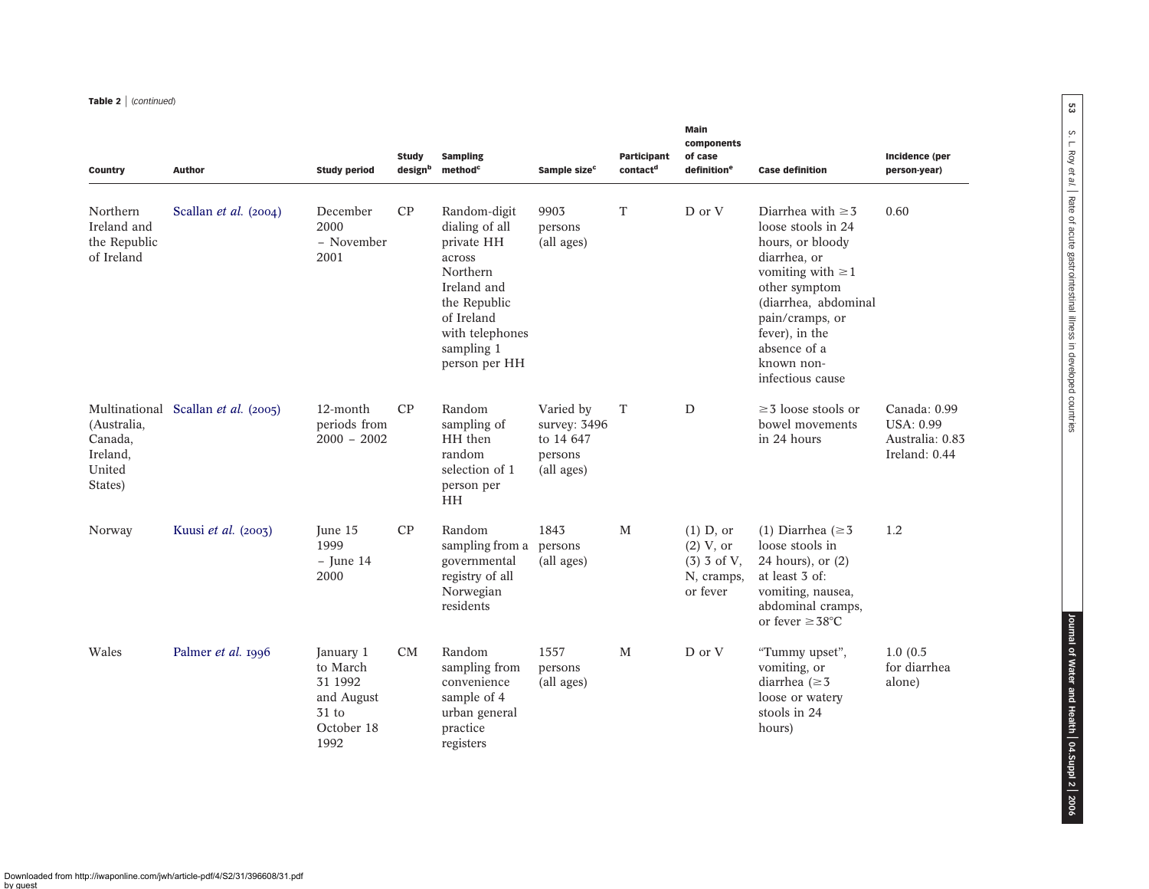| <b>Country</b>                                          | <b>Author</b>                       | <b>Study period</b>                                                             | <b>Study</b><br>designb | <b>Sampling</b><br>method <sup>c</sup>                                                                                                                            | Sample size <sup>c</sup>                                        | <b>Participant</b><br>contact <sup>d</sup> | Main<br>components<br>of case<br>definition <sup>e</sup>              | <b>Case definition</b>                                                                                                                                                                                                                     | Incidence (per<br>person-year)                                       |
|---------------------------------------------------------|-------------------------------------|---------------------------------------------------------------------------------|-------------------------|-------------------------------------------------------------------------------------------------------------------------------------------------------------------|-----------------------------------------------------------------|--------------------------------------------|-----------------------------------------------------------------------|--------------------------------------------------------------------------------------------------------------------------------------------------------------------------------------------------------------------------------------------|----------------------------------------------------------------------|
| Northern<br>Ireland and<br>the Republic<br>of Ireland   | Scallan et al. (2004)               | December<br>2000<br>- November<br>2001                                          | CP                      | Random-digit<br>dialing of all<br>private HH<br>across<br>Northern<br>Ireland and<br>the Republic<br>of Ireland<br>with telephones<br>sampling 1<br>person per HH | 9903<br>persons<br>(all ages)                                   | T                                          | $D$ or $V$                                                            | Diarrhea with $\geq$ 3<br>loose stools in 24<br>hours, or bloody<br>diarrhea, or<br>vomiting with $\geq$ 1<br>other symptom<br>(diarrhea, abdominal<br>pain/cramps, or<br>fever), in the<br>absence of a<br>known non-<br>infectious cause | 0.60                                                                 |
| (Australia,<br>Canada,<br>Ireland,<br>United<br>States) | Multinational Scallan et al. (2005) | 12-month<br>periods from<br>$2000 - 2002$                                       | CP                      | Random<br>sampling of<br>HH then<br>random<br>selection of 1<br>person per<br>HH                                                                                  | Varied by<br>survey: 3496<br>to 14 647<br>persons<br>(all ages) | T                                          | D                                                                     | $\geq$ 3 loose stools or<br>bowel movements<br>in 24 hours                                                                                                                                                                                 | Canada: 0.99<br><b>USA: 0.99</b><br>Australia: 0.83<br>Ireland: 0.44 |
| Norway                                                  | Kuusi et al. (2003)                 | June 15<br>1999<br>$-$ June 14<br>2000                                          | CP                      | Random<br>sampling from a<br>governmental<br>registry of all<br>Norwegian<br>residents                                                                            | 1843<br>persons<br>(all ages)                                   | M                                          | $(1)$ D, or<br>$(2)$ V, or<br>$(3)$ 3 of V,<br>N, cramps,<br>or fever | (1) Diarrhea ( $\geq$ 3<br>loose stools in<br>24 hours), or (2)<br>at least 3 of:<br>vomiting, nausea,<br>abdominal cramps,<br>or fever $\geq 38^{\circ}$ C                                                                                | 1.2                                                                  |
| Wales                                                   | Palmer et al. 1996                  | January 1<br>to March<br>31 1992<br>and August<br>$31$ to<br>October 18<br>1992 | CM                      | Random<br>sampling from<br>convenience<br>sample of 4<br>urban general<br>practice<br>registers                                                                   | 1557<br>persons<br>(all ages)                                   | M                                          | D or V                                                                | "Tummy upset",<br>vomiting, or<br>diarrhea ( $\geq$ 3<br>loose or watery<br>stools in 24<br>hours)                                                                                                                                         | 1.0(0.5)<br>for diarrhea<br>alone)                                   |

S. L. Roy et al. | Rate of acute gastrointestinal illness in developed countries

53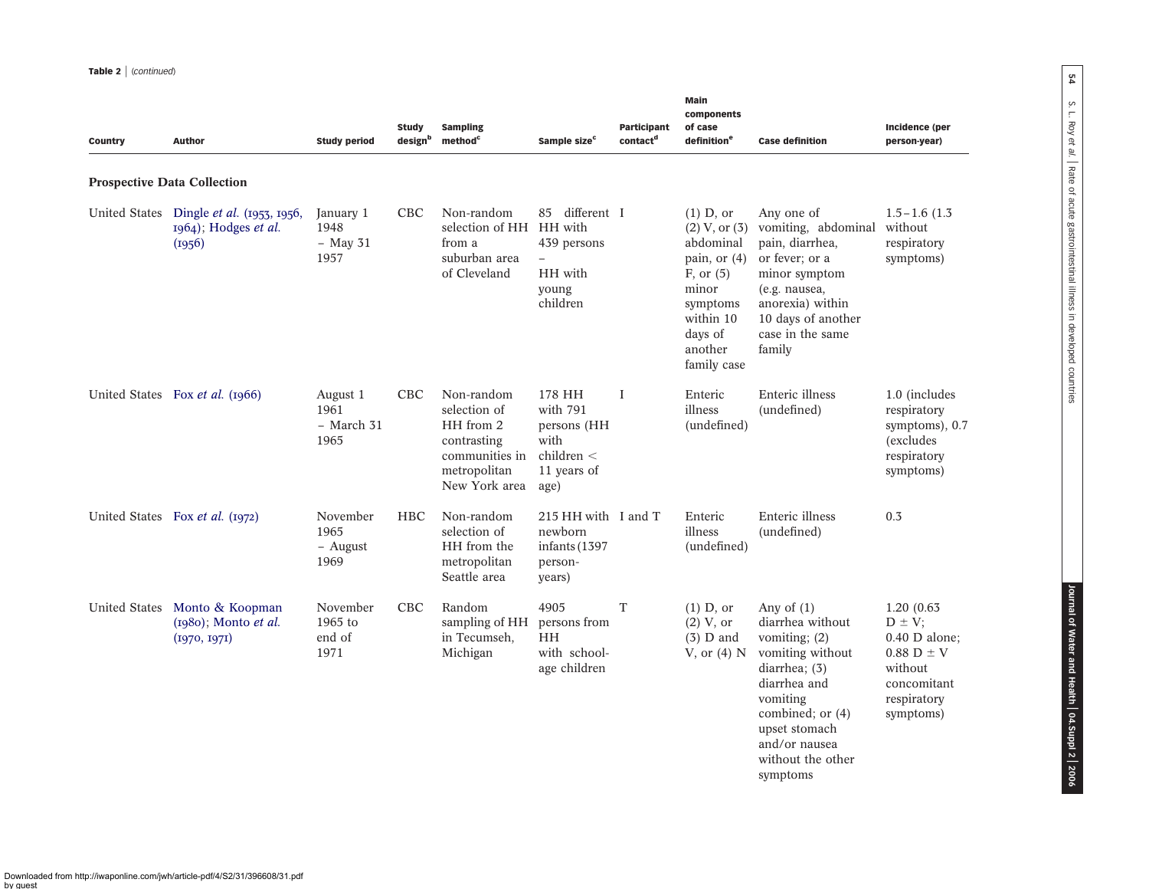| <b>Country</b> | <b>Author</b>                                                              | <b>Study period</b>                     | <b>Study</b><br>designb | <b>Sampling</b><br>method <sup>c</sup>                                                                    | Sample size <sup>c</sup>                                                       | <b>Participant</b><br>contact <sup>d</sup> | Main<br>components<br>of case<br>definition <sup>e</sup>                                                                                            | <b>Case definition</b>                                                                                                                                                                                        | Incidence (per<br>person-year)                                                                                          |
|----------------|----------------------------------------------------------------------------|-----------------------------------------|-------------------------|-----------------------------------------------------------------------------------------------------------|--------------------------------------------------------------------------------|--------------------------------------------|-----------------------------------------------------------------------------------------------------------------------------------------------------|---------------------------------------------------------------------------------------------------------------------------------------------------------------------------------------------------------------|-------------------------------------------------------------------------------------------------------------------------|
|                | <b>Prospective Data Collection</b>                                         |                                         |                         |                                                                                                           |                                                                                |                                            |                                                                                                                                                     |                                                                                                                                                                                                               |                                                                                                                         |
|                | United States Dingle et al. (1953, 1956,<br>1964); Hodges et al.<br>(1956) | January 1<br>1948<br>$-$ May 31<br>1957 | <b>CBC</b>              | Non-random<br>selection of HH HH with<br>from a<br>suburban area<br>of Cleveland                          | different I<br>85<br>439 persons<br>HH with<br>young<br>children               |                                            | $(1)$ D, or<br>(2) V, or (3)<br>abdominal<br>pain, or $(4)$<br>$F,$ or $(5)$<br>minor<br>symptoms<br>within 10<br>days of<br>another<br>family case | Any one of<br>vomiting, abdominal<br>pain, diarrhea,<br>or fever; or a<br>minor symptom<br>(e.g. nausea,<br>anorexia) within<br>10 days of another<br>case in the same<br>family                              | $1.5 - 1.6$ (1.3)<br>without<br>respiratory<br>symptoms)                                                                |
|                | United States Fox et al. (1966)                                            | August 1<br>1961<br>- March 31<br>1965  | <b>CBC</b>              | Non-random<br>selection of<br>HH from 2<br>contrasting<br>communities in<br>metropolitan<br>New York area | 178 HH<br>with 791<br>persons (HH<br>with<br>children <<br>11 years of<br>age) | I                                          | Enteric<br>illness<br>(undefined)                                                                                                                   | Enteric illness<br>(undefined)                                                                                                                                                                                | 1.0 (includes<br>respiratory<br>symptoms), 0.7<br><i>(excludes)</i><br>respiratory<br>symptoms)                         |
|                | United States Fox et al. (1972)                                            | November<br>1965<br>- August<br>1969    | <b>HBC</b>              | Non-random<br>selection of<br>HH from the<br>metropolitan<br>Seattle area                                 | 215 HH with I and T<br>newborn<br>infants $(1397)$<br>person-<br>years)        |                                            | Enteric<br>illness<br>(undefined)                                                                                                                   | Enteric illness<br>(undefined)                                                                                                                                                                                | 0.3                                                                                                                     |
| United States  | Monto & Koopman<br>$(1980)$ ; Monto et al.<br>(1970, 1971)                 | November<br>$1965$ to<br>end of<br>1971 | CBC                     | Random<br>sampling of HH<br>in Tecumseh,<br>Michigan                                                      | 4905<br>persons from<br><b>HH</b><br>with school-<br>age children              | $\mathbf T$                                | $(1)$ D, or<br>$(2)$ V, or<br>$(3)$ D and<br>V, or $(4)$ N                                                                                          | Any of $(1)$<br>diarrhea without<br>vomiting; $(2)$<br>vomiting without<br>diarrhea; $(3)$<br>diarrhea and<br>vomiting<br>combined; or (4)<br>upset stomach<br>and/or nausea<br>without the other<br>symptoms | 1.20 (0.63)<br>$D \pm V$ ;<br>$0.40$ D alone;<br>$0.88$ D $\pm$ V<br>without<br>concomitant<br>respiratory<br>symptoms) |

54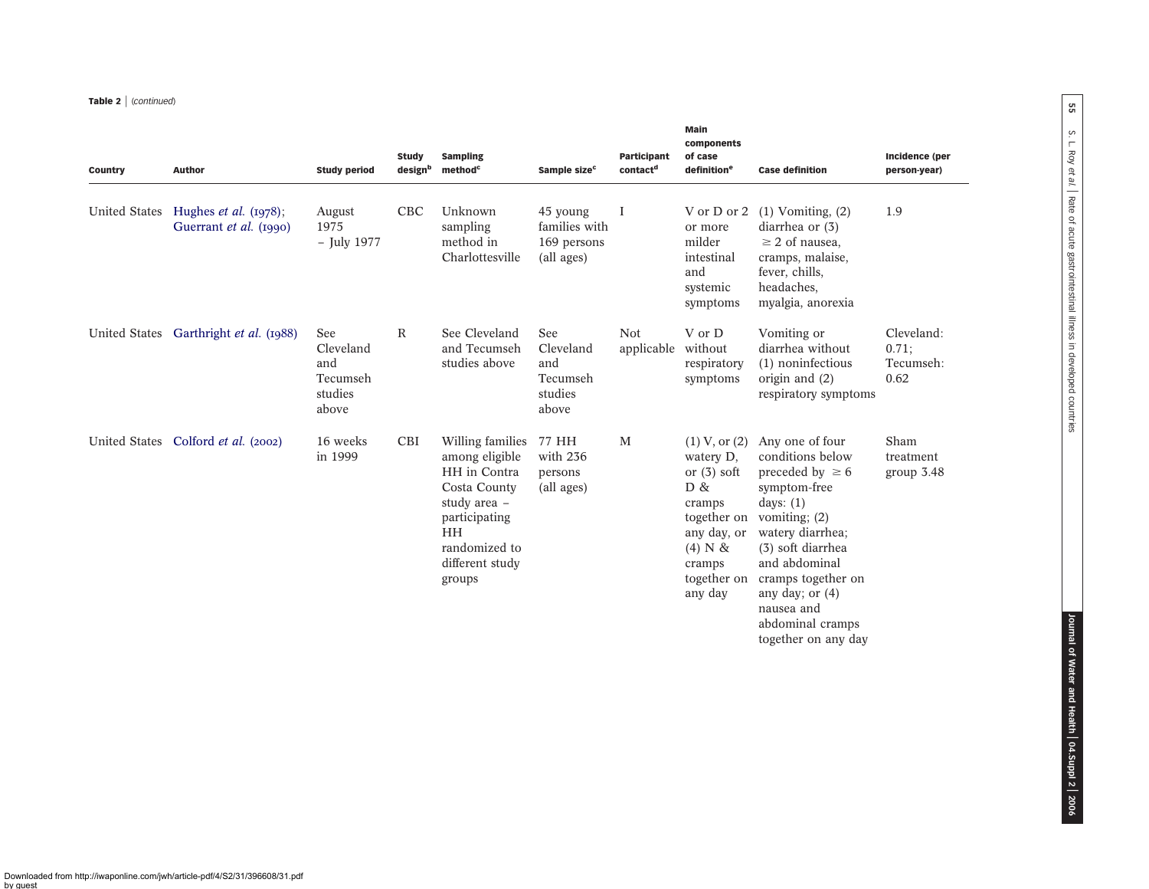| <b>Country</b>       | Author                                                     | <b>Study period</b>                                     | <b>Study</b><br>designb | <b>Sampling</b><br>method <sup>c</sup>                                                                                                                         | Sample size <sup>c</sup>                                | <b>Participant</b><br>contact <sup>d</sup> | Main<br>components<br>of case<br>definition <sup>e</sup>                                                                                      | <b>Case definition</b>                                                                                                                                                                                                                               | Incidence (per<br>person-year)              |
|----------------------|------------------------------------------------------------|---------------------------------------------------------|-------------------------|----------------------------------------------------------------------------------------------------------------------------------------------------------------|---------------------------------------------------------|--------------------------------------------|-----------------------------------------------------------------------------------------------------------------------------------------------|------------------------------------------------------------------------------------------------------------------------------------------------------------------------------------------------------------------------------------------------------|---------------------------------------------|
| <b>United States</b> | Hughes <i>et al.</i> ( $1978$ );<br>Guerrant et al. (1990) | August<br>1975<br>$-$ July 1977                         | ${\rm CBC}$             | Unknown<br>sampling<br>method in<br>Charlottesville                                                                                                            | 45 young<br>families with<br>169 persons<br>(all ages)  | I                                          | V or D or 2<br>or more<br>milder<br>intestinal<br>and<br>systemic<br>symptoms                                                                 | $(1)$ Vomiting, $(2)$<br>diarrhea or $(3)$<br>$\geq$ 2 of nausea,<br>cramps, malaise,<br>fever, chills,<br>headaches,<br>myalgia, anorexia                                                                                                           | 1.9                                         |
|                      | United States Garthright et al. (1988)                     | See<br>Cleveland<br>and<br>Tecumseh<br>studies<br>above | R                       | See Cleveland<br>and Tecumseh<br>studies above                                                                                                                 | See<br>Cleveland<br>and<br>Tecumseh<br>studies<br>above | <b>Not</b><br>applicable                   | V or D<br>without<br>respiratory<br>symptoms                                                                                                  | Vomiting or<br>diarrhea without<br>(1) noninfectious<br>origin and $(2)$<br>respiratory symptoms                                                                                                                                                     | Cleveland:<br>$0.71$ ;<br>Tecumseh:<br>0.62 |
|                      | United States Colford et al. (2002)                        | 16 weeks<br>in 1999                                     | <b>CBI</b>              | Willing families<br>among eligible<br>HH in Contra<br>Costa County<br>study area -<br>participating<br><b>HH</b><br>randomized to<br>different study<br>groups | 77 HH<br>with 236<br>persons<br>(all ages)              | M                                          | $(1)$ V, or $(2)$<br>watery D,<br>or $(3)$ soft<br>D &<br>cramps<br>together on<br>any day, or<br>(4) N &<br>cramps<br>together on<br>any day | Any one of four<br>conditions below<br>preceded by $\geq 6$<br>symptom-free<br>days: $(1)$<br>vomiting; $(2)$<br>watery diarrhea;<br>(3) soft diarrhea<br>and abdominal<br>cramps together on<br>any day; or $(4)$<br>nausea and<br>abdominal cramps | Sham<br>treatment<br>$group\ 3.48$          |

together on any day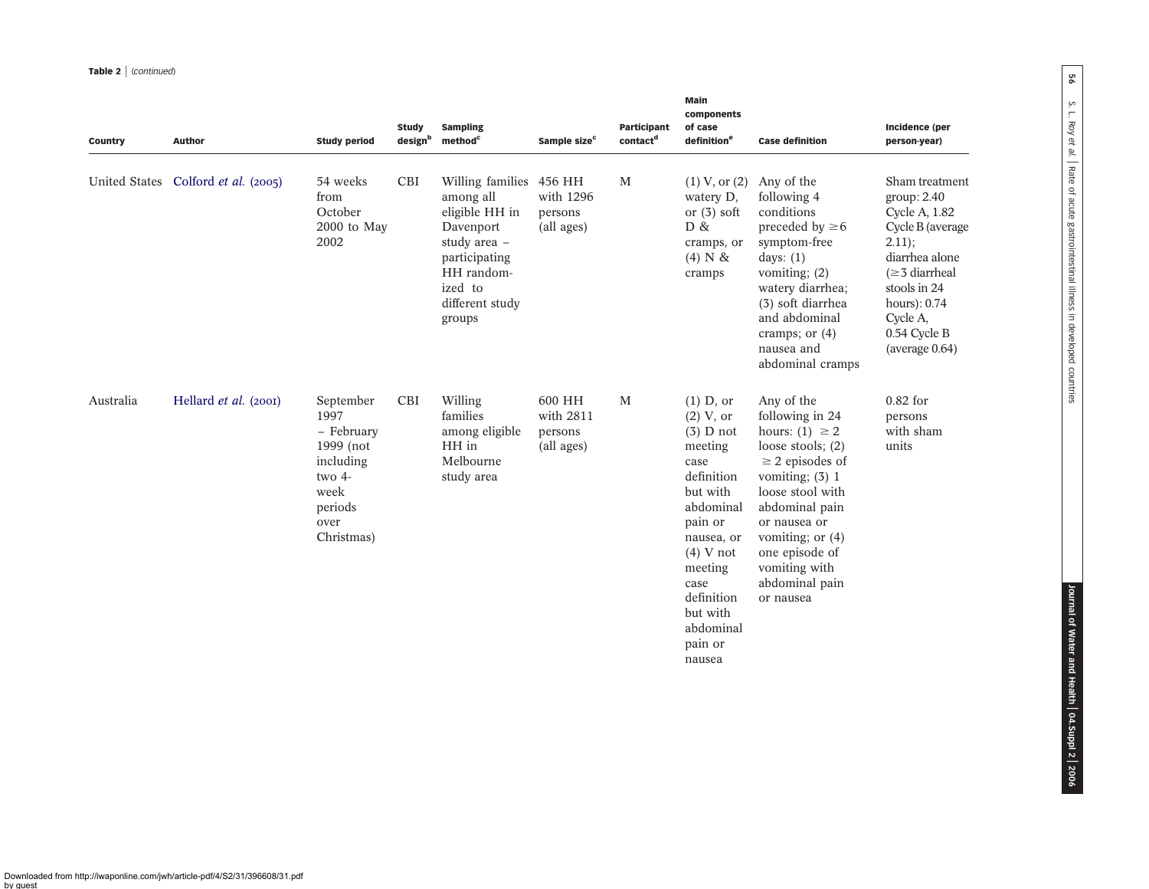| <b>Country</b> | <b>Author</b>                       | <b>Study period</b>                                                                                          | <b>Study</b><br>design <sup>b</sup> | <b>Sampling</b><br>method <sup>c</sup>                                                                                                              | Sample size <sup>c</sup>                     | Participant<br>contact <sup>d</sup> | <b>Main</b><br>components<br>of case<br>definition <sup>e</sup>                                                                                                                                                            | <b>Case definition</b>                                                                                                                                                                                                                                                | Incidence (per<br>person-year)                                                                                                                                                                        |
|----------------|-------------------------------------|--------------------------------------------------------------------------------------------------------------|-------------------------------------|-----------------------------------------------------------------------------------------------------------------------------------------------------|----------------------------------------------|-------------------------------------|----------------------------------------------------------------------------------------------------------------------------------------------------------------------------------------------------------------------------|-----------------------------------------------------------------------------------------------------------------------------------------------------------------------------------------------------------------------------------------------------------------------|-------------------------------------------------------------------------------------------------------------------------------------------------------------------------------------------------------|
|                | United States Colford et al. (2005) | 54 weeks<br>from<br>October<br>2000 to May<br>2002                                                           | <b>CBI</b>                          | Willing families<br>among all<br>eligible HH in<br>Davenport<br>study area -<br>participating<br>HH random-<br>ized to<br>different study<br>groups | 456 HH<br>with 1296<br>persons<br>(all ages) | M                                   | $(1) V$ , or $(2)$<br>watery D,<br>or $(3)$ soft<br>D &<br>cramps, or<br>(4) N &<br>cramps                                                                                                                                 | Any of the<br>following 4<br>conditions<br>preceded by $\geq 6$<br>symptom-free<br>days: $(1)$<br>vomiting; (2)<br>watery diarrhea;<br>(3) soft diarrhea<br>and abdominal<br>cramps; or $(4)$<br>nausea and<br>abdominal cramps                                       | Sham treatment<br>group: 2.40<br>Cycle A, 1.82<br>Cycle B (average<br>$2.11$ ;<br>diarrhea alone<br>$(\geq 3$ diarrheal<br>stools in 24<br>hours): 0.74<br>Cycle A,<br>0.54 Cycle B<br>(average 0.64) |
| Australia      | Hellard et al. (2001)               | September<br>1997<br>- February<br>1999 (not<br>including<br>two 4-<br>week<br>periods<br>over<br>Christmas) | <b>CBI</b>                          | Willing<br>families<br>among eligible<br>HH in<br>Melbourne<br>study area                                                                           | 600 HH<br>with 2811<br>persons<br>(all ages) | M                                   | $(1)$ D, or<br>$(2)$ V, or<br>$(3)$ D not<br>meeting<br>case<br>definition<br>but with<br>abdominal<br>pain or<br>nausea, or<br>$(4)$ V not<br>meeting<br>case<br>definition<br>but with<br>abdominal<br>pain or<br>nausea | Any of the<br>following in 24<br>hours: $(1) \ge 2$<br>loose stools; $(2)$<br>$\geq$ 2 episodes of<br>vomiting; $(3)$ 1<br>loose stool with<br>abdominal pain<br>or nausea or<br>vomiting; or $(4)$<br>one episode of<br>vomiting with<br>abdominal pain<br>or nausea | $0.82$ for<br>persons<br>with sham<br>units                                                                                                                                                           |

56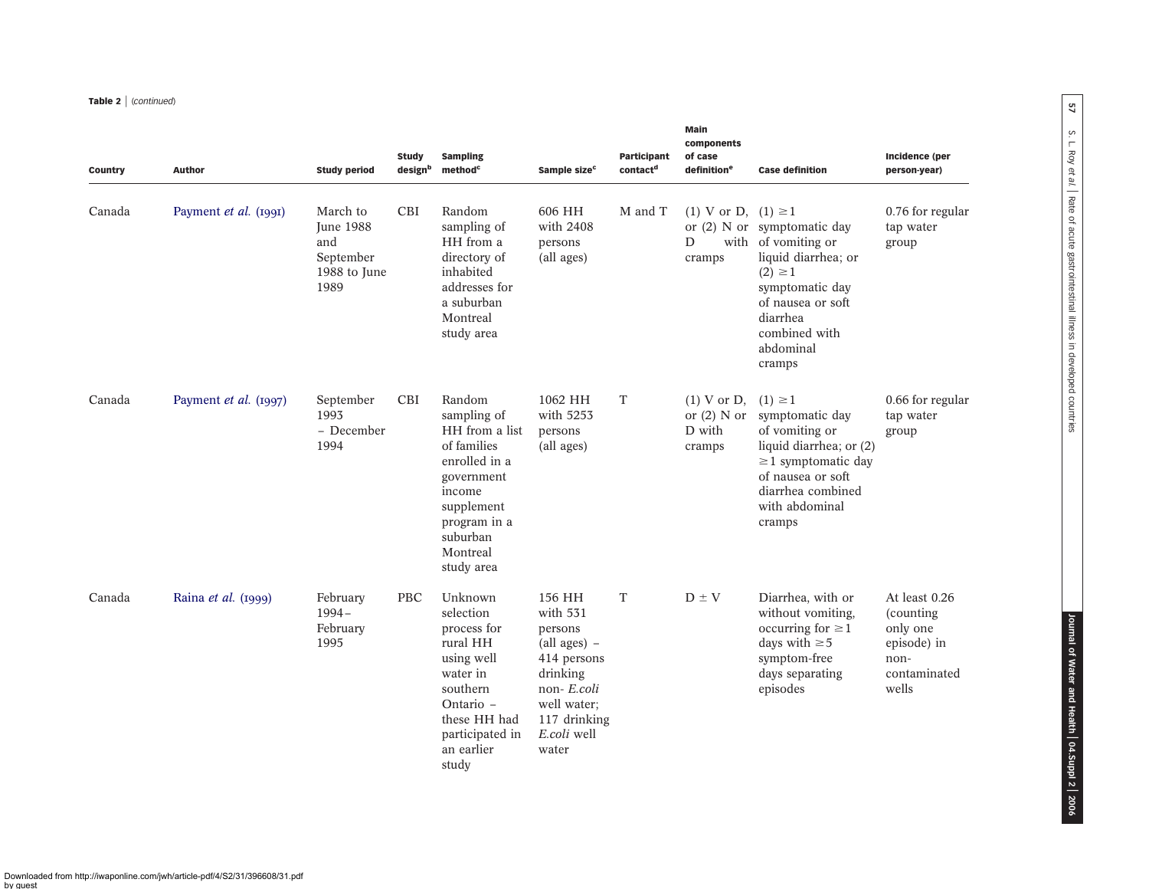| <b>Country</b> | <b>Author</b>         | <b>Study period</b>                                                      | <b>Study</b><br>designb | <b>Sampling</b><br>method <sup>c</sup>                                                                                                                              | Sample size <sup>c</sup>                                                                                                                         | <b>Participant</b><br>contact <sup>d</sup> | <b>Main</b><br>components<br>of case<br>definition <sup>e</sup> | <b>Case definition</b>                                                                                                                                                          | Incidence (per<br>person-year)                                                          |
|----------------|-----------------------|--------------------------------------------------------------------------|-------------------------|---------------------------------------------------------------------------------------------------------------------------------------------------------------------|--------------------------------------------------------------------------------------------------------------------------------------------------|--------------------------------------------|-----------------------------------------------------------------|---------------------------------------------------------------------------------------------------------------------------------------------------------------------------------|-----------------------------------------------------------------------------------------|
| Canada         | Payment et al. (1991) | March to<br><b>June 1988</b><br>and<br>September<br>1988 to June<br>1989 | <b>CBI</b>              | Random<br>sampling of<br>HH from a<br>directory of<br>inhabited<br>addresses for<br>a suburban<br>Montreal<br>study area                                            | 606 HH<br>with 2408<br>persons<br>(all ages)                                                                                                     | M and T                                    | (1) V or D, $(1) \ge 1$<br>with<br>D<br>cramps                  | or (2) N or symptomatic day<br>of vomiting or<br>liquid diarrhea; or<br>$(2) \ge 1$<br>symptomatic day<br>of nausea or soft<br>diarrhea<br>combined with<br>abdominal<br>cramps | 0.76 for regular<br>tap water<br>group                                                  |
| Canada         | Payment et al. (1997) | September<br>1993<br>- December<br>1994                                  | <b>CBI</b>              | Random<br>sampling of<br>HH from a list<br>of families<br>enrolled in a<br>government<br>income<br>supplement<br>program in a<br>suburban<br>Montreal<br>study area | 1062 HH<br>with 5253<br>persons<br>(all ages)                                                                                                    | T                                          | $(1)$ V or D,<br>or $(2)$ N or<br>D with<br>cramps              | $(1) \ge 1$<br>symptomatic day<br>of vomiting or<br>liquid diarrhea; or (2)<br>$\geq$ 1 symptomatic day<br>of nausea or soft<br>diarrhea combined<br>with abdominal<br>cramps   | 0.66 for regular<br>tap water<br>group                                                  |
| Canada         | Raina et al. (1999)   | February<br>$1994-$<br>February<br>1995                                  | <b>PBC</b>              | Unknown<br>selection<br>process for<br>rural HH<br>using well<br>water in<br>southern<br>Ontario -<br>these HH had<br>participated in<br>an earlier<br>study        | 156 HH<br>with 531<br>persons<br>(all ages) $-$<br>414 persons<br>drinking<br>non- E.coli<br>well water;<br>117 drinking<br>E.coli well<br>water | T                                          | $D \pm V$                                                       | Diarrhea, with or<br>without vomiting,<br>occurring for $\geq 1$<br>days with $\geq 5$<br>symptom-free<br>days separating<br>episodes                                           | At least 0.26<br>(counting)<br>only one<br>episode) in<br>non-<br>contaminated<br>wells |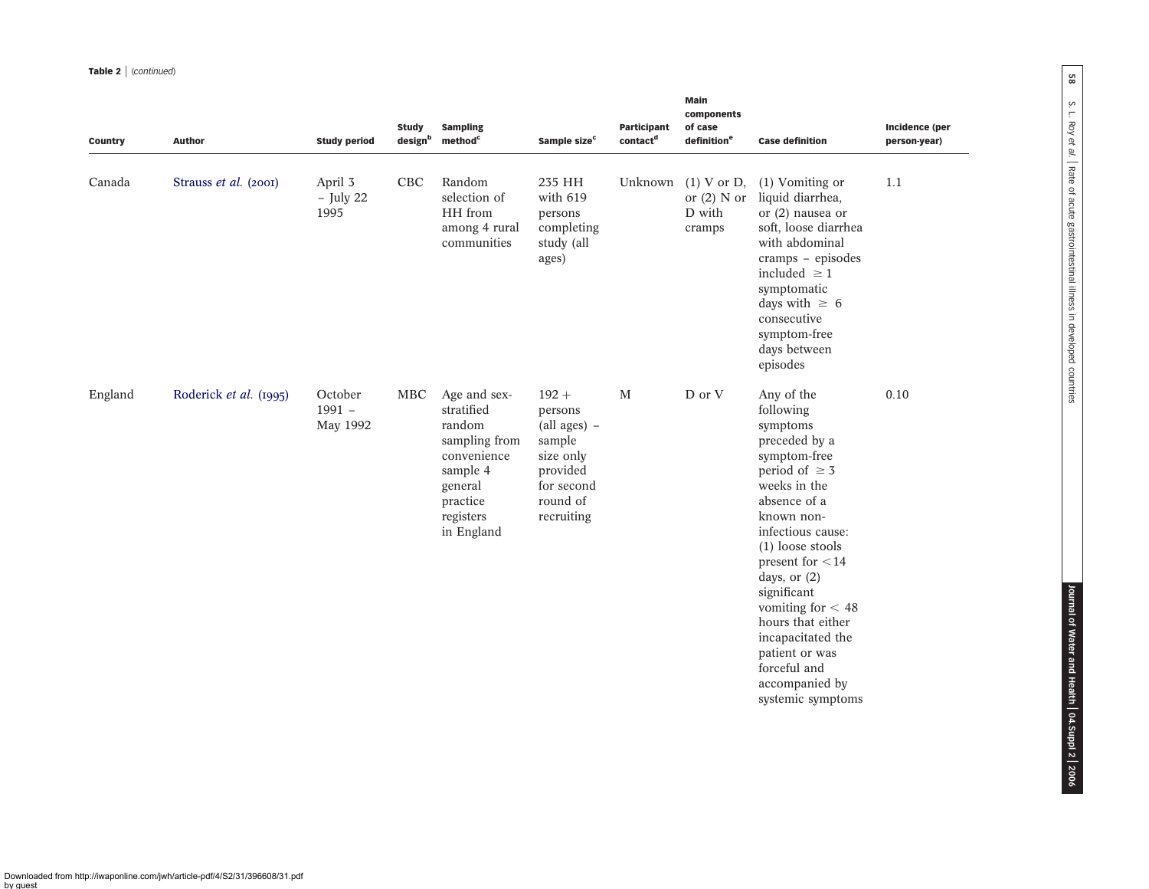| <b>Country</b> | <b>Author</b>          | <b>Study period</b>             | <b>Study</b><br>designb | <b>Sampling</b><br>method <sup>c</sup>                                                                                             | Sample size <sup>c</sup>                                                                                        | <b>Participant</b><br>contact <sup>d</sup> | <b>Main</b><br>components<br>of case<br>definition <sup>e</sup> | <b>Case definition</b>                                                                                                                                                                                                                                                                                                                                                             | Incidence (per<br>person-year) |
|----------------|------------------------|---------------------------------|-------------------------|------------------------------------------------------------------------------------------------------------------------------------|-----------------------------------------------------------------------------------------------------------------|--------------------------------------------|-----------------------------------------------------------------|------------------------------------------------------------------------------------------------------------------------------------------------------------------------------------------------------------------------------------------------------------------------------------------------------------------------------------------------------------------------------------|--------------------------------|
| Canada         | Strauss et al. (2001)  | April 3<br>$-$ July 22<br>1995  | CBC                     | Random<br>selection of<br>HH from<br>among 4 rural<br>communities                                                                  | 235 HH<br>with 619<br>persons<br>completing<br>study (all<br>ages)                                              | Unknown                                    | $(1)$ V or D,<br>or $(2)$ N or<br>D with<br>cramps              | (1) Vomiting or<br>liquid diarrhea,<br>or $(2)$ nausea or<br>soft, loose diarrhea<br>with abdominal<br>cramps - episodes<br>included $\geq 1$<br>symptomatic<br>days with $\geq 6$<br>consecutive<br>symptom-free<br>days between<br>episodes                                                                                                                                      | 1.1                            |
| England        | Roderick et al. (1995) | October<br>$1991 -$<br>May 1992 | <b>MBC</b>              | Age and sex-<br>stratified<br>random<br>sampling from<br>convenience<br>sample 4<br>general<br>practice<br>registers<br>in England | $192 +$<br>persons<br>(all ages) $-$<br>sample<br>size only<br>provided<br>for second<br>round of<br>recruiting | M                                          | D or V                                                          | Any of the<br>following<br>symptoms<br>preceded by a<br>symptom-free<br>period of $\geq$ 3<br>weeks in the<br>absence of a<br>known non-<br>infectious cause:<br>(1) loose stools<br>present for $<$ 14<br>days, or $(2)$<br>significant<br>vomiting for $< 48$<br>hours that either<br>incapacitated the<br>patient or was<br>forceful and<br>accompanied by<br>systemic symptoms | 0.10                           |

58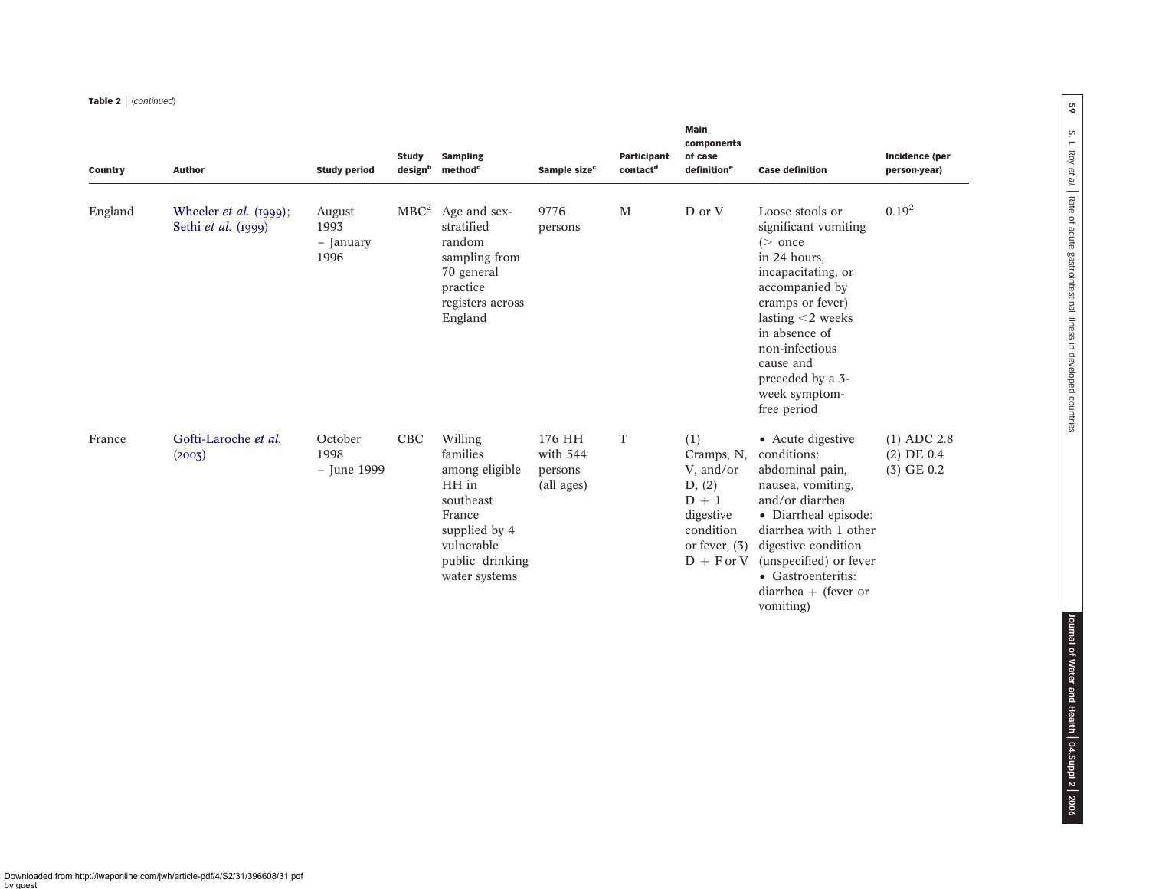| <b>Country</b> | <b>Author</b>                                        | <b>Study period</b>                 | <b>Study</b><br>designb | <b>Sampling</b><br>method <sup>c</sup>                                                                                                   | Sample size <sup>c</sup>                    | Participant<br>contact <sup>d</sup> | <b>Main</b><br>components<br>of case<br>definition <sup>e</sup>                                                  | <b>Case definition</b>                                                                                                                                                                                                                                     | Incidence (per<br>person-year)                |
|----------------|------------------------------------------------------|-------------------------------------|-------------------------|------------------------------------------------------------------------------------------------------------------------------------------|---------------------------------------------|-------------------------------------|------------------------------------------------------------------------------------------------------------------|------------------------------------------------------------------------------------------------------------------------------------------------------------------------------------------------------------------------------------------------------------|-----------------------------------------------|
| England        | Wheeler <i>et al.</i> (1999);<br>Sethi et al. (1999) | August<br>1993<br>- January<br>1996 | MBC <sup>2</sup>        | Age and sex-<br>stratified<br>random<br>sampling from<br>70 general<br>practice<br>registers across<br>England                           | 9776<br>persons                             | M                                   | D or V                                                                                                           | Loose stools or<br>significant vomiting<br>$($ once<br>in 24 hours,<br>incapacitating, or<br>accompanied by<br>cramps or fever)<br>lasting $<$ 2 weeks<br>in absence of<br>non-infectious<br>cause and<br>preceded by a 3-<br>week symptom-<br>free period | $0.19^{2}$                                    |
| France         | Gofti-Laroche et al.<br>(2003)                       | October<br>1998<br>- June 1999      | CBC                     | Willing<br>families<br>among eligible<br>HH in<br>southeast<br>France<br>supplied by 4<br>vulnerable<br>public drinking<br>water systems | 176 HH<br>with 544<br>persons<br>(all ages) | T                                   | (1)<br>Cramps, N,<br>V, and/or<br>D, (2)<br>$D + 1$<br>digestive<br>condition<br>or fever, $(3)$<br>$D$ + F or V | • Acute digestive<br>conditions:<br>abdominal pain,<br>nausea, vomiting,<br>and/or diarrhea<br>• Diarrheal episode:<br>diarrhea with 1 other<br>digestive condition<br>(unspecified) or fever<br>• Gastroenteritis:<br>diarrhea + (fever or<br>vomiting)   | $(1)$ ADC 2.8<br>$(2)$ DE 0.4<br>$(3)$ GE 0.2 |

59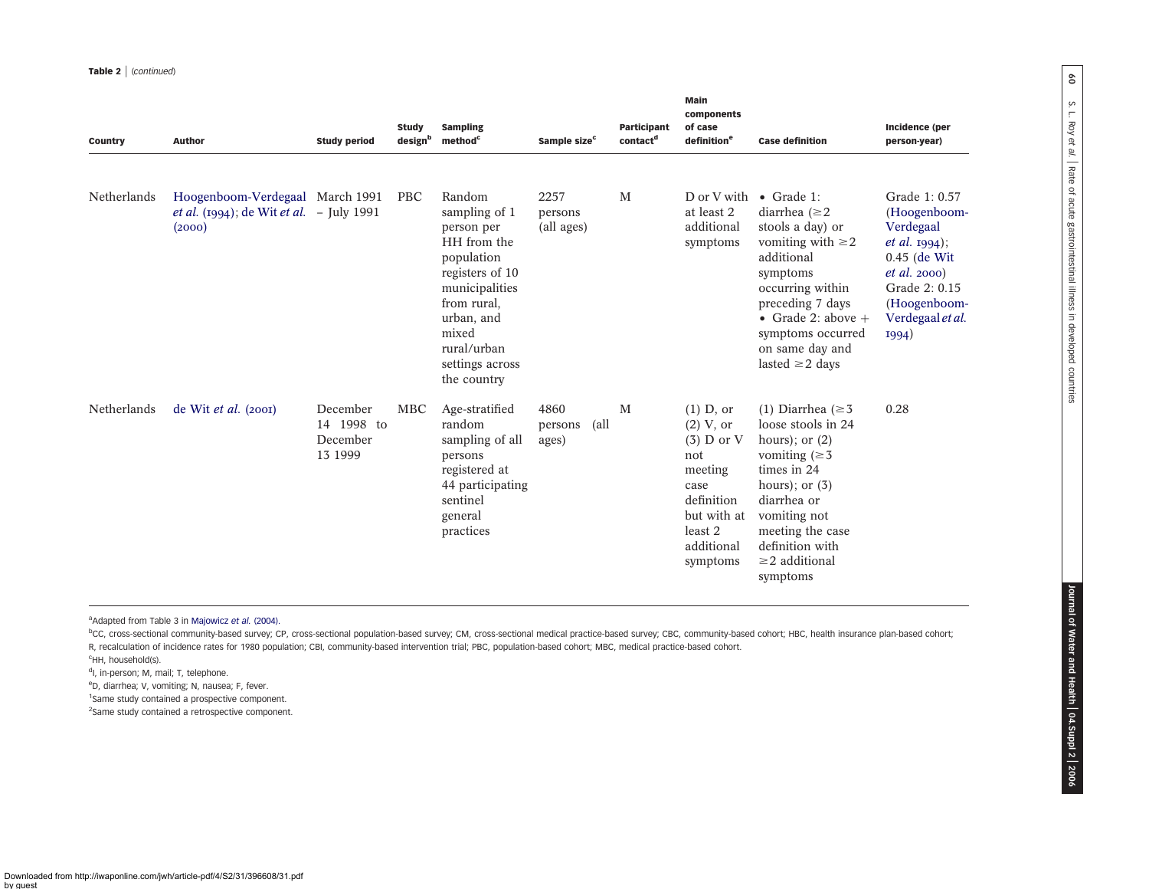| <b>Country</b> | <b>Author</b>                                                                                       | <b>Study period</b>                           | <b>Study</b><br>design <sup>b</sup> | <b>Sampling</b><br>method <sup>c</sup>                                                                                                                                                         | Sample size <sup>c</sup>                | Participant<br>contact <sup>d</sup> | Main<br>components<br>of case<br>definition <sup>e</sup>                                                                               | <b>Case definition</b>                                                                                                                                                                                                                             | Incidence (per<br>person-year)                                                                                                                                              |
|----------------|-----------------------------------------------------------------------------------------------------|-----------------------------------------------|-------------------------------------|------------------------------------------------------------------------------------------------------------------------------------------------------------------------------------------------|-----------------------------------------|-------------------------------------|----------------------------------------------------------------------------------------------------------------------------------------|----------------------------------------------------------------------------------------------------------------------------------------------------------------------------------------------------------------------------------------------------|-----------------------------------------------------------------------------------------------------------------------------------------------------------------------------|
| Netherlands    | Hoogenboom-Verdegaal March 1991<br><i>et al.</i> (1994); de Wit <i>et al.</i> - July 1991<br>(2000) |                                               | PBC                                 | Random<br>sampling of 1<br>person per<br>HH from the<br>population<br>registers of 10<br>municipalities<br>from rural.<br>urban, and<br>mixed<br>rural/urban<br>settings across<br>the country | 2257<br>persons<br>(all ages)           | M                                   | D or V with<br>at least 2<br>additional<br>symptoms                                                                                    | $\bullet$ Grade 1:<br>diarrhea $( \geq 2)$<br>stools a day) or<br>vomiting with $\geq$ 2<br>additional<br>symptoms<br>occurring within<br>preceding 7 days<br>• Grade 2: above $+$<br>symptoms occurred<br>on same day and<br>lasted $\geq$ 2 days | Grade 1: 0.57<br>(Hoogenboom-<br>Verdegaal<br><i>et al.</i> $1994$ ;<br>$0.45$ (de Wit<br><i>et al.</i> 2000)<br>Grade 2: 0.15<br>(Hoogenboom-<br>Verdegaal et al.<br>1994) |
| Netherlands    | de Wit et al. $(200I)$                                                                              | December<br>14 1998 to<br>December<br>13 1999 | <b>MBC</b>                          | Age-stratified<br>random<br>sampling of all<br>persons<br>registered at<br>44 participating<br>sentinel<br>general<br>practices                                                                | 4860<br>$\alpha$ ll<br>persons<br>ages) | M                                   | $(1)$ D, or<br>$(2)$ V, or<br>$(3)$ D or V<br>not<br>meeting<br>case<br>definition<br>but with at<br>least 2<br>additional<br>symptoms | (1) Diarrhea ( $\geq$ 3<br>loose stools in 24<br>hours); or $(2)$<br>vomiting $(\geq 3)$<br>times in 24<br>hours); or $(3)$<br>diarrhea or<br>vomiting not<br>meeting the case<br>definition with<br>$\geq$ 2 additional<br>symptoms               | 0.28                                                                                                                                                                        |

<sup>a</sup>Adapted from Table 3 in [Majowicz](#page-37-0) et al. (2004).

<sup>b</sup>CC, cross-sectional community-based survey; CP, cross-sectional population-based survey; CM, cross-sectional medical practice-based survey; CBC, community-based cohort; HBC, health insurance plan-based cohort; R, recalculation of incidence rates for 1980 population; CBI, community-based intervention trial; PBC, population-based cohort; MBC, medical practice-based cohort.

<sup>c</sup>HH, household(s).

<sup>d</sup>l, in-person; M, mail; T, telephone.

eD, diarrhea; V, vomiting; N, nausea; F, fever.

<sup>1</sup>Same study contained a prospective component.

2Same study contained <sup>a</sup> retrospective component.

 $\mathsf{s}$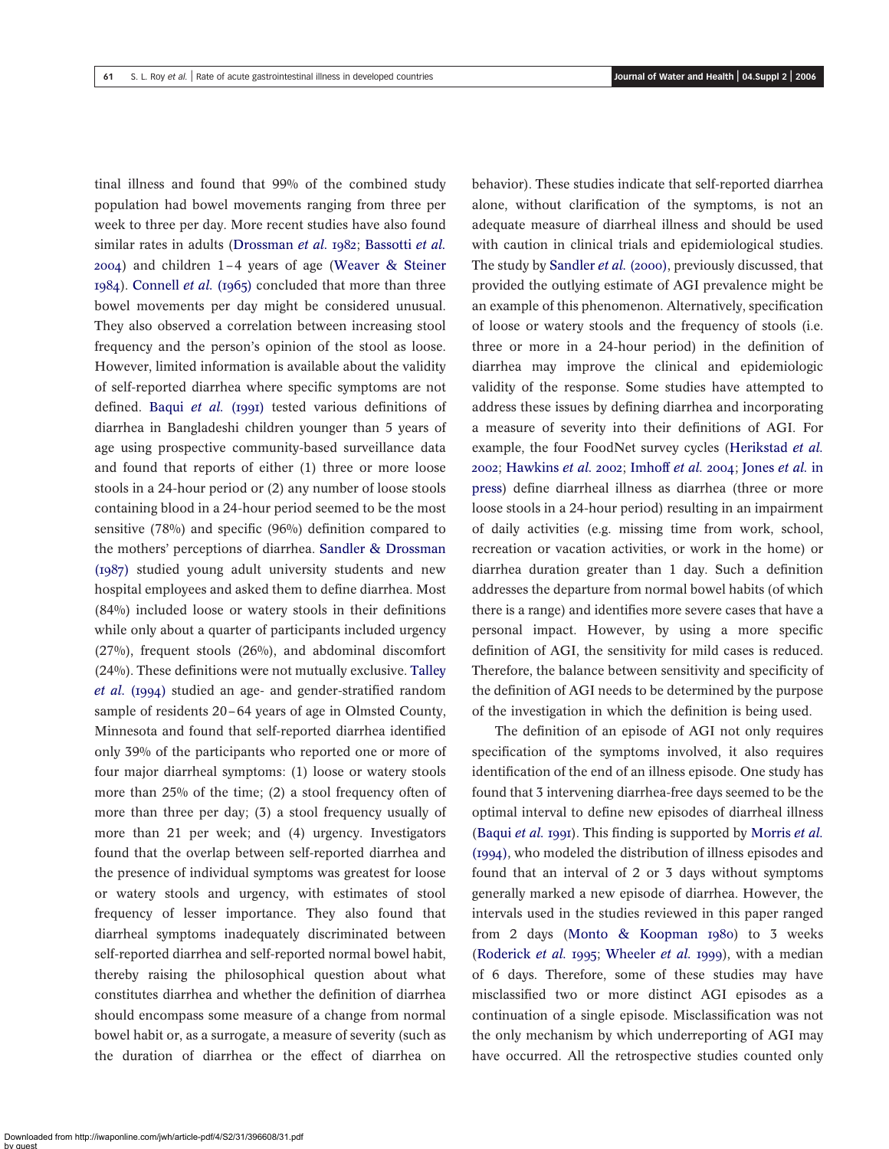tinal illness and found that 99% of the combined study population had bowel movements ranging from three per week to three per day. More recent studies have also found similar rates in adults ([Drossman](#page-36-0) et al. 1982; [Bassotti](#page-35-0) et al. [2004](#page-35-0)) and children 1–4 years of age ([Weaver & Steiner](#page-38-0) [1984](#page-38-0)). [Connell](#page-35-0) et al. (1965) concluded that more than three bowel movements per day might be considered unusual. They also observed a correlation between increasing stool frequency and the person's opinion of the stool as loose. However, limited information is available about the validity of self-reported diarrhea where specific symptoms are not defined. [Baqui](#page-35-0) et al. (1991) tested various definitions of diarrhea in Bangladeshi children younger than 5 years of age using prospective community-based surveillance data and found that reports of either (1) three or more loose stools in a 24-hour period or (2) any number of loose stools containing blood in a 24-hour period seemed to be the most sensitive (78%) and specific (96%) definition compared to the mothers' perceptions of diarrhea. [Sandler & Drossman](#page-38-0) [\(1987\)](#page-38-0) studied young adult university students and new hospital employees and asked them to define diarrhea. Most (84%) included loose or watery stools in their definitions while only about a quarter of participants included urgency (27%), frequent stools (26%), and abdominal discomfort (24%). These definitions were not mutually exclusive. [Talley](#page-38-0) et al. [\(1994\)](#page-38-0) studied an age- and gender-stratified random sample of residents 20–64 years of age in Olmsted County, Minnesota and found that self-reported diarrhea identified only 39% of the participants who reported one or more of four major diarrheal symptoms: (1) loose or watery stools more than 25% of the time; (2) a stool frequency often of more than three per day; (3) a stool frequency usually of more than 21 per week; and (4) urgency. Investigators found that the overlap between self-reported diarrhea and the presence of individual symptoms was greatest for loose or watery stools and urgency, with estimates of stool frequency of lesser importance. They also found that diarrheal symptoms inadequately discriminated between self-reported diarrhea and self-reported normal bowel habit, thereby raising the philosophical question about what constitutes diarrhea and whether the definition of diarrhea should encompass some measure of a change from normal bowel habit or, as a surrogate, a measure of severity (such as the duration of diarrhea or the effect of diarrhea on

behavior). These studies indicate that self-reported diarrhea alone, without clarification of the symptoms, is not an adequate measure of diarrheal illness and should be used with caution in clinical trials and epidemiological studies. The study by [Sandler](#page-38-0) et al. (2000), previously discussed, that provided the outlying estimate of AGI prevalence might be an example of this phenomenon. Alternatively, specification of loose or watery stools and the frequency of stools (i.e. three or more in a 24-hour period) in the definition of diarrhea may improve the clinical and epidemiologic validity of the response. Some studies have attempted to address these issues by defining diarrhea and incorporating a measure of severity into their definitions of AGI. For example, the four FoodNet survey cycles ([Herikstad](#page-37-0) et al. [2002](#page-37-0); [Hawkins](#page-36-0) et al. 2002; [Imhoff](#page-37-0) et al. 2004; [Jones](#page-37-0) et al. in [press](#page-37-0)) define diarrheal illness as diarrhea (three or more loose stools in a 24-hour period) resulting in an impairment of daily activities (e.g. missing time from work, school, recreation or vacation activities, or work in the home) or diarrhea duration greater than 1 day. Such a definition addresses the departure from normal bowel habits (of which there is a range) and identifies more severe cases that have a personal impact. However, by using a more specific definition of AGI, the sensitivity for mild cases is reduced. Therefore, the balance between sensitivity and specificity of the definition of AGI needs to be determined by the purpose of the investigation in which the definition is being used.

The definition of an episode of AGI not only requires specification of the symptoms involved, it also requires identification of the end of an illness episode. One study has found that 3 intervening diarrhea-free days seemed to be the optimal interval to define new episodes of diarrheal illness ([Baqui](#page-35-0) et al. 1991). This finding is supported by [Morris](#page-37-0) et al. [\(1994\)](#page-37-0), who modeled the distribution of illness episodes and found that an interval of 2 or 3 days without symptoms generally marked a new episode of diarrhea. However, the intervals used in the studies reviewed in this paper ranged from 2 days ([Monto & Koopman 1980](#page-37-0)) to 3 weeks ([Roderick](#page-38-0) et al. 1995; [Wheeler](#page-38-0) et al. 1999), with a median of 6 days. Therefore, some of these studies may have misclassified two or more distinct AGI episodes as a continuation of a single episode. Misclassification was not the only mechanism by which underreporting of AGI may have occurred. All the retrospective studies counted only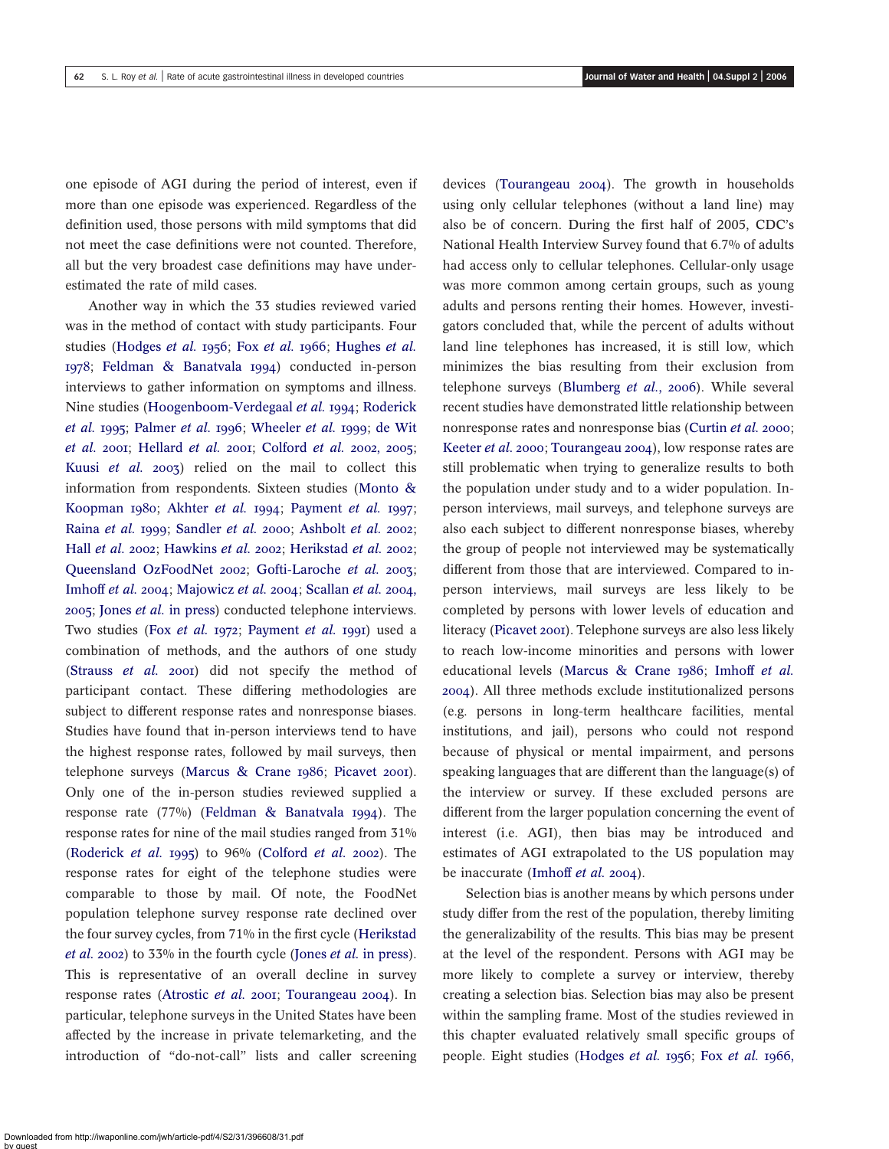one episode of AGI during the period of interest, even if more than one episode was experienced. Regardless of the definition used, those persons with mild symptoms that did not meet the case definitions were not counted. Therefore, all but the very broadest case definitions may have underestimated the rate of mild cases.

Another way in which the 33 studies reviewed varied was in the method of contact with study participants. Four studies ([Hodges](#page-37-0) [et al.](#page-36-0) 1956; Fox et al. 1966; [Hughes](#page-37-0) et al. [1978](#page-37-0); [Feldman & Banatvala 1994](#page-36-0)) conducted in-person interviews to gather information on symptoms and illness. Nine studies ([Hoogenboom-Verdegaal](#page-37-0) et al. 1994; [Roderick](#page-38-0) [et al.](#page-38-0) 1995; [Palmer](#page-37-0) et al. 1996; [Wheeler](#page-38-0) et al. 1999; [de Wit](#page-36-0) [et al.](#page-36-0) 2001; [Hellard](#page-37-0) et al. 2001; Colford et al. [2002, 2005](#page-35-0); Kuusi [et al.](#page-37-0) 2003) relied on the mail to collect this information from respondents. Sixteen studies ([Monto &](#page-37-0) [Koopman 1980](#page-37-0); [Akhter](#page-35-0) et al. 1994; [Payment](#page-37-0) et al. 1997; [Raina](#page-38-0) et al. 1999; [Sandler](#page-38-0) et al. 2000; [Ashbolt](#page-35-0) et al. 2002; Hall [et al.](#page-36-0) 2002; [Hawkins](#page-36-0) et al. 2002; [Herikstad](#page-37-0) et al. 2002; [Queensland OzFoodNet 2002](#page-38-0); [Gofti-Laroche](#page-36-0) et al. 2003; [Imhoff](#page-37-0) et al. 2004; [Majowicz](#page-37-0) et al. 2004; [Scallan](#page-38-0) et al. 2004, [2005](#page-38-0); Jones et al. [in press](#page-37-0)) conducted telephone interviews. Two studies (Fox [et al.](#page-36-0) 1972; [Payment](#page-37-0) et al. 1991) used a combination of methods, and the authors of one study ([Strauss](#page-38-0) et al. 2001) did not specify the method of participant contact. These differing methodologies are subject to different response rates and nonresponse biases. Studies have found that in-person interviews tend to have the highest response rates, followed by mail surveys, then telephone surveys ([Marcus & Crane 1986](#page-37-0); [Picavet 2001](#page-38-0)). Only one of the in-person studies reviewed supplied a response rate (77%) ([Feldman & Banatvala 1994](#page-36-0)). The response rates for nine of the mail studies ranged from 31% ([Roderick](#page-38-0) et al. 1995) to 96% ([Colford](#page-35-0) et al. 2002). The response rates for eight of the telephone studies were comparable to those by mail. Of note, the FoodNet population telephone survey response rate declined over the four survey cycles, from 71% in the first cycle ([Herikstad](#page-37-0) [et al.](#page-37-0) 2002) to 33% in the fourth cycle (Jones et al. [in press](#page-37-0)). This is representative of an overall decline in survey response rates ([Atrostic](#page-35-0) et al. 2001; [Tourangeau 2004](#page-38-0)). In particular, telephone surveys in the United States have been affected by the increase in private telemarketing, and the introduction of "do-not-call" lists and caller screening

devices ([Tourangeau 2004](#page-38-0)). The growth in households using only cellular telephones (without a land line) may also be of concern. During the first half of 2005, CDC's National Health Interview Survey found that 6.7% of adults had access only to cellular telephones. Cellular-only usage was more common among certain groups, such as young adults and persons renting their homes. However, investigators concluded that, while the percent of adults without land line telephones has increased, it is still low, which minimizes the bias resulting from their exclusion from telephone surveys ([Blumberg](#page-35-0) et al., 2006). While several recent studies have demonstrated little relationship between nonresponse rates and nonresponse bias ([Curtin](#page-35-0) et al. 2000; [Keeter](#page-37-0) et al. 2000; [Tourangeau 2004](#page-38-0)), low response rates are still problematic when trying to generalize results to both the population under study and to a wider population. Inperson interviews, mail surveys, and telephone surveys are also each subject to different nonresponse biases, whereby the group of people not interviewed may be systematically different from those that are interviewed. Compared to inperson interviews, mail surveys are less likely to be completed by persons with lower levels of education and literacy ([Picavet 2001](#page-38-0)). Telephone surveys are also less likely to reach low-income minorities and persons with lower educational levels ([Marcus & Crane 1986](#page-37-0); [Imhoff](#page-37-0) et al. [2004](#page-37-0)). All three methods exclude institutionalized persons (e.g. persons in long-term healthcare facilities, mental institutions, and jail), persons who could not respond because of physical or mental impairment, and persons speaking languages that are different than the language(s) of the interview or survey. If these excluded persons are different from the larger population concerning the event of interest (i.e. AGI), then bias may be introduced and estimates of AGI extrapolated to the US population may be inaccurate ([Imhoff](#page-37-0) et al. 2004).

Selection bias is another means by which persons under study differ from the rest of the population, thereby limiting the generalizability of the results. This bias may be present at the level of the respondent. Persons with AGI may be more likely to complete a survey or interview, thereby creating a selection bias. Selection bias may also be present within the sampling frame. Most of the studies reviewed in this chapter evaluated relatively small specific groups of people. Eight studies ([Hodges](#page-37-0) et al. 1956; Fox [et al.](#page-36-0) 1966,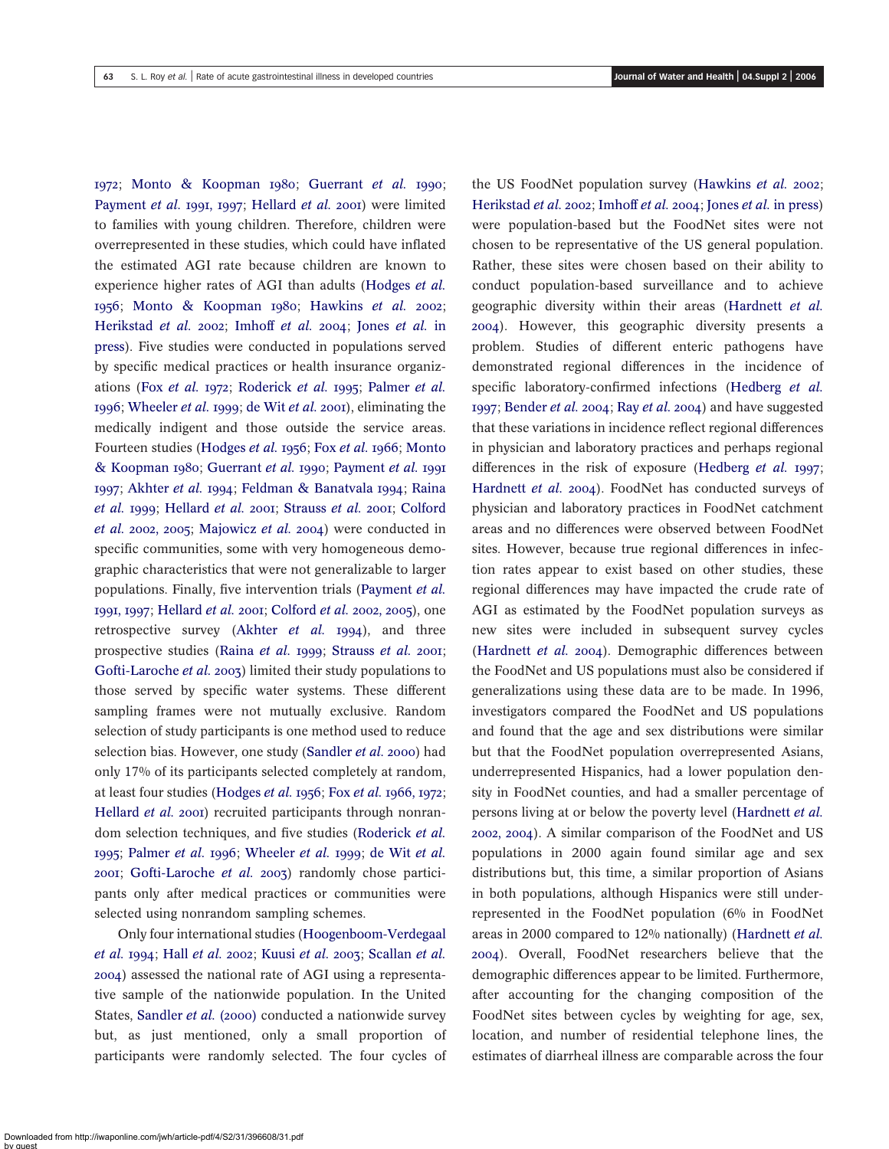[1972](#page-36-0); [Monto & Koopman 1980](#page-37-0); [Guerrant](#page-36-0) et al. 1990; Payment et al. [1991, 1997](#page-37-0); [Hellard](#page-37-0) et al. 2001) were limited to families with young children. Therefore, children were overrepresented in these studies, which could have inflated the estimated AGI rate because children are known to experience higher rates of AGI than adults ([Hodges](#page-37-0) et al. [1956](#page-37-0); [Monto & Koopman 1980](#page-37-0); [Hawkins](#page-36-0) et al. 2002; [Herikstad](#page-37-0) et al. 2002; [Imhoff](#page-37-0) et al. 2004; Jones [et al.](#page-37-0) in [press](#page-37-0)). Five studies were conducted in populations served by specific medical practices or health insurance organizations (Fox [et al.](#page-36-0) 1972; [Roderick](#page-38-0) et al. 1995; [Palmer](#page-37-0) et al. [1996](#page-37-0); [Wheeler](#page-38-0) et al. 1999; [de Wit](#page-36-0) et al. 2001), eliminating the medically indigent and those outside the service areas. Fourteen studies ([Hodges](#page-37-0) et al. 1956; Fox [et al.](#page-36-0) 1966; [Monto](#page-37-0) [& Koopman 1980](#page-37-0); [Guerrant](#page-36-0) et al. 1990; [Payment](#page-37-0) et al. 1991 [1997](#page-37-0); [Akhter](#page-35-0) et al. 1994; [Feldman & Banatvala 1994](#page-36-0); [Raina](#page-38-0) [et al.](#page-38-0) 1999; [Hellard](#page-37-0) et al. 2001; [Strauss](#page-38-0) et al. 2001; [Colford](#page-35-0) et al. [2002, 2005](#page-35-0); [Majowicz](#page-37-0) et al. 2004) were conducted in specific communities, some with very homogeneous demographic characteristics that were not generalizable to larger populations. Finally, five intervention trials ([Payment](#page-37-0) et al. [1991, 1997](#page-37-0); [Hellard](#page-37-0) et al. 2001; Colford et al. [2002, 2005](#page-35-0)), one retrospective survey ([Akhter](#page-35-0) *et al.* 1994), and three prospective studies ([Raina](#page-38-0) et al. 1999; [Strauss](#page-38-0) et al. 2001; [Gofti-Laroche](#page-36-0) et al. 2003) limited their study populations to those served by specific water systems. These different sampling frames were not mutually exclusive. Random selection of study participants is one method used to reduce selection bias. However, one study ([Sandler](#page-38-0) et al. 2000) had only 17% of its participants selected completely at random, at least four studies ([Hodges](#page-37-0) et al. 1956; Fox et al. [1966, 1972](#page-36-0); [Hellard](#page-37-0) et al. 2001) recruited participants through nonran-dom selection techniques, and five studies ([Roderick](#page-38-0) et al. [1995](#page-38-0); [Palmer](#page-37-0) et al. 1996; [Wheeler](#page-38-0) et al. 1999; [de Wit](#page-36-0) et al. [2001](#page-36-0); [Gofti-Laroche](#page-36-0) et al. 2003) randomly chose participants only after medical practices or communities were selected using nonrandom sampling schemes.

Only four international studies ([Hoogenboom-Verdegaal](#page-37-0) [et al.](#page-37-0) 1994; Hall [et al.](#page-36-0) 2002; [Kuusi](#page-37-0) et al. 2003; [Scallan](#page-38-0) et al. [2004](#page-38-0)) assessed the national rate of AGI using a representative sample of the nationwide population. In the United States, [Sandler](#page-38-0) et al. (2000) conducted a nationwide survey but, as just mentioned, only a small proportion of participants were randomly selected. The four cycles of the US FoodNet population survey ([Hawkins](#page-36-0) et al. 2002; [Herikstad](#page-37-0) et al. 2002; [Imhoff](#page-37-0) et al. 2004; Jones et al. [in press](#page-37-0)) were population-based but the FoodNet sites were not chosen to be representative of the US general population. Rather, these sites were chosen based on their ability to conduct population-based surveillance and to achieve geographic diversity within their areas ([Hardnett](#page-36-0) et al. [2004](#page-36-0)). However, this geographic diversity presents a problem. Studies of different enteric pathogens have demonstrated regional differences in the incidence of specific laboratory-confirmed infections ([Hedberg](#page-36-0) et al. [1997](#page-36-0); [Bender](#page-35-0) et al. 2004; Ray [et al.](#page-38-0) 2004) and have suggested that these variations in incidence reflect regional differences in physician and laboratory practices and perhaps regional differences in the risk of exposure ([Hedberg](#page-36-0) et al. 1997; [Hardnett](#page-36-0) et al. 2004). FoodNet has conducted surveys of physician and laboratory practices in FoodNet catchment areas and no differences were observed between FoodNet sites. However, because true regional differences in infection rates appear to exist based on other studies, these regional differences may have impacted the crude rate of AGI as estimated by the FoodNet population surveys as new sites were included in subsequent survey cycles ([Hardnett](#page-36-0) et al. 2004). Demographic differences between the FoodNet and US populations must also be considered if generalizations using these data are to be made. In 1996, investigators compared the FoodNet and US populations and found that the age and sex distributions were similar but that the FoodNet population overrepresented Asians, underrepresented Hispanics, had a lower population density in FoodNet counties, and had a smaller percentage of persons living at or below the poverty level ([Hardnett](#page-36-0) et al. [2002, 2004](#page-36-0)). A similar comparison of the FoodNet and US populations in 2000 again found similar age and sex distributions but, this time, a similar proportion of Asians in both populations, although Hispanics were still underrepresented in the FoodNet population (6% in FoodNet areas in 2000 compared to 12% nationally) ([Hardnett](#page-36-0) et al. [2004](#page-36-0)). Overall, FoodNet researchers believe that the demographic differences appear to be limited. Furthermore, after accounting for the changing composition of the FoodNet sites between cycles by weighting for age, sex, location, and number of residential telephone lines, the estimates of diarrheal illness are comparable across the four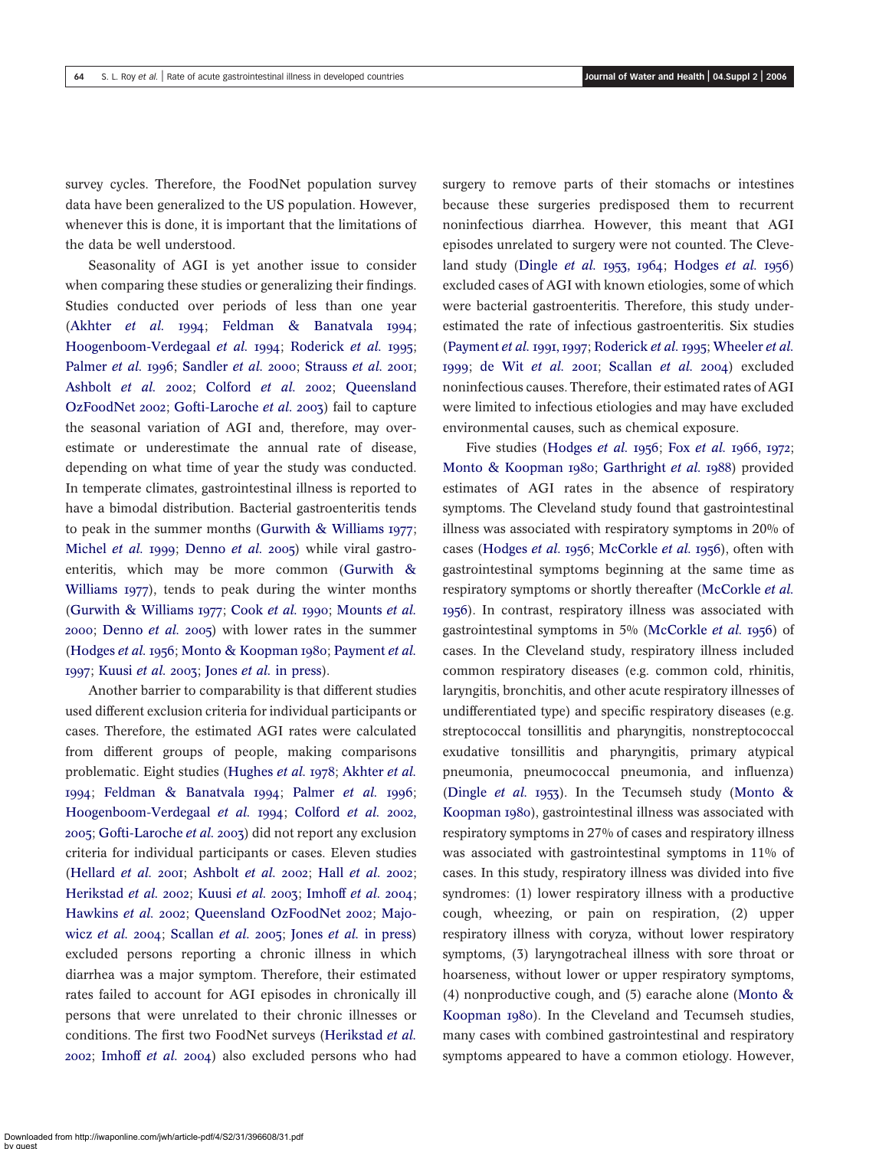survey cycles. Therefore, the FoodNet population survey data have been generalized to the US population. However, whenever this is done, it is important that the limitations of the data be well understood.

Seasonality of AGI is yet another issue to consider when comparing these studies or generalizing their findings. Studies conducted over periods of less than one year ([Akhter](#page-35-0) et al. 1994; [Feldman & Banatvala 1994](#page-36-0); [Hoogenboom-Verdegaal](#page-37-0) et al. 1994; [Roderick](#page-38-0) et al. 1995; [Palmer](#page-37-0) et al. 1996; [Sandler](#page-38-0) et al. 2000; [Strauss](#page-38-0) et al. 2001; [Ashbolt](#page-35-0) et al. 2002; [Colford](#page-35-0) et al. 2002; [Queensland](#page-38-0) [OzFoodNet 2002](#page-38-0); [Gofti-Laroche](#page-36-0) et al. 2003) fail to capture the seasonal variation of AGI and, therefore, may overestimate or underestimate the annual rate of disease, depending on what time of year the study was conducted. In temperate climates, gastrointestinal illness is reported to have a bimodal distribution. Bacterial gastroenteritis tends to peak in the summer months ([Gurwith & Williams 1977](#page-36-0); [Michel](#page-37-0) et al. 1999; [Denno](#page-35-0) et al. 2005) while viral gastroenteritis, which may be more common ([Gurwith &](#page-36-0) [Williams 1977](#page-36-0)), tends to peak during the winter months ([Gurwith & Williams 1977](#page-36-0); [Cook](#page-35-0) et al. 1990; [Mounts](#page-37-0) et al. [2000](#page-37-0); [Denno](#page-35-0) et al. 2005) with lower rates in the summer ([Hodges](#page-37-0) et al. 1956; [Monto & Koopman 1980](#page-37-0); [Payment](#page-37-0) et al. [1997](#page-37-0); [Kuusi](#page-37-0) et al. 2003; Jones et al. [in press](#page-37-0)).

Another barrier to comparability is that different studies used different exclusion criteria for individual participants or cases. Therefore, the estimated AGI rates were calculated from different groups of people, making comparisons problematic. Eight studies ([Hughes](#page-37-0) et al. 1978; [Akhter](#page-35-0) et al. [1994](#page-35-0); [Feldman & Banatvala 1994](#page-36-0); [Palmer](#page-37-0) et al. 1996; [Hoogenboom-Verdegaal](#page-37-0) et al. 1994; [Colford](#page-35-0) et al. 2002, [2005](#page-35-0); [Gofti-Laroche](#page-36-0) et al. 2003) did not report any exclusion criteria for individual participants or cases. Eleven studies ([Hellard](#page-37-0) et al. 2001; [Ashbolt](#page-35-0) et al. 2002; Hall [et al.](#page-36-0) 2002; [Herikstad](#page-37-0) et al. 2002; [Kuusi](#page-37-0) et al. 2003; [Imhoff](#page-37-0) et al. 2004; [Hawkins](#page-36-0) et al. 2002; [Queensland OzFoodNet 2002](#page-38-0); [Majo](#page-37-0)wicz [et al.](#page-37-0) 2004; [Scallan](#page-38-0) et al. 2005; Jones et al. [in press](#page-37-0)) excluded persons reporting a chronic illness in which diarrhea was a major symptom. Therefore, their estimated rates failed to account for AGI episodes in chronically ill persons that were unrelated to their chronic illnesses or conditions. The first two FoodNet surveys ([Herikstad](#page-37-0) et al. [2002](#page-37-0); [Imhoff](#page-37-0) et al. 2004) also excluded persons who had

surgery to remove parts of their stomachs or intestines because these surgeries predisposed them to recurrent noninfectious diarrhea. However, this meant that AGI episodes unrelated to surgery were not counted. The Cleveland study (Dingle et al. [1953, 1964](#page-36-0); [Hodges](#page-37-0) et al. 1956) excluded cases of AGI with known etiologies, some of which were bacterial gastroenteritis. Therefore, this study underestimated the rate of infectious gastroenteritis. Six studies (Payment et al. [1991, 1997](#page-37-0); [Roderick](#page-38-0) et al. 1995; [Wheeler](#page-38-0) et al. [1999](#page-38-0); [de Wit](#page-36-0) et al. 2001; [Scallan](#page-38-0) et al. 2004) excluded noninfectious causes. Therefore, their estimated rates of AGI were limited to infectious etiologies and may have excluded environmental causes, such as chemical exposure.

Five studies ([Hodges](#page-37-0) et al. 1956; Fox et al. [1966, 1972](#page-36-0); [Monto & Koopman 1980](#page-37-0); [Garthright](#page-36-0) et al. 1988) provided estimates of AGI rates in the absence of respiratory symptoms. The Cleveland study found that gastrointestinal illness was associated with respiratory symptoms in 20% of cases ([Hodges](#page-37-0) et al. 1956; [McCorkle](#page-37-0) et al. 1956), often with gastrointestinal symptoms beginning at the same time as respiratory symptoms or shortly thereafter ([McCorkle](#page-37-0) et al. [1956](#page-37-0)). In contrast, respiratory illness was associated with gastrointestinal symptoms in 5% ([McCorkle](#page-37-0) et al. 1956) of cases. In the Cleveland study, respiratory illness included common respiratory diseases (e.g. common cold, rhinitis, laryngitis, bronchitis, and other acute respiratory illnesses of undifferentiated type) and specific respiratory diseases (e.g. streptococcal tonsillitis and pharyngitis, nonstreptococcal exudative tonsillitis and pharyngitis, primary atypical pneumonia, pneumococcal pneumonia, and influenza) ([Dingle](#page-36-0) *et al.* 1953). In the Tecumseh study ([Monto &](#page-37-0) [Koopman 1980](#page-37-0)), gastrointestinal illness was associated with respiratory symptoms in 27% of cases and respiratory illness was associated with gastrointestinal symptoms in 11% of cases. In this study, respiratory illness was divided into five syndromes: (1) lower respiratory illness with a productive cough, wheezing, or pain on respiration, (2) upper respiratory illness with coryza, without lower respiratory symptoms, (3) laryngotracheal illness with sore throat or hoarseness, without lower or upper respiratory symptoms, (4) nonproductive cough, and (5) earache alone (Monto  $\&$ [Koopman 1980](#page-37-0)). In the Cleveland and Tecumseh studies, many cases with combined gastrointestinal and respiratory symptoms appeared to have a common etiology. However,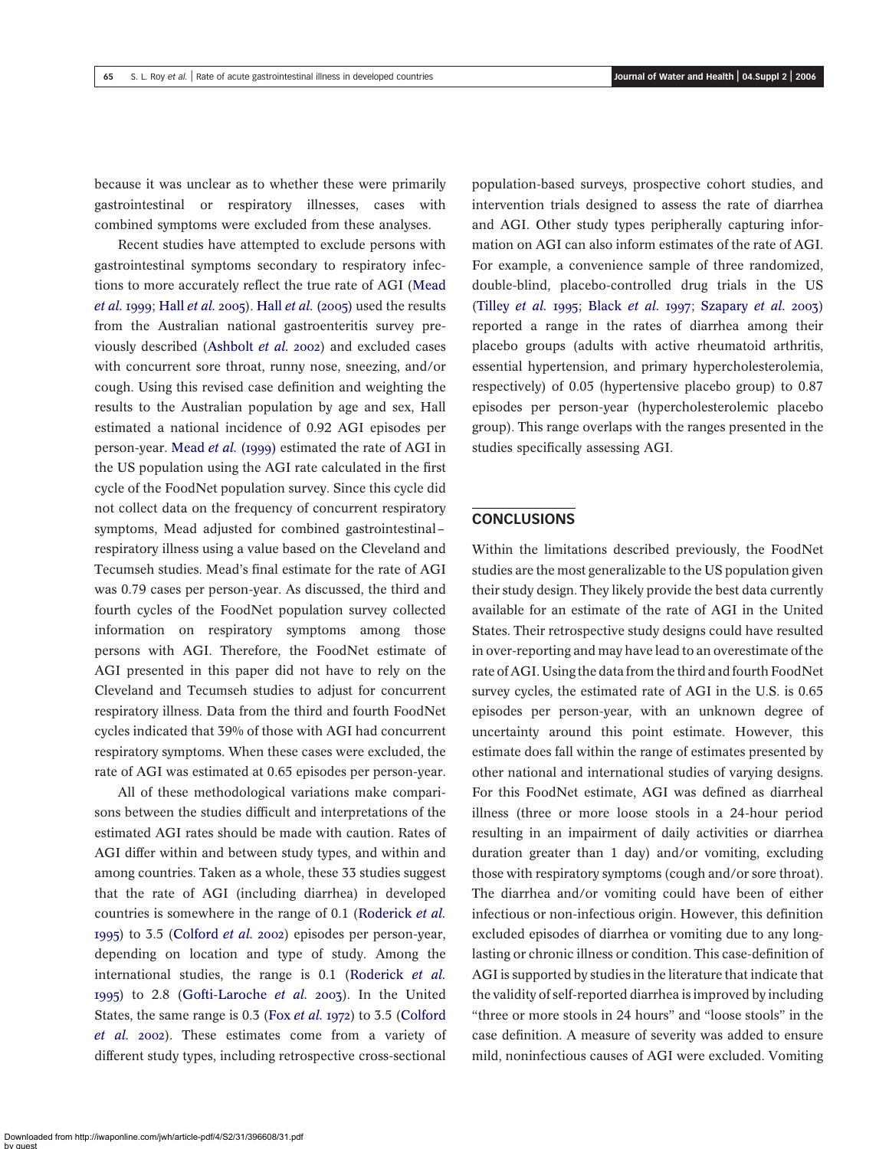because it was unclear as to whether these were primarily gastrointestinal or respiratory illnesses, cases with combined symptoms were excluded from these analyses.

Recent studies have attempted to exclude persons with gastrointestinal symptoms secondary to respiratory infections to more accurately reflect the true rate of AGI ([Mead](#page-37-0) *[et al.](#page-36-0)* 1999; Hall *et al.* 2005). Hall *et al.* [\(2005\)](#page-36-0) used the results from the Australian national gastroenteritis survey pre-viously described ([Ashbolt](#page-35-0) et al. 2002) and excluded cases with concurrent sore throat, runny nose, sneezing, and/or cough. Using this revised case definition and weighting the results to the Australian population by age and sex, Hall estimated a national incidence of 0.92 AGI episodes per person-year. Mead et al. [\(1999\)](#page-37-0) estimated the rate of AGI in the US population using the AGI rate calculated in the first cycle of the FoodNet population survey. Since this cycle did not collect data on the frequency of concurrent respiratory symptoms, Mead adjusted for combined gastrointestinal– respiratory illness using a value based on the Cleveland and Tecumseh studies. Mead's final estimate for the rate of AGI was 0.79 cases per person-year. As discussed, the third and fourth cycles of the FoodNet population survey collected information on respiratory symptoms among those persons with AGI. Therefore, the FoodNet estimate of AGI presented in this paper did not have to rely on the Cleveland and Tecumseh studies to adjust for concurrent respiratory illness. Data from the third and fourth FoodNet cycles indicated that 39% of those with AGI had concurrent respiratory symptoms. When these cases were excluded, the rate of AGI was estimated at 0.65 episodes per person-year.

All of these methodological variations make comparisons between the studies difficult and interpretations of the estimated AGI rates should be made with caution. Rates of AGI differ within and between study types, and within and among countries. Taken as a whole, these 33 studies suggest that the rate of AGI (including diarrhea) in developed countries is somewhere in the range of 0.1 ([Roderick](#page-38-0) et al. [1995](#page-38-0)) to 3.5 ([Colford](#page-35-0) et al. 2002) episodes per person-year, depending on location and type of study. Among the international studies, the range is 0.1 ([Roderick](#page-38-0) et al. [1995](#page-38-0)) to 2.8 ([Gofti-Laroche](#page-36-0) et al. 2003). In the United States, the same range is 0.3 (Fox [et al.](#page-36-0) 1972) to 3.5 ([Colford](#page-35-0) [et al.](#page-35-0) 2002). These estimates come from a variety of different study types, including retrospective cross-sectional population-based surveys, prospective cohort studies, and intervention trials designed to assess the rate of diarrhea and AGI. Other study types peripherally capturing information on AGI can also inform estimates of the rate of AGI. For example, a convenience sample of three randomized, double-blind, placebo-controlled drug trials in the US ([Tilley](#page-38-0) *et al.* 1995; [Black](#page-35-0) *et al.* 1997; [Szapary](#page-38-0) *et al.* 2003) reported a range in the rates of diarrhea among their placebo groups (adults with active rheumatoid arthritis, essential hypertension, and primary hypercholesterolemia, respectively) of 0.05 (hypertensive placebo group) to 0.87 episodes per person-year (hypercholesterolemic placebo group). This range overlaps with the ranges presented in the studies specifically assessing AGI.

## **CONCLUSIONS**

Within the limitations described previously, the FoodNet studies are the most generalizable to the US population given their study design. They likely provide the best data currently available for an estimate of the rate of AGI in the United States. Their retrospective study designs could have resulted in over-reporting and may have lead to an overestimate of the rate of AGI. Using the data from the third and fourth FoodNet survey cycles, the estimated rate of AGI in the U.S. is 0.65 episodes per person-year, with an unknown degree of uncertainty around this point estimate. However, this estimate does fall within the range of estimates presented by other national and international studies of varying designs. For this FoodNet estimate, AGI was defined as diarrheal illness (three or more loose stools in a 24-hour period resulting in an impairment of daily activities or diarrhea duration greater than 1 day) and/or vomiting, excluding those with respiratory symptoms (cough and/or sore throat). The diarrhea and/or vomiting could have been of either infectious or non-infectious origin. However, this definition excluded episodes of diarrhea or vomiting due to any longlasting or chronic illness or condition. This case-definition of AGI is supported by studies in the literature that indicate that the validity of self-reported diarrhea is improved by including "three or more stools in 24 hours" and "loose stools" in the case definition. A measure of severity was added to ensure mild, noninfectious causes of AGI were excluded. Vomiting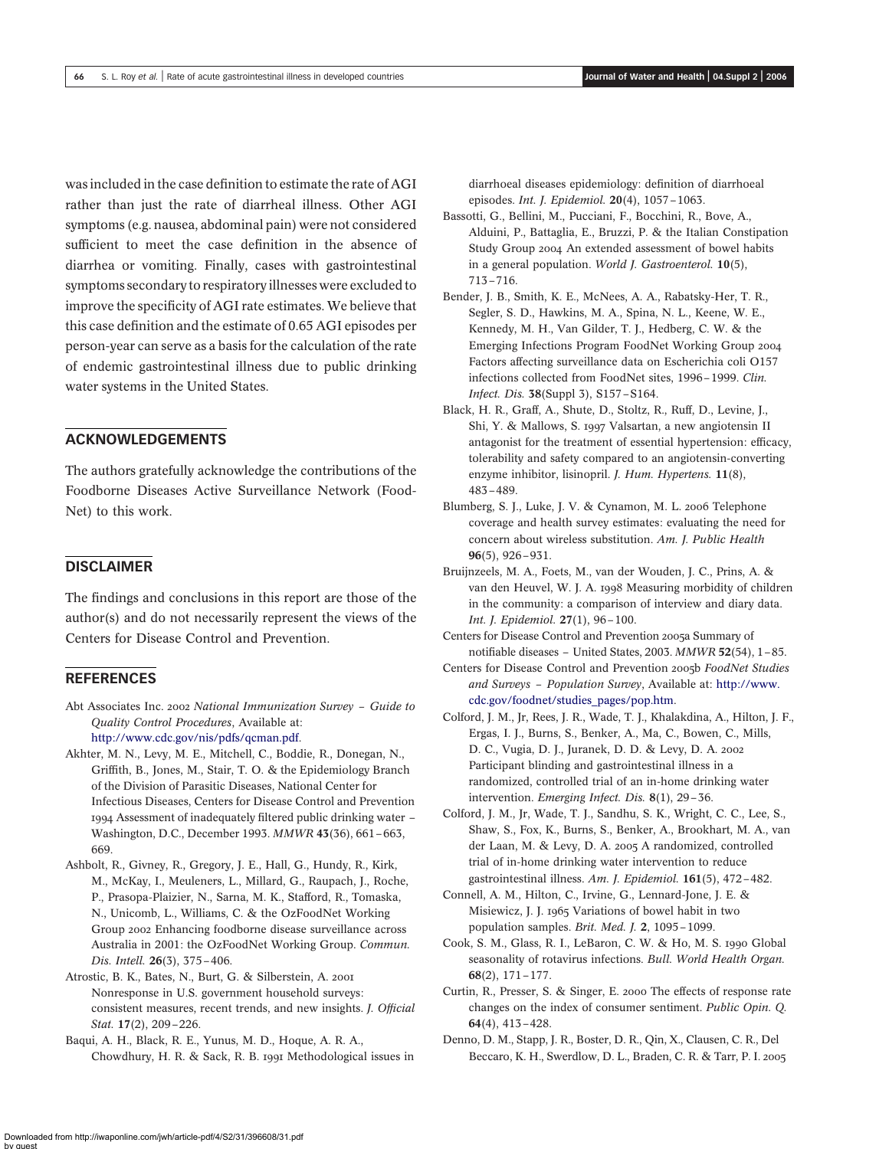<span id="page-35-0"></span>was included in the case definition to estimate the rate of AGI rather than just the rate of diarrheal illness. Other AGI symptoms (e.g. nausea, abdominal pain) were not considered sufficient to meet the case definition in the absence of diarrhea or vomiting. Finally, cases with gastrointestinal symptoms secondary to respiratory illnesses were excluded to improve the specificity of AGI rate estimates. We believe that this case definition and the estimate of 0.65 AGI episodes per person-year can serve as a basis for the calculation of the rate of endemic gastrointestinal illness due to public drinking water systems in the United States.

### ACKNOWLEDGEMENTS

The authors gratefully acknowledge the contributions of the Foodborne Diseases Active Surveillance Network (Food-Net) to this work.

## DISCLAIMER

The findings and conclusions in this report are those of the author(s) and do not necessarily represent the views of the Centers for Disease Control and Prevention.

### **REFERENCES**

Abt Associates Inc. 2002 National Immunization Survey – Guide to Quality Control Procedures, Available at:

[http://www.cdc.gov/nis/pdfs/qcman.pdf.](http://www.cdc.gov/nis/pdfs/qcman.pdf)

Akhter, M. N., Levy, M. E., Mitchell, C., Boddie, R., Donegan, N., Griffith, B., Jones, M., Stair, T. O. & the Epidemiology Branch of the Division of Parasitic Diseases, National Center for Infectious Diseases, Centers for Disease Control and Prevention 1994 Assessment of inadequately filtered public drinking water – Washington, D.C., December 1993. MMWR 43(36), 661–663, 669.

Ashbolt, R., Givney, R., Gregory, J. E., Hall, G., Hundy, R., Kirk, M., McKay, I., Meuleners, L., Millard, G., Raupach, J., Roche, P., Prasopa-Plaizier, N., Sarna, M. K., Stafford, R., Tomaska, N., Unicomb, L., Williams, C. & the OzFoodNet Working Group 2002 Enhancing foodborne disease surveillance across Australia in 2001: the OzFoodNet Working Group. Commun. Dis. Intell. 26(3), 375–406.

Atrostic, B. K., Bates, N., Burt, G. & Silberstein, A. 2001 Nonresponse in U.S. government household surveys: consistent measures, recent trends, and new insights. J. Official Stat. 17(2), 209–226.

Baqui, A. H., Black, R. E., Yunus, M. D., Hoque, A. R. A., Chowdhury, H. R. & Sack, R. B. 1991 Methodological issues in diarrhoeal diseases epidemiology: definition of diarrhoeal episodes. Int. J. Epidemiol. 20(4), 1057–1063.

- Bassotti, G., Bellini, M., Pucciani, F., Bocchini, R., Bove, A., Alduini, P., Battaglia, E., Bruzzi, P. & the Italian Constipation Study Group 2004 An extended assessment of bowel habits in a general population. World J. Gastroenterol. 10(5), 713–716.
- Bender, J. B., Smith, K. E., McNees, A. A., Rabatsky-Her, T. R., Segler, S. D., Hawkins, M. A., Spina, N. L., Keene, W. E., Kennedy, M. H., Van Gilder, T. J., Hedberg, C. W. & the Emerging Infections Program FoodNet Working Group 2004 Factors affecting surveillance data on Escherichia coli O157 infections collected from FoodNet sites, 1996–1999. Clin. Infect. Dis. 38(Suppl 3), S157–S164.
- Black, H. R., Graff, A., Shute, D., Stoltz, R., Ruff, D., Levine, J., Shi, Y. & Mallows, S. 1997 Valsartan, a new angiotensin II antagonist for the treatment of essential hypertension: efficacy, tolerability and safety compared to an angiotensin-converting enzyme inhibitor, lisinopril. J. Hum. Hypertens. 11(8), 483–489.
- Blumberg, S. J., Luke, J. V. & Cynamon, M. L. 2006 Telephone coverage and health survey estimates: evaluating the need for concern about wireless substitution. Am. J. Public Health 96(5), 926–931.
- Bruijnzeels, M. A., Foets, M., van der Wouden, J. C., Prins, A. & van den Heuvel, W. J. A. 1998 Measuring morbidity of children in the community: a comparison of interview and diary data. Int. J. Epidemiol. 27(1), 96–100.
- Centers for Disease Control and Prevention 2005a Summary of notifiable diseases – United States, 2003. MMWR 52(54), 1–85.
- Centers for Disease Control and Prevention 2005b FoodNet Studies and Surveys – Population Survey, Available at: [http://www.](http://www.cdc.gov/foodnet/studies_pages/pop.htm) [cdc.gov/foodnet/studies\\_pages/pop.htm](http://www.cdc.gov/foodnet/studies_pages/pop.htm).
- Colford, J. M., Jr, Rees, J. R., Wade, T. J., Khalakdina, A., Hilton, J. F., Ergas, I. J., Burns, S., Benker, A., Ma, C., Bowen, C., Mills, D. C., Vugia, D. J., Juranek, D. D. & Levy, D. A. 2002 Participant blinding and gastrointestinal illness in a randomized, controlled trial of an in-home drinking water intervention. Emerging Infect. Dis. 8(1), 29–36.
- Colford, J. M., Jr, Wade, T. J., Sandhu, S. K., Wright, C. C., Lee, S., Shaw, S., Fox, K., Burns, S., Benker, A., Brookhart, M. A., van der Laan, M. & Levy, D. A. 2005 A randomized, controlled trial of in-home drinking water intervention to reduce gastrointestinal illness. Am. J. Epidemiol. 161(5), 472–482.
- Connell, A. M., Hilton, C., Irvine, G., Lennard-Jone, J. E. & Misiewicz, J. J. 1965 Variations of bowel habit in two population samples. Brit. Med. J. 2, 1095–1099.
- Cook, S. M., Glass, R. I., LeBaron, C. W. & Ho, M. S. 1990 Global seasonality of rotavirus infections. Bull. World Health Organ. 68(2), 171–177.
- Curtin, R., Presser, S. & Singer, E. 2000 The effects of response rate changes on the index of consumer sentiment. Public Opin. Q. 64(4), 413–428.

Denno, D. M., Stapp, J. R., Boster, D. R., Qin, X., Clausen, C. R., Del Beccaro, K. H., Swerdlow, D. L., Braden, C. R. & Tarr, P. I. 2005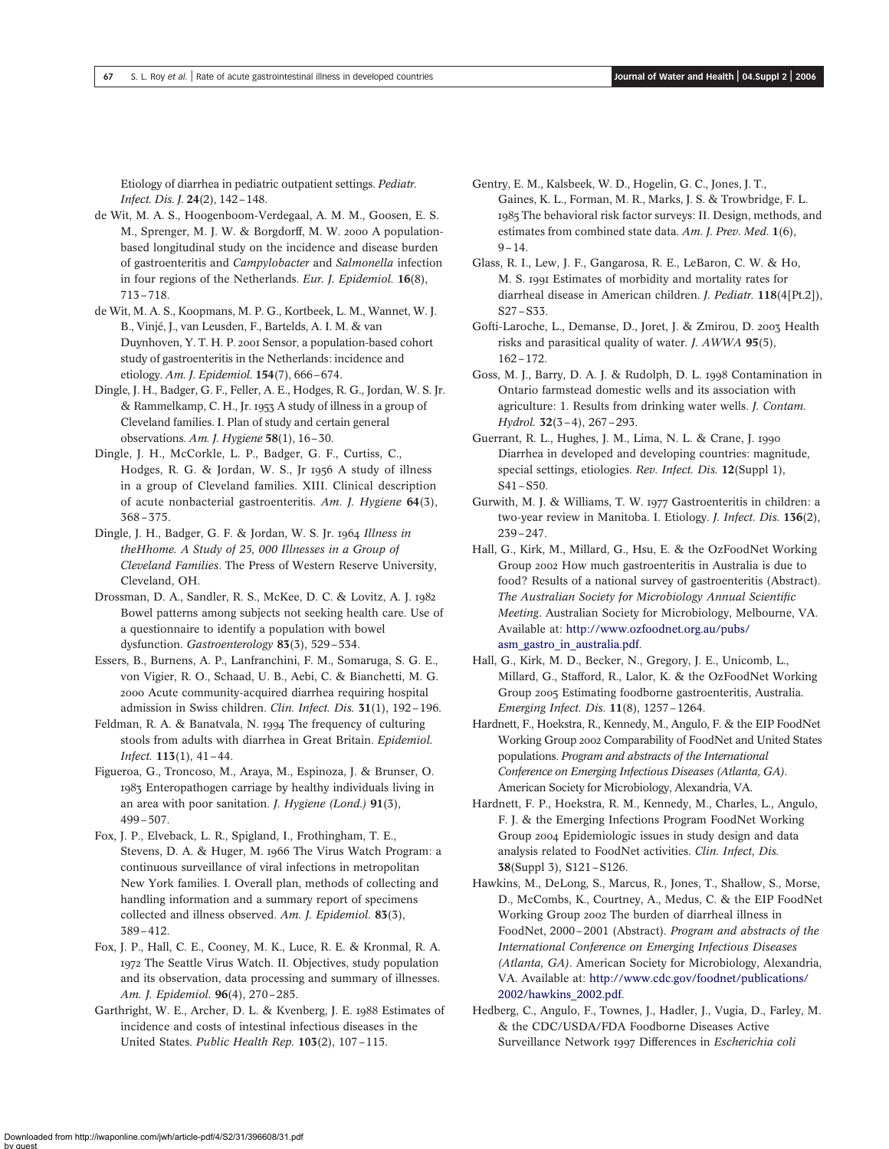<span id="page-36-0"></span>Etiology of diarrhea in pediatric outpatient settings. Pediatr. Infect. Dis. J. 24(2), 142–148.

- de Wit, M. A. S., Hoogenboom-Verdegaal, A. M. M., Goosen, E. S. M., Sprenger, M. J. W. & Borgdorff, M. W. 2000 A populationbased longitudinal study on the incidence and disease burden of gastroenteritis and Campylobacter and Salmonella infection in four regions of the Netherlands. Eur. J. Epidemiol. 16(8), 713–718.
- de Wit, M. A. S., Koopmans, M. P. G., Kortbeek, L. M., Wannet, W. J. B., Vinjé, J., van Leusden, F., Bartelds, A. I. M. & van Duynhoven, Y. T. H. P. 2001 Sensor, a population-based cohort study of gastroenteritis in the Netherlands: incidence and etiology. Am. J. Epidemiol. 154(7), 666–674.
- Dingle, J. H., Badger, G. F., Feller, A. E., Hodges, R. G., Jordan, W. S. Jr. & Rammelkamp, C. H., Jr. 1953 A study of illness in a group of Cleveland families. I. Plan of study and certain general observations. Am. J. Hygiene 58(1), 16–30.
- Dingle, J. H., McCorkle, L. P., Badger, G. F., Curtiss, C., Hodges, R. G. & Jordan, W. S., Jr 1956 A study of illness in a group of Cleveland families. XIII. Clinical description of acute nonbacterial gastroenteritis. Am. J. Hygiene 64(3), 368–375.
- Dingle, J. H., Badger, G. F. & Jordan, W. S. Jr. 1964 Illness in theHhome. A Study of 25, 000 Illnesses in a Group of Cleveland Families. The Press of Western Reserve University, Cleveland, OH.
- Drossman, D. A., Sandler, R. S., McKee, D. C. & Lovitz, A. J. 1982 Bowel patterns among subjects not seeking health care. Use of a questionnaire to identify a population with bowel dysfunction. Gastroenterology 83(3), 529–534.
- Essers, B., Burnens, A. P., Lanfranchini, F. M., Somaruga, S. G. E., von Vigier, R. O., Schaad, U. B., Aebi, C. & Bianchetti, M. G. 2000 Acute community-acquired diarrhea requiring hospital admission in Swiss children. Clin. Infect. Dis. 31(1), 192–196.
- Feldman, R. A. & Banatvala, N. 1994 The frequency of culturing stools from adults with diarrhea in Great Britain. Epidemiol. Infect. 113(1), 41–44.
- Figueroa, G., Troncoso, M., Araya, M., Espinoza, J. & Brunser, O. 1983 Enteropathogen carriage by healthy individuals living in an area with poor sanitation. J. Hygiene (Lond.) 91(3), 499–507.
- Fox, J. P., Elveback, L. R., Spigland, I., Frothingham, T. E., Stevens, D. A. & Huger, M. 1966 The Virus Watch Program: a continuous surveillance of viral infections in metropolitan New York families. I. Overall plan, methods of collecting and handling information and a summary report of specimens collected and illness observed. Am. J. Epidemiol. 83(3), 389–412.
- Fox, J. P., Hall, C. E., Cooney, M. K., Luce, R. E. & Kronmal, R. A. 1972 The Seattle Virus Watch. II. Objectives, study population and its observation, data processing and summary of illnesses. Am. J. Epidemiol. 96(4), 270–285.
- Garthright, W. E., Archer, D. L. & Kvenberg, J. E. 1988 Estimates of incidence and costs of intestinal infectious diseases in the United States. Public Health Rep. 103(2), 107–115.
- Gentry, E. M., Kalsbeek, W. D., Hogelin, G. C., Jones, J. T., Gaines, K. L., Forman, M. R., Marks, J. S. & Trowbridge, F. L. 1985 The behavioral risk factor surveys: II. Design, methods, and estimates from combined state data. Am. J. Prev. Med. 1(6),  $9 - 14.$
- Glass, R. I., Lew, J. F., Gangarosa, R. E., LeBaron, C. W. & Ho, M. S. 1991 Estimates of morbidity and mortality rates for diarrheal disease in American children. J. Pediatr. 118(4[Pt.2]), S27–S33.
- Gofti-Laroche, L., Demanse, D., Joret, J. & Zmirou, D. 2003 Health risks and parasitical quality of water. J. AWWA 95(5), 162–172.
- Goss, M. J., Barry, D. A. J. & Rudolph, D. L. 1998 Contamination in Ontario farmstead domestic wells and its association with agriculture: 1. Results from drinking water wells. J. Contam. Hydrol. 32(3–4), 267–293.
- Guerrant, R. L., Hughes, J. M., Lima, N. L. & Crane, J. 1990 Diarrhea in developed and developing countries: magnitude, special settings, etiologies. Rev. Infect. Dis. 12(Suppl 1), S41–S50.
- Gurwith, M. J. & Williams, T. W. 1977 Gastroenteritis in children: a two-year review in Manitoba. I. Etiology. J. Infect. Dis. 136(2), 239–247.
- Hall, G., Kirk, M., Millard, G., Hsu, E. & the OzFoodNet Working Group 2002 How much gastroenteritis in Australia is due to food? Results of a national survey of gastroenteritis (Abstract). The Australian Society for Microbiology Annual Scientific Meeting. Australian Society for Microbiology, Melbourne, VA. Available at: [http://www.ozfoodnet.org.au/pubs/](http://www.ozfoodnet.org.au/pubs/asm_gastro_in_australia.pdf) [asm\\_gastro\\_in\\_australia.pdf](http://www.ozfoodnet.org.au/pubs/asm_gastro_in_australia.pdf).
- Hall, G., Kirk, M. D., Becker, N., Gregory, J. E., Unicomb, L., Millard, G., Stafford, R., Lalor, K. & the OzFoodNet Working Group 2005 Estimating foodborne gastroenteritis, Australia. Emerging Infect. Dis. 11(8), 1257–1264.
- Hardnett, F., Hoekstra, R., Kennedy, M., Angulo, F. & the EIP FoodNet Working Group 2002 Comparability of FoodNet and United States populations. Program and abstracts of the International Conference on Emerging Infectious Diseases (Atlanta, GA). American Society for Microbiology, Alexandria, VA.
- Hardnett, F. P., Hoekstra, R. M., Kennedy, M., Charles, L., Angulo, F. J. & the Emerging Infections Program FoodNet Working Group 2004 Epidemiologic issues in study design and data analysis related to FoodNet activities. Clin. Infect, Dis. 38(Suppl 3), S121–S126.
- Hawkins, M., DeLong, S., Marcus, R., Jones, T., Shallow, S., Morse, D., McCombs, K., Courtney, A., Medus, C. & the EIP FoodNet Working Group 2002 The burden of diarrheal illness in FoodNet, 2000–2001 (Abstract). Program and abstracts of the International Conference on Emerging Infectious Diseases (Atlanta, GA). American Society for Microbiology, Alexandria, VA. Available at: [http://www.cdc.gov/foodnet/publications/](http://www.cdc.gov/foodnet/publications/2002/hawkins_2002.pdf) [2002/hawkins\\_2002.pdf](http://www.cdc.gov/foodnet/publications/2002/hawkins_2002.pdf).
- Hedberg, C., Angulo, F., Townes, J., Hadler, J., Vugia, D., Farley, M. & the CDC/USDA/FDA Foodborne Diseases Active Surveillance Network 1997 Differences in Escherichia coli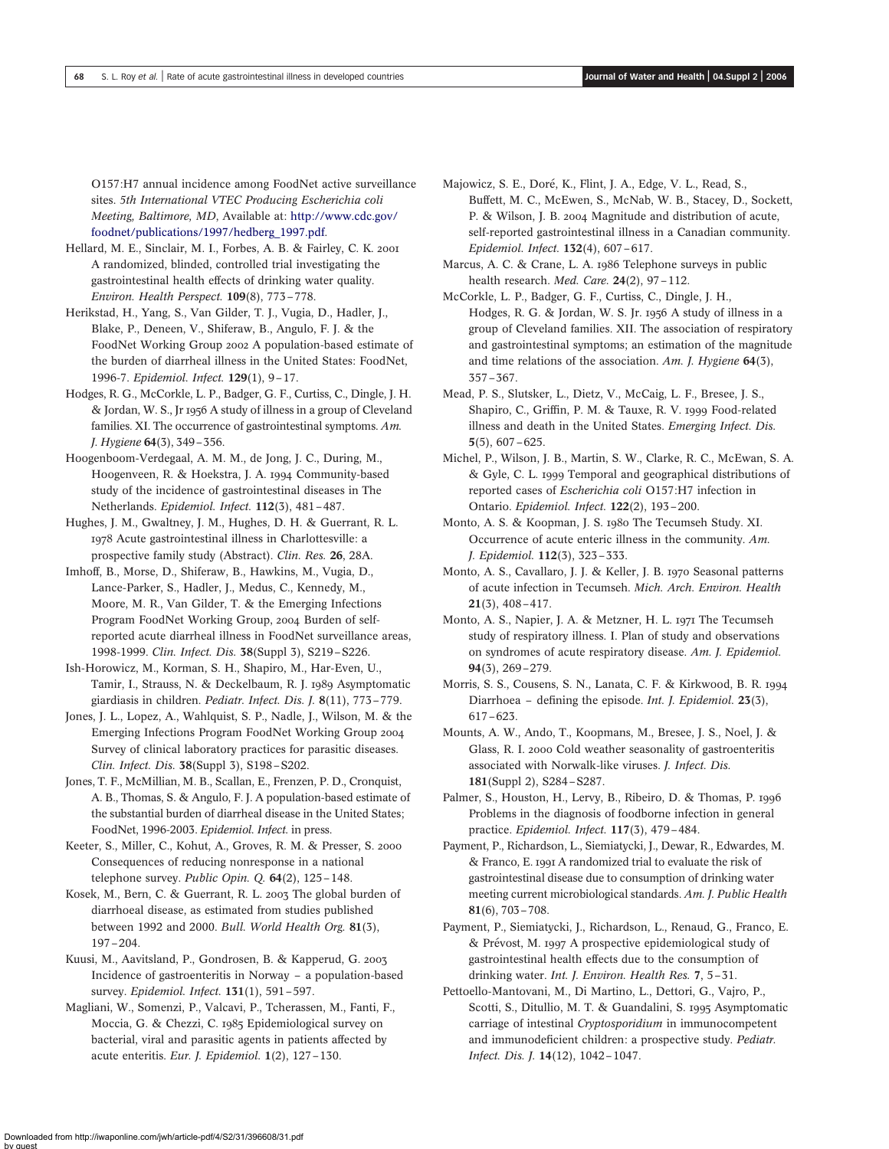<span id="page-37-0"></span>O157:H7 annual incidence among FoodNet active surveillance sites. 5th International VTEC Producing Escherichia coli Meeting, Baltimore, MD, Available at: [http://www.cdc.gov/](http://www.cdc.gov/foodnet/publications/1997/hedberg_1997.pdf) [foodnet/publications/1997/hedberg\\_1997.pdf.](http://www.cdc.gov/foodnet/publications/1997/hedberg_1997.pdf)

- Hellard, M. E., Sinclair, M. I., Forbes, A. B. & Fairley, C. K. 2001 A randomized, blinded, controlled trial investigating the gastrointestinal health effects of drinking water quality. Environ. Health Perspect. 109(8), 773–778.
- Herikstad, H., Yang, S., Van Gilder, T. J., Vugia, D., Hadler, J., Blake, P., Deneen, V., Shiferaw, B., Angulo, F. J. & the FoodNet Working Group 2002 A population-based estimate of the burden of diarrheal illness in the United States: FoodNet, 1996-7. Epidemiol. Infect. 129(1), 9–17.
- Hodges, R. G., McCorkle, L. P., Badger, G. F., Curtiss, C., Dingle, J. H. & Jordan, W. S., Jr 1956 A study of illness in a group of Cleveland families. XI. The occurrence of gastrointestinal symptoms. Am. J. Hygiene 64(3), 349–356.
- Hoogenboom-Verdegaal, A. M. M., de Jong, J. C., During, M., Hoogenveen, R. & Hoekstra, J. A. 1994 Community-based study of the incidence of gastrointestinal diseases in The Netherlands. Epidemiol. Infect. 112(3), 481–487.

Hughes, J. M., Gwaltney, J. M., Hughes, D. H. & Guerrant, R. L. 1978 Acute gastrointestinal illness in Charlottesville: a prospective family study (Abstract). Clin. Res. 26, 28A.

- Imhoff, B., Morse, D., Shiferaw, B., Hawkins, M., Vugia, D., Lance-Parker, S., Hadler, J., Medus, C., Kennedy, M., Moore, M. R., Van Gilder, T. & the Emerging Infections Program FoodNet Working Group, 2004 Burden of selfreported acute diarrheal illness in FoodNet surveillance areas, 1998-1999. Clin. Infect. Dis. 38(Suppl 3), S219–S226.
- Ish-Horowicz, M., Korman, S. H., Shapiro, M., Har-Even, U., Tamir, I., Strauss, N. & Deckelbaum, R. J. 1989 Asymptomatic giardiasis in children. Pediatr. Infect. Dis. J. 8(11), 773–779.
- Jones, J. L., Lopez, A., Wahlquist, S. P., Nadle, J., Wilson, M. & the Emerging Infections Program FoodNet Working Group 2004 Survey of clinical laboratory practices for parasitic diseases. Clin. Infect. Dis. 38(Suppl 3), S198–S202.
- Jones, T. F., McMillian, M. B., Scallan, E., Frenzen, P. D., Cronquist, A. B., Thomas, S. & Angulo, F. J. A population-based estimate of the substantial burden of diarrheal disease in the United States; FoodNet, 1996-2003. Epidemiol. Infect. in press.
- Keeter, S., Miller, C., Kohut, A., Groves, R. M. & Presser, S. 2000 Consequences of reducing nonresponse in a national telephone survey. Public Opin. Q. 64(2), 125–148.
- Kosek, M., Bern, C. & Guerrant, R. L. 2003 The global burden of diarrhoeal disease, as estimated from studies published between 1992 and 2000. Bull. World Health Org. 81(3), 197–204.
- Kuusi, M., Aavitsland, P., Gondrosen, B. & Kapperud, G. 2003 Incidence of gastroenteritis in Norway – a population-based survey. Epidemiol. Infect. 131(1), 591-597.
- Magliani, W., Somenzi, P., Valcavi, P., Tcherassen, M., Fanti, F., Moccia, G. & Chezzi, C. 1985 Epidemiological survey on bacterial, viral and parasitic agents in patients affected by acute enteritis. Eur. J. Epidemiol. 1(2), 127–130.

Majowicz, S. E., Doré, K., Flint, J. A., Edge, V. L., Read, S., Buffett, M. C., McEwen, S., McNab, W. B., Stacey, D., Sockett, P. & Wilson, J. B. 2004 Magnitude and distribution of acute, self-reported gastrointestinal illness in a Canadian community. Epidemiol. Infect. 132(4), 607–617.

Marcus, A. C. & Crane, L. A. 1986 Telephone surveys in public health research. Med. Care. 24(2), 97–112.

McCorkle, L. P., Badger, G. F., Curtiss, C., Dingle, J. H., Hodges, R. G. & Jordan, W. S. Jr. 1956 A study of illness in a group of Cleveland families. XII. The association of respiratory and gastrointestinal symptoms; an estimation of the magnitude and time relations of the association. Am. J. Hygiene 64(3), 357–367.

- Mead, P. S., Slutsker, L., Dietz, V., McCaig, L. F., Bresee, J. S., Shapiro, C., Griffin, P. M. & Tauxe, R. V. 1999 Food-related illness and death in the United States. Emerging Infect. Dis. 5(5), 607–625.
- Michel, P., Wilson, J. B., Martin, S. W., Clarke, R. C., McEwan, S. A. & Gyle, C. L. 1999 Temporal and geographical distributions of reported cases of Escherichia coli O157:H7 infection in Ontario. Epidemiol. Infect. 122(2), 193–200.
- Monto, A. S. & Koopman, J. S. 1980 The Tecumseh Study. XI. Occurrence of acute enteric illness in the community. Am. J. Epidemiol. 112(3), 323–333.
- Monto, A. S., Cavallaro, J. J. & Keller, J. B. 1970 Seasonal patterns of acute infection in Tecumseh. Mich. Arch. Environ. Health 21(3), 408–417.
- Monto, A. S., Napier, J. A. & Metzner, H. L. 1971 The Tecumseh study of respiratory illness. I. Plan of study and observations on syndromes of acute respiratory disease. Am. J. Epidemiol. 94(3), 269–279.
- Morris, S. S., Cousens, S. N., Lanata, C. F. & Kirkwood, B. R. 1994 Diarrhoea – defining the episode. Int. J. Epidemiol. 23(3), 617–623.
- Mounts, A. W., Ando, T., Koopmans, M., Bresee, J. S., Noel, J. & Glass, R. I. 2000 Cold weather seasonality of gastroenteritis associated with Norwalk-like viruses. J. Infect. Dis. 181(Suppl 2), S284–S287.
- Palmer, S., Houston, H., Lervy, B., Ribeiro, D. & Thomas, P. 1996 Problems in the diagnosis of foodborne infection in general practice. Epidemiol. Infect. 117(3), 479–484.
- Payment, P., Richardson, L., Siemiatycki, J., Dewar, R., Edwardes, M. & Franco, E. 1991 A randomized trial to evaluate the risk of gastrointestinal disease due to consumption of drinking water meeting current microbiological standards. Am. J. Public Health 81(6), 703–708.
- Payment, P., Siemiatycki, J., Richardson, L., Renaud, G., Franco, E. & Prévost, M. 1997 A prospective epidemiological study of gastrointestinal health effects due to the consumption of drinking water. Int. J. Environ. Health Res. 7, 5-31.
- Pettoello-Mantovani, M., Di Martino, L., Dettori, G., Vajro, P., Scotti, S., Ditullio, M. T. & Guandalini, S. 1995 Asymptomatic carriage of intestinal Cryptosporidium in immunocompetent and immunodeficient children: a prospective study. Pediatr. Infect. Dis. J. 14(12), 1042–1047.